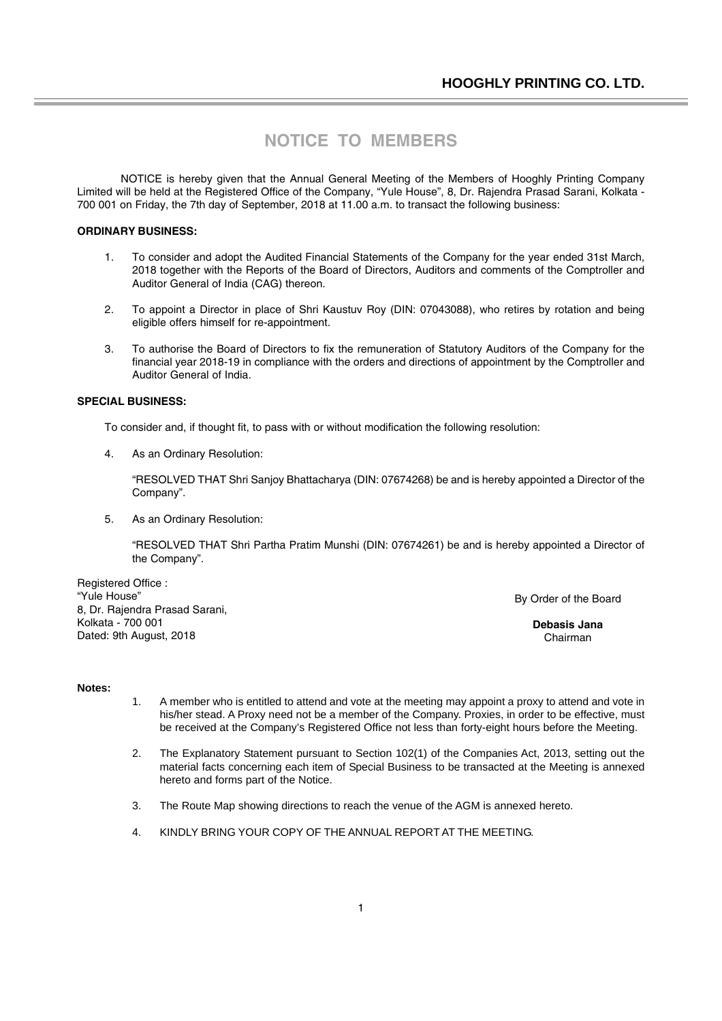# **NOTICE TO MEMBERS**

NOTICE is hereby given that the Annual General Meeting of the Members of Hooghly Printing Company Limited will be held at the Registered Office of the Company, "Yule House", 8, Dr. Rajendra Prasad Sarani, Kolkata - 700 001 on Friday, the 7th day of September, 2018 at 11.00 a.m. to transact the following business:

### **ORDINARY BUSINESS:**

- 1. To consider and adopt the Audited Financial Statements of the Company for the year ended 31st March, 2018 together with the Reports of the Board of Directors, Auditors and comments of the Comptroller and Auditor General of India (CAG) thereon.
- 2. To appoint a Director in place of Shri Kaustuv Roy (DIN: 07043088), who retires by rotation and being eligible offers himself for re-appointment.
- 3. To authorise the Board of Directors to fix the remuneration of Statutory Auditors of the Company for the financial year 2018-19 in compliance with the orders and directions of appointment by the Comptroller and Auditor General of India.

#### **SPECIAL BUSINESS:**

To consider and, if thought fit, to pass with or without modification the following resolution:

4. As an Ordinary Resolution:

"RESOLVED THAT Shri Sanjoy Bhattacharya (DIN: 07674268) be and is hereby appointed a Director of the Company".

5. As an Ordinary Resolution:

"RESOLVED THAT Shri Partha Pratim Munshi (DIN: 07674261) be and is hereby appointed a Director of the Company".

Registered Office : "Yule House" 8, Dr. Rajendra Prasad Sarani, Kolkata - 700 001 Dated: 9th August, 2018

By Order of the Board

**Debasis Jana** Chairman

#### **Notes:**

- 1. A member who is entitled to attend and vote at the meeting may appoint a proxy to attend and vote in his/her stead. A Proxy need not be a member of the Company. Proxies, in order to be effective, must be received at the Company's Registered Office not less than forty-eight hours before the Meeting.
- 2. The Explanatory Statement pursuant to Section 102(1) of the Companies Act, 2013, setting out the material facts concerning each item of Special Business to be transacted at the Meeting is annexed hereto and forms part of the Notice.
- 3. The Route Map showing directions to reach the venue of the AGM is annexed hereto.
- 4. KINDLY BRING YOUR COPY OF THE ANNUAL REPORT AT THE MEETING.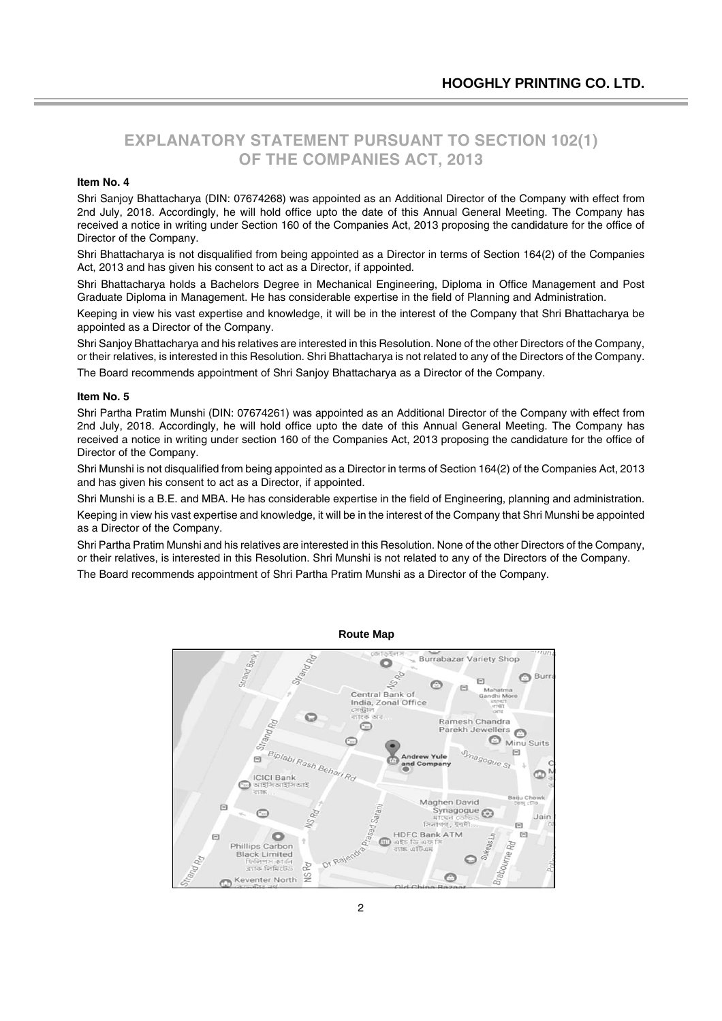# **EXPLANATORY STATEMENT PURSUANT TO SECTION 102(1) OF THE COMPANIES ACT, 2013**

#### **Item No. 4**

Shri Sanjoy Bhattacharya (DIN: 07674268) was appointed as an Additional Director of the Company with effect from 2nd July, 2018. Accordingly, he will hold office upto the date of this Annual General Meeting. The Company has received a notice in writing under Section 160 of the Companies Act, 2013 proposing the candidature for the office of Director of the Company.

Shri Bhattacharya is not disqualified from being appointed as a Director in terms of Section 164(2) of the Companies Act, 2013 and has given his consent to act as a Director, if appointed.

Shri Bhattacharya holds a Bachelors Degree in Mechanical Engineering, Diploma in Office Management and Post Graduate Diploma in Management. He has considerable expertise in the field of Planning and Administration.

Keeping in view his vast expertise and knowledge, it will be in the interest of the Company that Shri Bhattacharya be appointed as a Director of the Company.

Shri Sanjoy Bhattacharya and his relatives are interested in this Resolution. None of the other Directors of the Company, or their relatives, is interested in this Resolution. Shri Bhattacharya is not related to any of the Directors of the Company.

The Board recommends appointment of Shri Sanjoy Bhattacharya as a Director of the Company.

#### **Item No. 5**

Shri Partha Pratim Munshi (DIN: 07674261) was appointed as an Additional Director of the Company with effect from 2nd July, 2018. Accordingly, he will hold office upto the date of this Annual General Meeting. The Company has received a notice in writing under section 160 of the Companies Act, 2013 proposing the candidature for the office of Director of the Company.

Shri Munshi is not disqualified from being appointed as a Director in terms of Section 164(2) of the Companies Act, 2013 and has given his consent to act as a Director, if appointed.

Shri Munshi is a B.E. and MBA. He has considerable expertise in the field of Engineering, planning and administration.

Keeping in view his vast expertise and knowledge, it will be in the interest of the Company that Shri Munshi be appointed as a Director of the Company.

Shri Partha Pratim Munshi and his relatives are interested in this Resolution. None of the other Directors of the Company, or their relatives, is interested in this Resolution. Shri Munshi is not related to any of the Directors of the Company.

The Board recommends appointment of Shri Partha Pratim Munshi as a Director of the Company.



### **Route Map**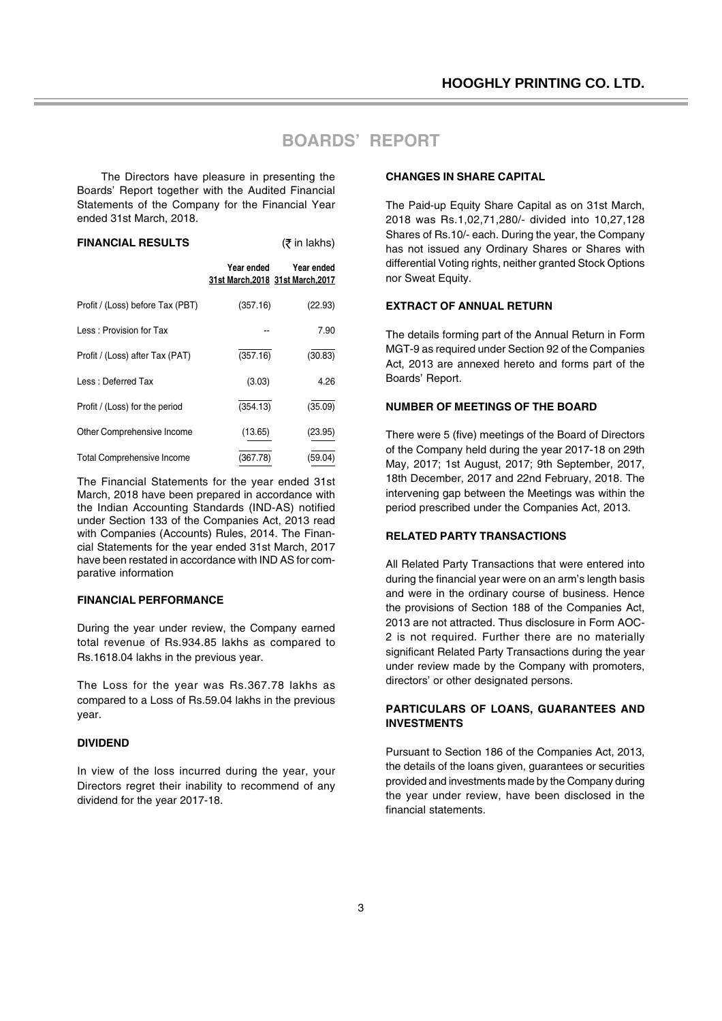# **BOARDS' REPORT**

The Directors have pleasure in presenting the Boards' Report together with the Audited Financial Statements of the Company for the Financial Year ended 31st March, 2018.

| <b>FINANCIAL RESULTS</b> |            | (₹ in lakhs) |
|--------------------------|------------|--------------|
|                          | Voor ondod | Voor andad   |

|                                   | i vui viiuvu | TVUI VIIVVU<br>31st March, 2018 31st March, 2017 |
|-----------------------------------|--------------|--------------------------------------------------|
| Profit / (Loss) before Tax (PBT)  | (357.16)     | (22.93)                                          |
| Less: Provision for Tax           |              | 7.90                                             |
| Profit / (Loss) after Tax (PAT)   | (357.16)     | (30.83)                                          |
| Less: Deferred Tax                | (3.03)       | 4.26                                             |
| Profit / (Loss) for the period    | (354.13)     | (35.09)                                          |
| Other Comprehensive Income        | (13.65)      | (23.95)                                          |
| <b>Total Comprehensive Income</b> | (367.78)     | (59.04)                                          |

The Financial Statements for the year ended 31st March, 2018 have been prepared in accordance with the Indian Accounting Standards (IND-AS) notified under Section 133 of the Companies Act, 2013 read with Companies (Accounts) Rules, 2014. The Financial Statements for the year ended 31st March, 2017 have been restated in accordance with IND AS for comparative information

### **FINANCIAL PERFORMANCE**

During the year under review, the Company earned total revenue of Rs.934.85 lakhs as compared to Rs.1618.04 lakhs in the previous year.

The Loss for the year was Rs.367.78 lakhs as compared to a Loss of Rs.59.04 lakhs in the previous year.

### **DIVIDEND**

In view of the loss incurred during the year, your Directors regret their inability to recommend of any dividend for the year 2017-18.

#### **CHANGES IN SHARE CAPITAL**

The Paid-up Equity Share Capital as on 31st March, 2018 was Rs.1,02,71,280/- divided into 10,27,128 Shares of Rs.10/- each. During the year, the Company has not issued any Ordinary Shares or Shares with differential Voting rights, neither granted Stock Options nor Sweat Equity.

### **EXTRACT OF ANNUAL RETURN**

The details forming part of the Annual Return in Form MGT-9 as required under Section 92 of the Companies Act, 2013 are annexed hereto and forms part of the Boards' Report.

### **NUMBER OF MEETINGS OF THE BOARD**

There were 5 (five) meetings of the Board of Directors of the Company held during the year 2017-18 on 29th May, 2017; 1st August, 2017; 9th September, 2017, 18th December, 2017 and 22nd February, 2018. The intervening gap between the Meetings was within the period prescribed under the Companies Act, 2013.

#### **RELATED PARTY TRANSACTIONS**

All Related Party Transactions that were entered into during the financial year were on an arm's length basis and were in the ordinary course of business. Hence the provisions of Section 188 of the Companies Act, 2013 are not attracted. Thus disclosure in Form AOC-2 is not required. Further there are no materially significant Related Party Transactions during the year under review made by the Company with promoters, directors' or other designated persons.

### **PARTICULARS OF LOANS, GUARANTEES AND INVESTMENTS**

Pursuant to Section 186 of the Companies Act, 2013, the details of the loans given, guarantees or securities provided and investments made by the Company during the year under review, have been disclosed in the financial statements.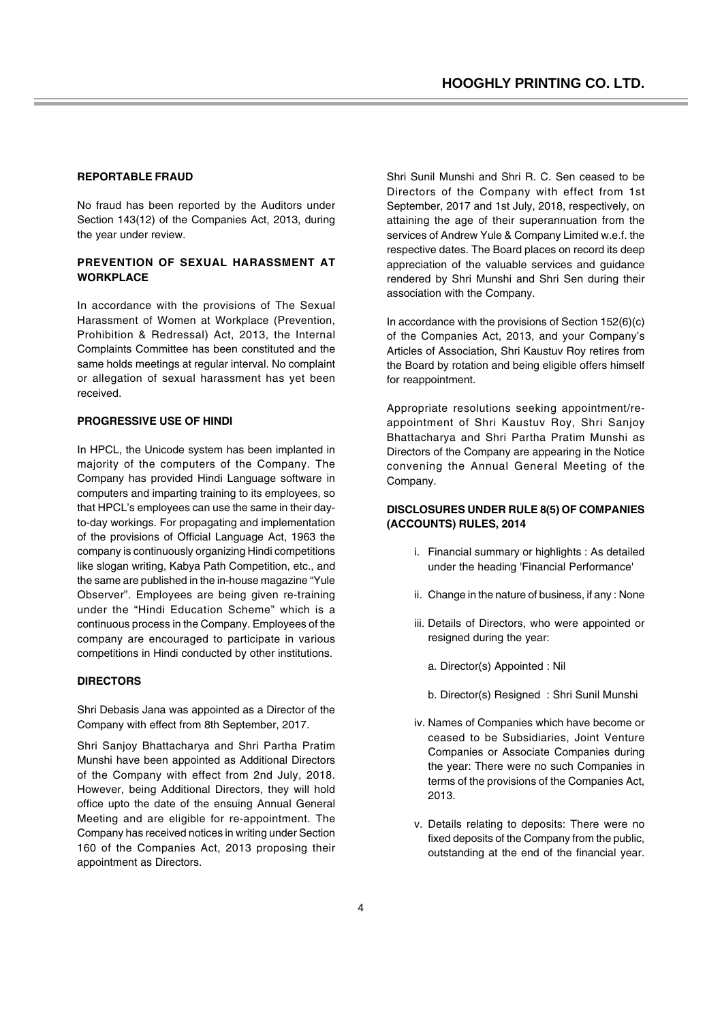#### **REPORTABLE FRAUD**

No fraud has been reported by the Auditors under Section 143(12) of the Companies Act, 2013, during the year under review.

### **PREVENTION OF SEXUAL HARASSMENT AT WORKPLACE**

In accordance with the provisions of The Sexual Harassment of Women at Workplace (Prevention, Prohibition & Redressal) Act, 2013, the Internal Complaints Committee has been constituted and the same holds meetings at regular interval. No complaint or allegation of sexual harassment has yet been received.

#### **PROGRESSIVE USE OF HINDI**

In HPCL, the Unicode system has been implanted in majority of the computers of the Company. The Company has provided Hindi Language software in computers and imparting training to its employees, so that HPCL's employees can use the same in their dayto-day workings. For propagating and implementation of the provisions of Official Language Act, 1963 the company is continuously organizing Hindi competitions like slogan writing, Kabya Path Competition, etc., and the same are published in the in-house magazine "Yule Observer". Employees are being given re-training under the "Hindi Education Scheme" which is a continuous process in the Company. Employees of the company are encouraged to participate in various competitions in Hindi conducted by other institutions.

### **DIRECTORS**

Shri Debasis Jana was appointed as a Director of the Company with effect from 8th September, 2017.

Shri Sanjoy Bhattacharya and Shri Partha Pratim Munshi have been appointed as Additional Directors of the Company with effect from 2nd July, 2018. However, being Additional Directors, they will hold office upto the date of the ensuing Annual General Meeting and are eligible for re-appointment. The Company has received notices in writing under Section 160 of the Companies Act, 2013 proposing their appointment as Directors.

Shri Sunil Munshi and Shri R. C. Sen ceased to be Directors of the Company with effect from 1st September, 2017 and 1st July, 2018, respectively, on attaining the age of their superannuation from the services of Andrew Yule & Company Limited w.e.f. the respective dates. The Board places on record its deep appreciation of the valuable services and guidance rendered by Shri Munshi and Shri Sen during their association with the Company.

In accordance with the provisions of Section 152(6)(c) of the Companies Act, 2013, and your Company's Articles of Association, Shri Kaustuv Roy retires from the Board by rotation and being eligible offers himself for reappointment.

Appropriate resolutions seeking appointment/reappointment of Shri Kaustuv Roy, Shri Sanjoy Bhattacharya and Shri Partha Pratim Munshi as Directors of the Company are appearing in the Notice convening the Annual General Meeting of the Company.

### **DISCLOSURES UNDER RULE 8(5) OF COMPANIES (ACCOUNTS) RULES, 2014**

- i. Financial summary or highlights : As detailed under the heading 'Financial Performance'
- ii. Change in the nature of business, if any : None
- iii. Details of Directors, who were appointed or resigned during the year:
	- a. Director(s) Appointed : Nil
	- b. Director(s) Resigned : Shri Sunil Munshi
- iv. Names of Companies which have become or ceased to be Subsidiaries, Joint Venture Companies or Associate Companies during the year: There were no such Companies in terms of the provisions of the Companies Act, 2013.
- v. Details relating to deposits: There were no fixed deposits of the Company from the public, outstanding at the end of the financial year.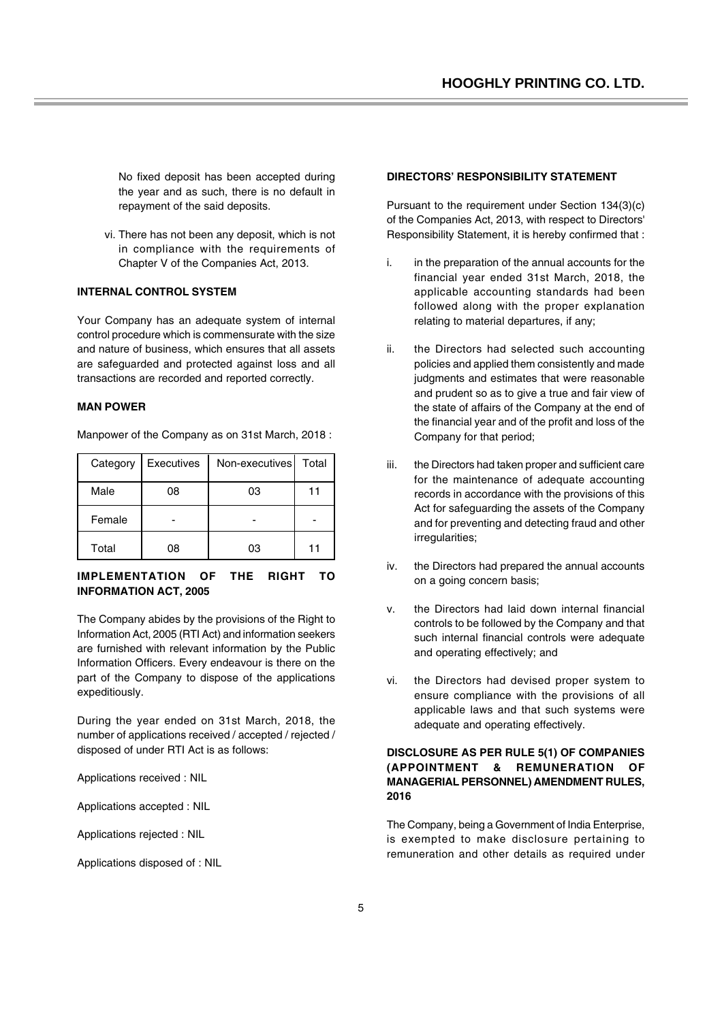No fixed deposit has been accepted during the year and as such, there is no default in repayment of the said deposits.

vi. There has not been any deposit, which is not in compliance with the requirements of Chapter V of the Companies Act, 2013.

### **INTERNAL CONTROL SYSTEM**

Your Company has an adequate system of internal control procedure which is commensurate with the size and nature of business, which ensures that all assets are safeguarded and protected against loss and all transactions are recorded and reported correctly.

### **MAN POWER**

Manpower of the Company as on 31st March, 2018 :

| Category | Executives | Non-executives Total |    |
|----------|------------|----------------------|----|
| Male     | 08         | 03                   | 11 |
| Female   |            |                      |    |
| Total    | 08         | 03                   | 11 |

### **IMPLEMENTATION OF THE RIGHT TO INFORMATION ACT, 2005**

The Company abides by the provisions of the Right to Information Act, 2005 (RTI Act) and information seekers are furnished with relevant information by the Public Information Officers. Every endeavour is there on the part of the Company to dispose of the applications expeditiously.

During the year ended on 31st March, 2018, the number of applications received / accepted / rejected / disposed of under RTI Act is as follows:

Applications received : NIL

Applications accepted : NIL

Applications rejected : NIL

Applications disposed of : NIL

#### **DIRECTORS' RESPONSIBILITY STATEMENT**

Pursuant to the requirement under Section 134(3)(c) of the Companies Act, 2013, with respect to Directors' Responsibility Statement, it is hereby confirmed that :

- i. in the preparation of the annual accounts for the financial year ended 31st March, 2018, the applicable accounting standards had been followed along with the proper explanation relating to material departures, if any;
- ii. the Directors had selected such accounting policies and applied them consistently and made judgments and estimates that were reasonable and prudent so as to give a true and fair view of the state of affairs of the Company at the end of the financial year and of the profit and loss of the Company for that period;
- iii. the Directors had taken proper and sufficient care for the maintenance of adequate accounting records in accordance with the provisions of this Act for safeguarding the assets of the Company and for preventing and detecting fraud and other irregularities;
- iv. the Directors had prepared the annual accounts on a going concern basis;
- v. the Directors had laid down internal financial controls to be followed by the Company and that such internal financial controls were adequate and operating effectively; and
- vi. the Directors had devised proper system to ensure compliance with the provisions of all applicable laws and that such systems were adequate and operating effectively.

### **DISCLOSURE AS PER RULE 5(1) OF COMPANIES (APPOINTMENT & REMUNERATION OF MANAGERIAL PERSONNEL) AMENDMENT RULES, 2016**

The Company, being a Government of India Enterprise, is exempted to make disclosure pertaining to remuneration and other details as required under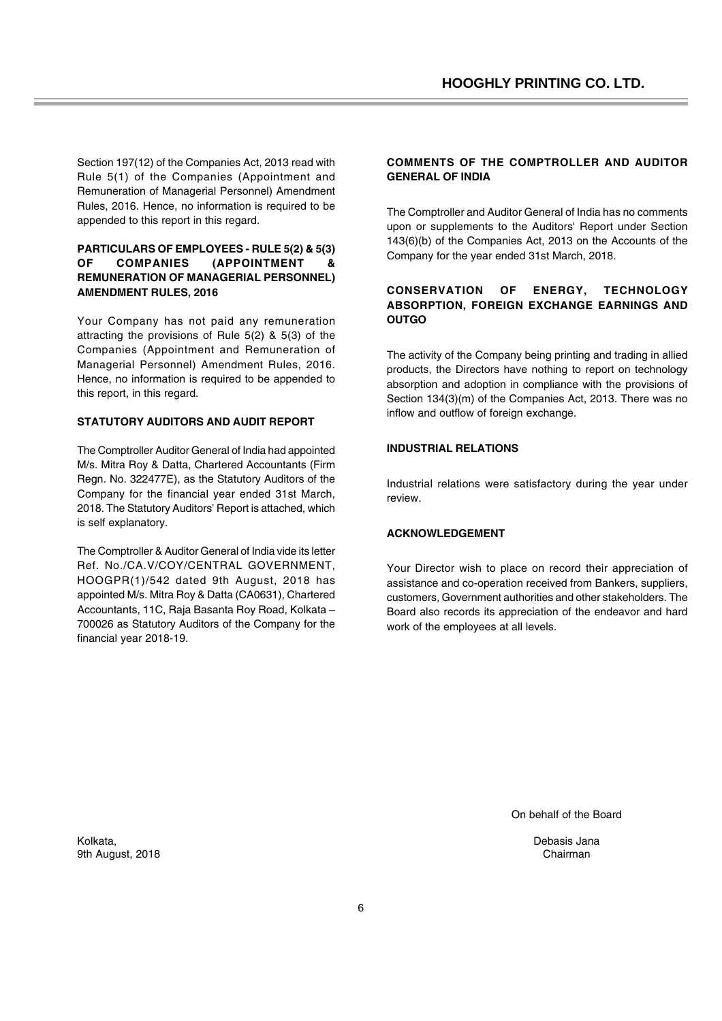Section 197(12) of the Companies Act, 2013 read with Rule 5(1) of the Companies (Appointment and Remuneration of Managerial Personnel) Amendment Rules, 2016. Hence, no information is required to be appended to this report in this regard.

### **PARTICULARS OF EMPLOYEES - RULE 5(2) & 5(3) OF COMPANIES (APPOINTMENT & REMUNERATION OF MANAGERIAL PERSONNEL) AMENDMENT RULES, 2016**

Your Company has not paid any remuneration attracting the provisions of Rule 5(2) & 5(3) of the Companies (Appointment and Remuneration of Managerial Personnel) Amendment Rules, 2016. Hence, no information is required to be appended to this report, in this regard.

### **STATUTORY AUDITORS AND AUDIT REPORT**

The Comptroller Auditor General of India had appointed M/s. Mitra Roy & Datta, Chartered Accountants (Firm Regn. No. 322477E), as the Statutory Auditors of the Company for the financial year ended 31st March, 2018. The Statutory Auditors' Report is attached, which is self explanatory.

The Comptroller & Auditor General of India vide its letter Ref. No./CA.V/COY/CENTRAL GOVERNMENT, HOOGPR(1)/542 dated 9th August, 2018 has appointed M/s. Mitra Roy & Datta (CA0631), Chartered Accountants, 11C, Raja Basanta Roy Road, Kolkata – 700026 as Statutory Auditors of the Company for the financial year 2018-19.

### **COMMENTS OF THE COMPTROLLER AND AUDITOR GENERAL OF INDIA**

The Comptroller and Auditor General of India has no comments upon or supplements to the Auditors' Report under Section 143(6)(b) of the Companies Act, 2013 on the Accounts of the Company for the year ended 31st March, 2018.

### **CONSERVATION OF ENERGY, TECHNOLOGY ABSORPTION, FOREIGN EXCHANGE EARNINGS AND OUTGO**

The activity of the Company being printing and trading in allied products, the Directors have nothing to report on technology absorption and adoption in compliance with the provisions of Section 134(3)(m) of the Companies Act, 2013. There was no inflow and outflow of foreign exchange.

### **INDUSTRIAL RELATIONS**

Industrial relations were satisfactory during the year under review.

### **ACKNOWLEDGEMENT**

Your Director wish to place on record their appreciation of assistance and co-operation received from Bankers, suppliers, customers, Government authorities and other stakeholders. The Board also records its appreciation of the endeavor and hard work of the employees at all levels.

On behalf of the Board

Debasis Jana Chairman

Kolkata, 9th August, 2018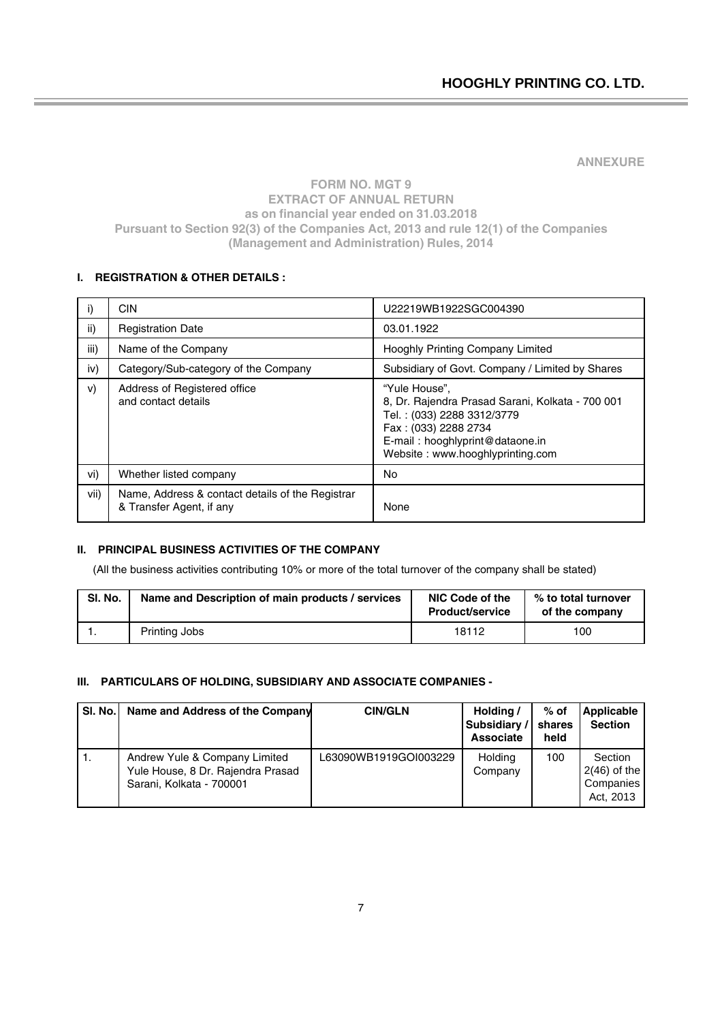**ANNEXURE**

## **FORM NO. MGT 9 EXTRACT OF ANNUAL RETURN as on financial year ended on 31.03.2018 Pursuant to Section 92(3) of the Companies Act, 2013 and rule 12(1) of the Companies (Management and Administration) Rules, 2014**

# **I. REGISTRATION & OTHER DETAILS :**

| i)   | <b>CIN</b>                                                                   | U22219WB1922SGC004390                                                                                                                                                                          |
|------|------------------------------------------------------------------------------|------------------------------------------------------------------------------------------------------------------------------------------------------------------------------------------------|
| ii)  | <b>Registration Date</b>                                                     | 03.01.1922                                                                                                                                                                                     |
| iii) | Name of the Company                                                          | Hooghly Printing Company Limited                                                                                                                                                               |
| iv)  | Category/Sub-category of the Company                                         | Subsidiary of Govt. Company / Limited by Shares                                                                                                                                                |
| V)   | Address of Registered office<br>and contact details                          | "Yule House",<br>8, Dr. Rajendra Prasad Sarani, Kolkata - 700 001<br>Tel.: (033) 2288 3312/3779<br>Fax: (033) 2288 2734<br>E-mail: hooghlyprint@dataone.in<br>Website: www.hooghlyprinting.com |
| vi)  | Whether listed company                                                       | No                                                                                                                                                                                             |
| vii) | Name, Address & contact details of the Registrar<br>& Transfer Agent, if any | None                                                                                                                                                                                           |

### **II. PRINCIPAL BUSINESS ACTIVITIES OF THE COMPANY**

(All the business activities contributing 10% or more of the total turnover of the company shall be stated)

| SI. No.                                          |               | NIC Code of the        | % to total turnover |  |
|--------------------------------------------------|---------------|------------------------|---------------------|--|
| Name and Description of main products / services |               | <b>Product/service</b> | of the company      |  |
| . .                                              | Printing Jobs | 18112                  | 100                 |  |

### **III. PARTICULARS OF HOLDING, SUBSIDIARY AND ASSOCIATE COMPANIES -**

| SI. No. | Name and Address of the Company                                                                | <b>CIN/GLN</b>        | Holding /<br>Subsidiary /<br><b>Associate</b> | $%$ of<br>shares<br>held | Applicable<br><b>Section</b>                        |
|---------|------------------------------------------------------------------------------------------------|-----------------------|-----------------------------------------------|--------------------------|-----------------------------------------------------|
| 1.      | Andrew Yule & Company Limited<br>Yule House, 8 Dr. Rajendra Prasad<br>Sarani, Kolkata - 700001 | L63090WB1919GOI003229 | Holding<br>Company                            | 100                      | Section<br>$2(46)$ of the<br>Companies<br>Act, 2013 |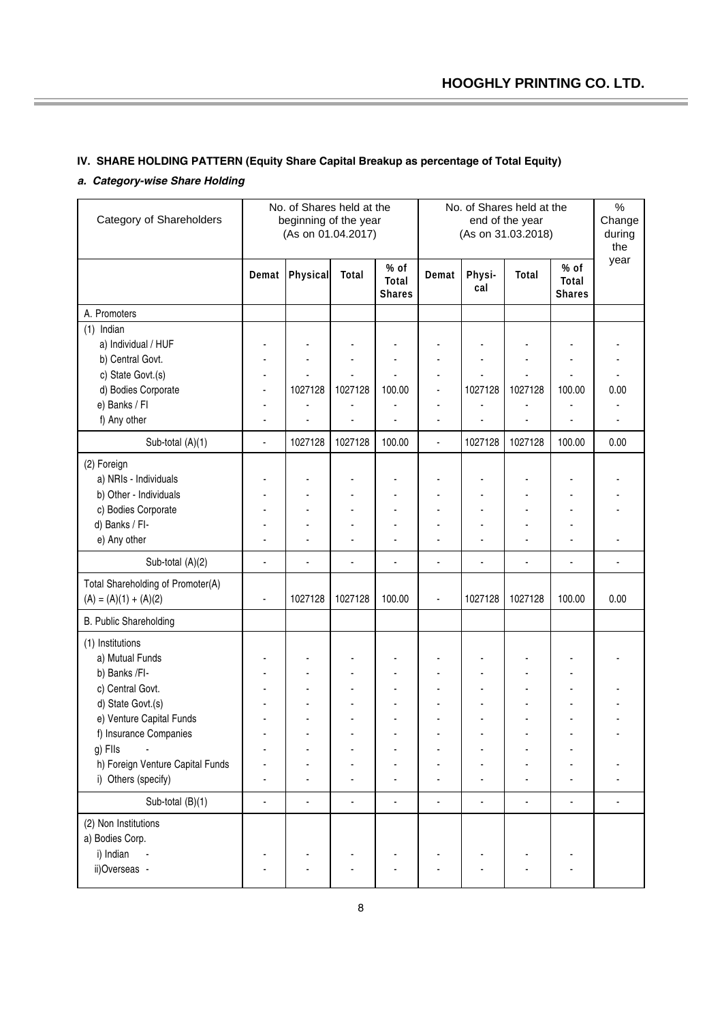# **IV. SHARE HOLDING PATTERN (Equity Share Capital Breakup as percentage of Total Equity)**

# *a. Category-wise Share Holding*

| Category of Shareholders          | No. of Shares held at the<br>beginning of the year<br>(As on 01.04.2017) |                 |         | No. of Shares held at the<br>end of the year<br>(As on 31.03.2018) |                |                |         | $\%$<br>Change<br>during<br>the |      |
|-----------------------------------|--------------------------------------------------------------------------|-----------------|---------|--------------------------------------------------------------------|----------------|----------------|---------|---------------------------------|------|
|                                   | Demat                                                                    | <b>Physical</b> | Total   | % of<br>Total<br><b>Shares</b>                                     | Demat          | Physi-<br>cal  | Total   | % of<br>Total<br><b>Shares</b>  | year |
| A. Promoters                      |                                                                          |                 |         |                                                                    |                |                |         |                                 |      |
| Indian<br>(1)                     |                                                                          |                 |         |                                                                    |                |                |         |                                 |      |
| a) Individual / HUF               |                                                                          |                 |         |                                                                    |                |                |         |                                 |      |
| b) Central Govt.                  |                                                                          |                 |         |                                                                    |                |                |         |                                 |      |
| c) State Govt.(s)                 |                                                                          |                 |         |                                                                    | ä,             |                |         |                                 |      |
| d) Bodies Corporate               |                                                                          | 1027128         | 1027128 | 100.00                                                             | ä,             | 1027128        | 1027128 | 100.00                          | 0.00 |
| e) Banks / Fl                     |                                                                          |                 |         |                                                                    | $\blacksquare$ |                |         |                                 |      |
| f) Any other                      |                                                                          |                 |         |                                                                    | ä,             |                |         |                                 |      |
| Sub-total (A)(1)                  | ä,                                                                       | 1027128         | 1027128 | 100.00                                                             | $\blacksquare$ | 1027128        | 1027128 | 100.00                          | 0.00 |
| (2) Foreign                       |                                                                          |                 |         |                                                                    |                |                |         |                                 |      |
| a) NRIs - Individuals             |                                                                          |                 |         |                                                                    |                |                |         |                                 |      |
| b) Other - Individuals            |                                                                          |                 |         |                                                                    |                |                |         |                                 |      |
| c) Bodies Corporate               |                                                                          |                 |         |                                                                    |                |                |         |                                 |      |
| d) Banks / FI-                    |                                                                          |                 |         |                                                                    |                |                |         |                                 |      |
| e) Any other                      |                                                                          |                 |         |                                                                    |                |                |         |                                 |      |
| Sub-total (A)(2)                  |                                                                          | ä,              |         |                                                                    |                |                |         |                                 |      |
| Total Shareholding of Promoter(A) |                                                                          |                 |         |                                                                    |                |                |         |                                 |      |
| $(A) = (A)(1) + (A)(2)$           |                                                                          | 1027128         | 1027128 | 100.00                                                             | ä,             | 1027128        | 1027128 | 100.00                          | 0.00 |
| B. Public Shareholding            |                                                                          |                 |         |                                                                    |                |                |         |                                 |      |
| (1) Institutions                  |                                                                          |                 |         |                                                                    |                |                |         |                                 |      |
| a) Mutual Funds                   |                                                                          |                 |         |                                                                    |                |                |         |                                 |      |
| b) Banks /FI-                     |                                                                          |                 |         |                                                                    |                |                |         |                                 |      |
| c) Central Govt.                  |                                                                          |                 |         |                                                                    | $\blacksquare$ |                |         | $\blacksquare$                  |      |
| d) State Govt.(s)                 |                                                                          |                 |         |                                                                    |                |                |         |                                 |      |
| e) Venture Capital Funds          |                                                                          |                 |         |                                                                    |                |                |         |                                 |      |
| f) Insurance Companies            |                                                                          |                 |         |                                                                    |                |                |         |                                 |      |
| g) Flls                           |                                                                          |                 |         |                                                                    |                |                |         |                                 |      |
| h) Foreign Venture Capital Funds  |                                                                          |                 |         |                                                                    |                |                |         |                                 |      |
| i) Others (specify)               |                                                                          |                 |         |                                                                    |                |                |         |                                 |      |
| Sub-total (B)(1)                  | ٠                                                                        | ٠               | ÷,      | $\blacksquare$                                                     | ä,             | $\blacksquare$ | ÷,      | ä,                              |      |
| (2) Non Institutions              |                                                                          |                 |         |                                                                    |                |                |         |                                 |      |
| a) Bodies Corp.                   |                                                                          |                 |         |                                                                    |                |                |         |                                 |      |
| i) Indian                         |                                                                          |                 |         |                                                                    |                |                |         |                                 |      |
| ii)Overseas -                     |                                                                          |                 |         |                                                                    |                |                |         |                                 |      |
|                                   |                                                                          |                 |         |                                                                    |                |                |         |                                 |      |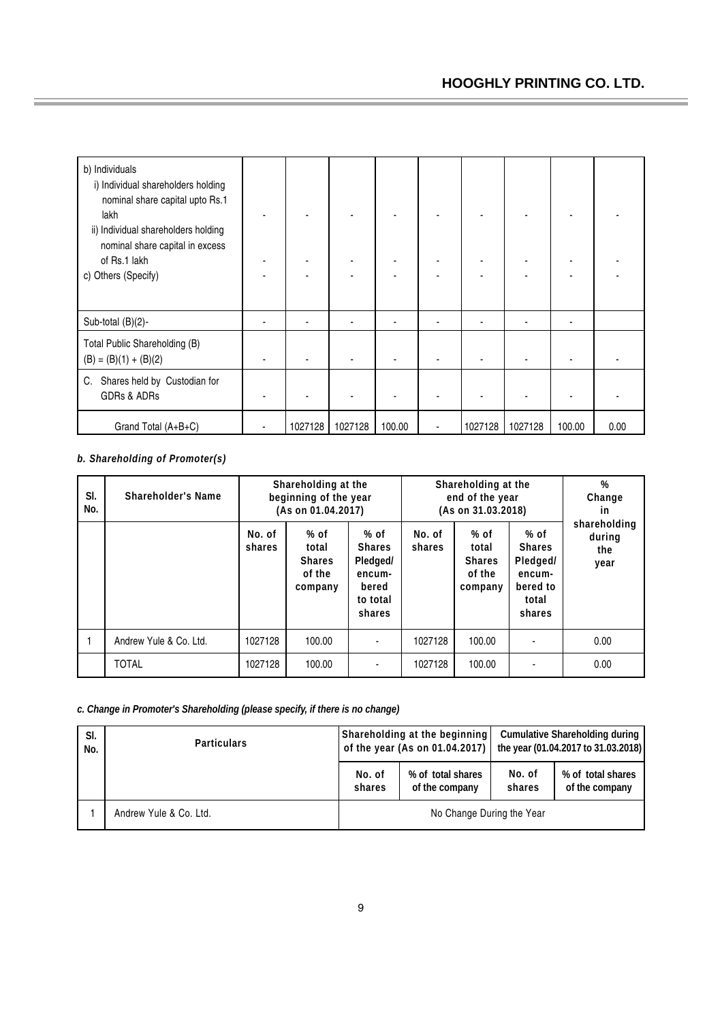| b) Individuals<br>i) Individual shareholders holding<br>nominal share capital upto Rs.1<br>lakh<br>ii) Individual shareholders holding<br>nominal share capital in excess<br>of Rs.1 lakh<br>c) Others (Specify) | ٠       |         |        |         |         |        |      |
|------------------------------------------------------------------------------------------------------------------------------------------------------------------------------------------------------------------|---------|---------|--------|---------|---------|--------|------|
| Sub-total (B)(2)-                                                                                                                                                                                                | ۰       |         |        |         |         |        |      |
| Total Public Shareholding (B)<br>$(B) = (B)(1) + (B)(2)$                                                                                                                                                         |         |         |        |         |         |        |      |
| Shares held by Custodian for<br>C.<br>GDRs & ADRs                                                                                                                                                                |         |         |        |         |         |        |      |
| Grand Total (A+B+C)                                                                                                                                                                                              | 1027128 | 1027128 | 100.00 | 1027128 | 1027128 | 100.00 | 0.00 |

# *b. Shareholding of Promoter(s)*

| SI.<br>No. | Shareholder's Name     | Shareholding at the<br>beginning of the year<br>(As on 01.04.2017) |                                                       |                                                                              | Shareholding at the<br>end of the year<br>(As on 31.03.2018) | %<br>Change<br><i>in</i>                              |                                                                            |                                       |
|------------|------------------------|--------------------------------------------------------------------|-------------------------------------------------------|------------------------------------------------------------------------------|--------------------------------------------------------------|-------------------------------------------------------|----------------------------------------------------------------------------|---------------------------------------|
|            |                        | No. of<br>shares                                                   | $%$ of<br>total<br><b>Shares</b><br>of the<br>company | $%$ of<br><b>Shares</b><br>Pledged/<br>encum-<br>bered<br>to total<br>shares | No. of<br>shares                                             | $%$ of<br>total<br><b>Shares</b><br>of the<br>company | % of<br><b>Shares</b><br>Pledged/<br>encum-<br>bered to<br>total<br>shares | shareholding<br>during<br>the<br>year |
|            | Andrew Yule & Co. Ltd. | 1027128                                                            | 100.00                                                |                                                                              | 1027128                                                      | 100.00                                                |                                                                            | 0.00                                  |
|            | <b>TOTAL</b>           | 1027128                                                            | 100.00                                                |                                                                              | 1027128                                                      | 100.00                                                |                                                                            | 0.00                                  |

*c. Change in Promoter's Shareholding (please specify, if there is no change)*

| SI.<br>No. | <b>Particulars</b>     |                           | Shareholding at the beginning       |                  | <b>Cumulative Shareholding during</b><br>of the year (As on 01.04.2017)   the year (01.04.2017 to 31.03.2018) |  |  |
|------------|------------------------|---------------------------|-------------------------------------|------------------|---------------------------------------------------------------------------------------------------------------|--|--|
|            |                        | No. of<br>shares          | % of total shares<br>of the company | No. of<br>shares | % of total shares<br>of the company                                                                           |  |  |
|            | Andrew Yule & Co. Ltd. | No Change During the Year |                                     |                  |                                                                                                               |  |  |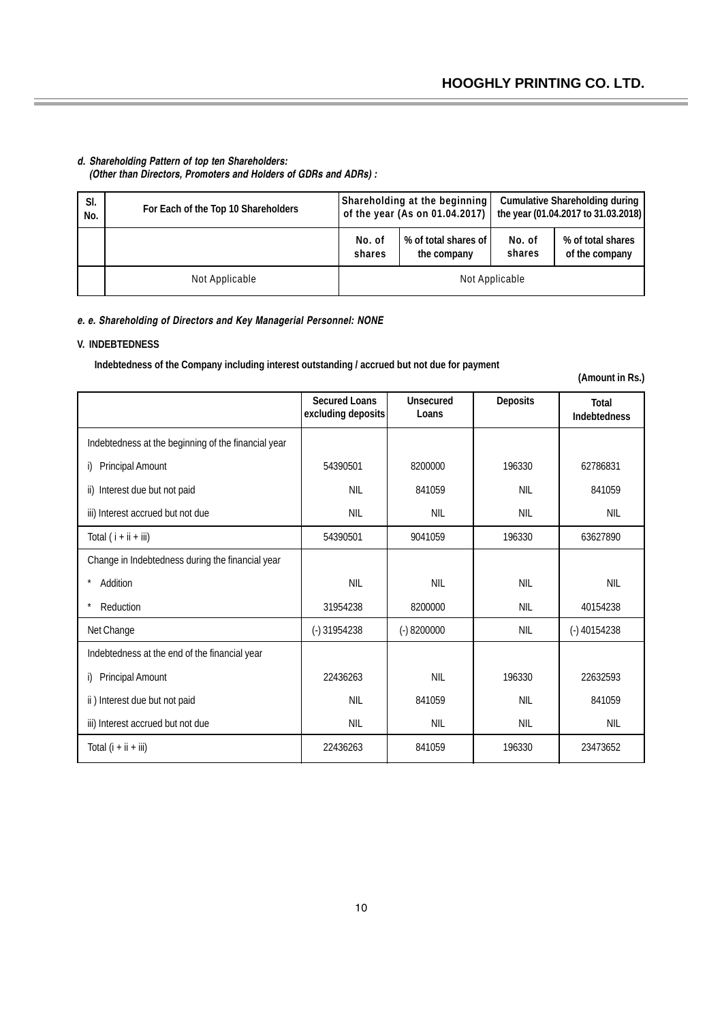### *d. Shareholding Pattern of top ten Shareholders: (Other than Directors, Promoters and Holders of GDRs and ADRs) :*

| SI.<br>No. | For Each of the Top 10 Shareholders |                  | Shareholding at the beginning<br>of the year (As on 01.04.2017) | <b>Cumulative Shareholding during</b><br>the year (01.04.2017 to 31.03.2018) |                                     |  |
|------------|-------------------------------------|------------------|-----------------------------------------------------------------|------------------------------------------------------------------------------|-------------------------------------|--|
|            |                                     | No. of<br>shares | % of total shares of<br>the company                             | No. of<br>shares                                                             | % of total shares<br>of the company |  |
|            | Not Applicable                      | Not Applicable   |                                                                 |                                                                              |                                     |  |

### *e. e. Shareholding of Directors and Key Managerial Personnel: NONE*

### **V. INDEBTEDNESS**

 **Indebtedness of the Company including interest outstanding / accrued but not due for payment**

**(Amount in Rs.)**

|                                                     | <b>Secured Loans</b><br>excluding deposits | Unsecured<br>Loans | <b>Deposits</b> | Total<br><b>Indebtedness</b> |
|-----------------------------------------------------|--------------------------------------------|--------------------|-----------------|------------------------------|
| Indebtedness at the beginning of the financial year |                                            |                    |                 |                              |
| Principal Amount<br>i)                              | 54390501                                   | 8200000            | 196330          | 62786831                     |
| Interest due but not paid<br>ii)                    | <b>NIL</b>                                 | 841059             | <b>NIL</b>      | 841059                       |
| iii) Interest accrued but not due                   | <b>NIL</b>                                 | <b>NIL</b>         | <b>NIL</b>      | <b>NIL</b>                   |
| Total $(i + ii + iii)$                              | 54390501                                   | 9041059            | 196330          | 63627890                     |
| Change in Indebtedness during the financial year    |                                            |                    |                 |                              |
| $\star$<br>Addition                                 | <b>NIL</b>                                 | <b>NIL</b>         | <b>NIL</b>      | <b>NIL</b>                   |
| $\star$<br>Reduction                                | 31954238                                   | 8200000            | <b>NIL</b>      | 40154238                     |
| Net Change                                          | $(-)31954238$                              | $(-) 8200000$      | <b>NIL</b>      | $(-)$ 40154238               |
| Indebtedness at the end of the financial year       |                                            |                    |                 |                              |
| <b>Principal Amount</b><br>i)                       | 22436263                                   | <b>NIL</b>         | 196330          | 22632593                     |
| ii) Interest due but not paid                       | <b>NIL</b>                                 | 841059             | <b>NIL</b>      | 841059                       |
| iii) Interest accrued but not due                   | <b>NIL</b>                                 | <b>NIL</b>         | <b>NIL</b>      | <b>NIL</b>                   |
| Total $(i + ii + iii)$                              | 22436263                                   | 841059             | 196330          | 23473652                     |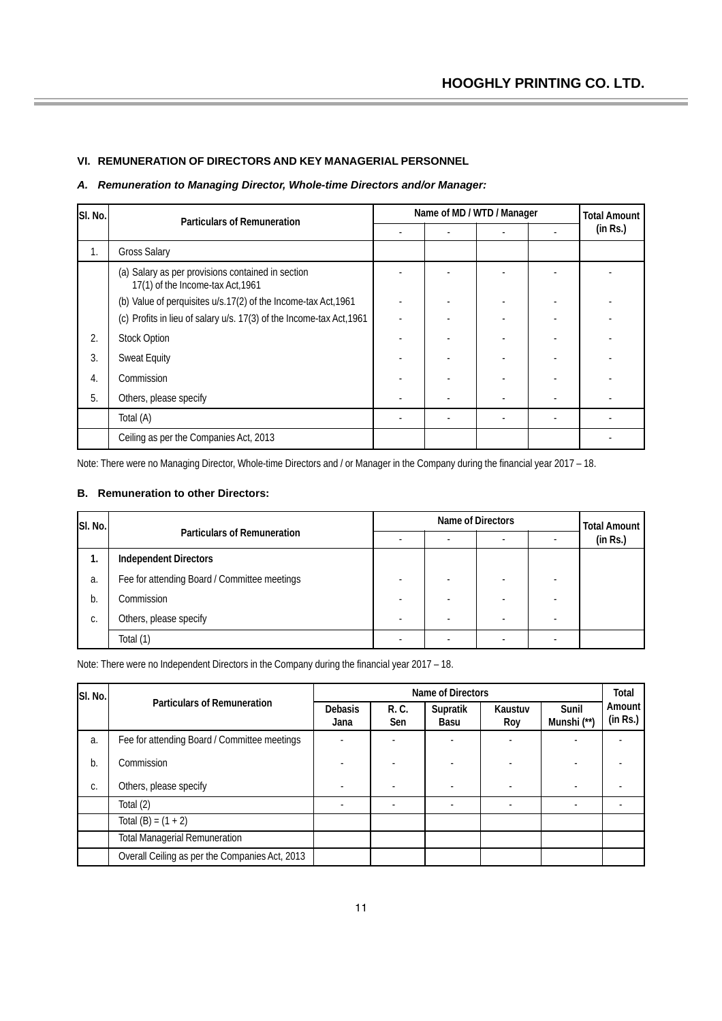## **VI. REMUNERATION OF DIRECTORS AND KEY MANAGERIAL PERSONNEL**

# *A. Remuneration to Managing Director, Whole-time Directors and/or Manager:*

| SI. No. | <b>Particulars of Remuneration</b>                                                     | Name of MD / WTD / Manager |  |  |  | <b>Total Amount</b> |
|---------|----------------------------------------------------------------------------------------|----------------------------|--|--|--|---------------------|
|         |                                                                                        |                            |  |  |  | (in Rs.)            |
| 1.      | <b>Gross Salary</b>                                                                    |                            |  |  |  |                     |
|         | (a) Salary as per provisions contained in section<br>17(1) of the Income-tax Act, 1961 |                            |  |  |  |                     |
|         | (b) Value of perquisites u/s.17(2) of the Income-tax Act, 1961                         |                            |  |  |  |                     |
|         | (c) Profits in lieu of salary u/s. 17(3) of the Income-tax Act, 1961                   |                            |  |  |  |                     |
| 2.      | <b>Stock Option</b>                                                                    |                            |  |  |  |                     |
| 3.      | <b>Sweat Equity</b>                                                                    |                            |  |  |  |                     |
| 4.      | Commission                                                                             |                            |  |  |  |                     |
| 5.      | Others, please specify                                                                 |                            |  |  |  |                     |
|         | Total (A)                                                                              |                            |  |  |  |                     |
|         | Ceiling as per the Companies Act, 2013                                                 |                            |  |  |  |                     |

Note: There were no Managing Director, Whole-time Directors and / or Manager in the Company during the financial year 2017 – 18.

### **B. Remuneration to other Directors:**

| SI. No. |                                              | Name of Directors |  |  |  | <b>Total Amount</b> |
|---------|----------------------------------------------|-------------------|--|--|--|---------------------|
|         | <b>Particulars of Remuneration</b>           |                   |  |  |  | (in Rs.)            |
| ι.      | <b>Independent Directors</b>                 |                   |  |  |  |                     |
| a.      | Fee for attending Board / Committee meetings |                   |  |  |  |                     |
| b.      | Commission                                   |                   |  |  |  |                     |
| С.      | Others, please specify                       |                   |  |  |  |                     |
|         | Total (1)                                    |                   |  |  |  |                     |

Note: There were no Independent Directors in the Company during the financial year 2017 – 18.

| SI. No. |                                                | Name of Directors |              |                  |                |                      |                    |
|---------|------------------------------------------------|-------------------|--------------|------------------|----------------|----------------------|--------------------|
|         | <b>Particulars of Remuneration</b>             | Debasis<br>Jana   | R. C.<br>Sen | Supratik<br>Basu | Kaustuv<br>Roy | Sunil<br>Munshi (**) | Amount<br>(in Rs.) |
| a.      | Fee for attending Board / Committee meetings   |                   |              |                  |                |                      |                    |
| b.      | Commission                                     |                   |              |                  |                |                      |                    |
| C.      | Others, please specify                         |                   |              | ٠                |                |                      |                    |
|         | Total (2)                                      |                   |              | ٠                |                |                      |                    |
|         | Total $(B) = (1 + 2)$                          |                   |              |                  |                |                      |                    |
|         | <b>Total Managerial Remuneration</b>           |                   |              |                  |                |                      |                    |
|         | Overall Ceiling as per the Companies Act, 2013 |                   |              |                  |                |                      |                    |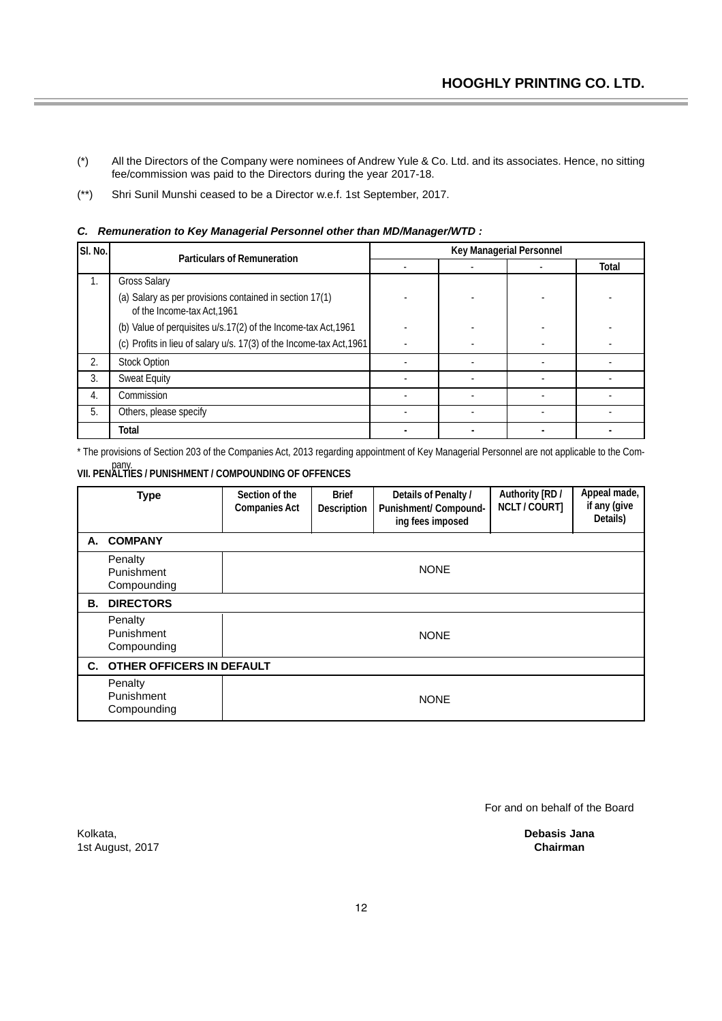- (\*) All the Directors of the Company were nominees of Andrew Yule & Co. Ltd. and its associates. Hence, no sitting fee/commission was paid to the Directors during the year 2017-18.
- (\*\*) Shri Sunil Munshi ceased to be a Director w.e.f. 1st September, 2017.

| SI. No. | <b>Particulars of Remuneration</b>                                                     | Key Managerial Personnel |  |  |       |
|---------|----------------------------------------------------------------------------------------|--------------------------|--|--|-------|
|         |                                                                                        |                          |  |  | Total |
| 1.      | <b>Gross Salary</b>                                                                    |                          |  |  |       |
|         | (a) Salary as per provisions contained in section 17(1)<br>of the Income-tax Act, 1961 |                          |  |  |       |
|         | (b) Value of perquisites u/s.17(2) of the Income-tax Act, 1961                         |                          |  |  |       |
|         | (c) Profits in lieu of salary u/s. 17(3) of the Income-tax Act, 1961                   |                          |  |  |       |
| 2.      | <b>Stock Option</b>                                                                    |                          |  |  |       |
| 3.      | <b>Sweat Equity</b>                                                                    |                          |  |  |       |
| 4.      | Commission                                                                             |                          |  |  |       |
| 5.      | Others, please specify                                                                 |                          |  |  |       |
|         | Total                                                                                  |                          |  |  |       |

*C. Remuneration to Key Managerial Personnel other than MD/Manager/WTD :*

\* The provisions of Section 203 of the Companies Act, 2013 regarding appointment of Key Managerial Personnel are not applicable to the Com-

# pany. **VII. PENALTIES / PUNISHMENT / COMPOUNDING OF OFFENCES**

|    | <b>Type</b>                          | Section of the<br><b>Companies Act</b> | <b>Brief</b><br>Description | Details of Penalty /<br>Punishment/ Compound-<br>ing fees imposed | Authority [RD /<br><b>NCLT / COURT]</b> | Appeal made,<br>if any (give<br>Details) |
|----|--------------------------------------|----------------------------------------|-----------------------------|-------------------------------------------------------------------|-----------------------------------------|------------------------------------------|
|    | A. COMPANY                           |                                        |                             |                                                                   |                                         |                                          |
|    | Penalty<br>Punishment<br>Compounding |                                        |                             | <b>NONE</b>                                                       |                                         |                                          |
| В. | <b>DIRECTORS</b>                     |                                        |                             |                                                                   |                                         |                                          |
|    | Penalty<br>Punishment<br>Compounding |                                        |                             | <b>NONE</b>                                                       |                                         |                                          |
|    | C. OTHER OFFICERS IN DEFAULT         |                                        |                             |                                                                   |                                         |                                          |
|    | Penalty<br>Punishment<br>Compounding |                                        |                             | <b>NONE</b>                                                       |                                         |                                          |

For and on behalf of the Board

**Debasis Jana Chairman**

Kolkata, 1st August, 2017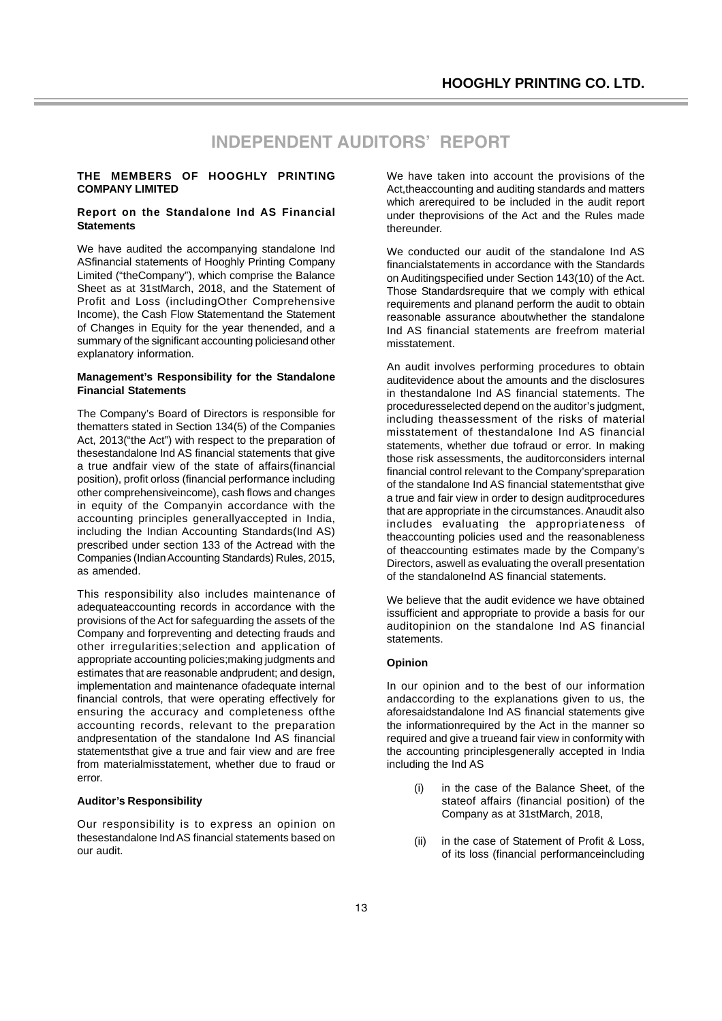# **INDEPENDENT AUDITORS' REPORT**

#### **THE MEMBERS OF HOOGHLY PRINTING COMPANY LIMITED**

#### **Report on the Standalone Ind AS Financial Statements**

We have audited the accompanying standalone Ind ASfinancial statements of Hooghly Printing Company Limited ("theCompany"), which comprise the Balance Sheet as at 31stMarch, 2018, and the Statement of Profit and Loss (includingOther Comprehensive Income), the Cash Flow Statementand the Statement of Changes in Equity for the year thenended, and a summary of the significant accounting policiesand other explanatory information.

### **Management's Responsibility for the Standalone Financial Statements**

The Company's Board of Directors is responsible for thematters stated in Section 134(5) of the Companies Act, 2013("the Act") with respect to the preparation of thesestandalone Ind AS financial statements that give a true andfair view of the state of affairs(financial position), profit orloss (financial performance including other comprehensiveincome), cash flows and changes in equity of the Companyin accordance with the accounting principles generallyaccepted in India, including the Indian Accounting Standards(Ind AS) prescribed under section 133 of the Actread with the Companies (Indian Accounting Standards) Rules, 2015, as amended.

This responsibility also includes maintenance of adequateaccounting records in accordance with the provisions of the Act for safeguarding the assets of the Company and forpreventing and detecting frauds and other irregularities;selection and application of appropriate accounting policies;making judgments and estimates that are reasonable andprudent; and design, implementation and maintenance ofadequate internal financial controls, that were operating effectively for ensuring the accuracy and completeness ofthe accounting records, relevant to the preparation andpresentation of the standalone Ind AS financial statementsthat give a true and fair view and are free from materialmisstatement, whether due to fraud or error.

#### **Auditor's Responsibility**

Our responsibility is to express an opinion on thesestandalone Ind AS financial statements based on our audit.

We have taken into account the provisions of the Act,theaccounting and auditing standards and matters which arerequired to be included in the audit report under theprovisions of the Act and the Rules made thereunder.

We conducted our audit of the standalone Ind AS financialstatements in accordance with the Standards on Auditingspecified under Section 143(10) of the Act. Those Standardsrequire that we comply with ethical requirements and planand perform the audit to obtain reasonable assurance aboutwhether the standalone Ind AS financial statements are freefrom material misstatement.

An audit involves performing procedures to obtain auditevidence about the amounts and the disclosures in thestandalone Ind AS financial statements. The proceduresselected depend on the auditor's judgment, including theassessment of the risks of material misstatement of thestandalone Ind AS financial statements, whether due tofraud or error. In making those risk assessments, the auditorconsiders internal financial control relevant to the Company'spreparation of the standalone Ind AS financial statementsthat give a true and fair view in order to design auditprocedures that are appropriate in the circumstances. Anaudit also includes evaluating the appropriateness of theaccounting policies used and the reasonableness of theaccounting estimates made by the Company's Directors, aswell as evaluating the overall presentation of the standaloneInd AS financial statements.

We believe that the audit evidence we have obtained issufficient and appropriate to provide a basis for our auditopinion on the standalone Ind AS financial statements.

#### **Opinion**

In our opinion and to the best of our information andaccording to the explanations given to us, the aforesaidstandalone Ind AS financial statements give the informationrequired by the Act in the manner so required and give a trueand fair view in conformity with the accounting principlesgenerally accepted in India including the Ind AS

- (i) in the case of the Balance Sheet, of the stateof affairs (financial position) of the Company as at 31stMarch, 2018,
- (ii) in the case of Statement of Profit & Loss, of its loss (financial performanceincluding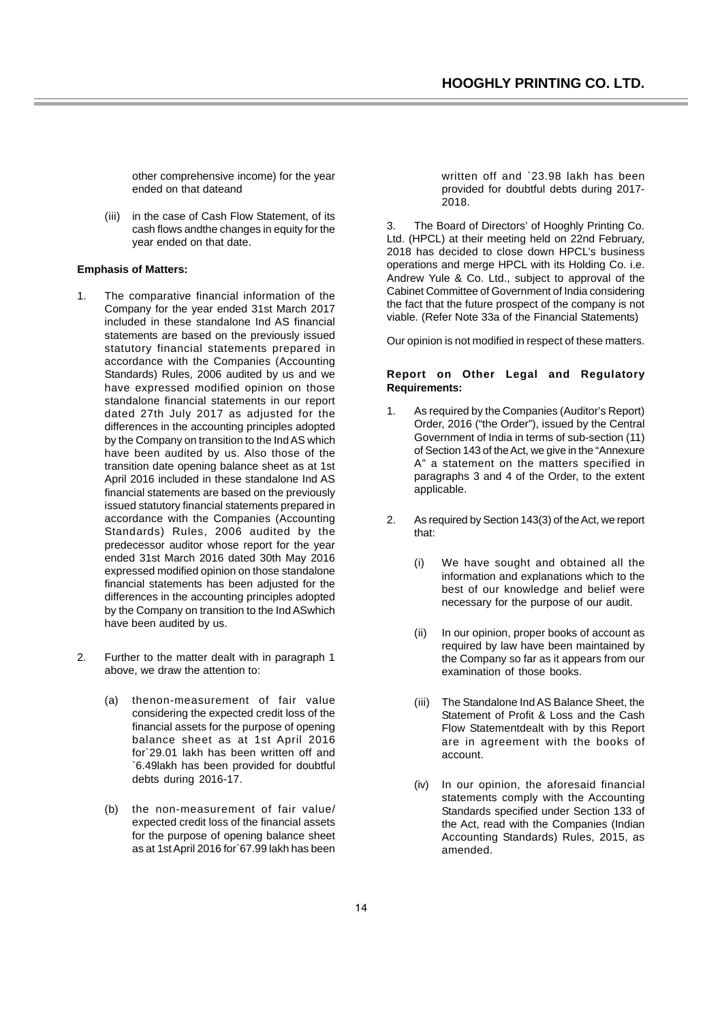other comprehensive income) for the year ended on that dateand

(iii) in the case of Cash Flow Statement, of its cash flows andthe changes in equity for the year ended on that date.

#### **Emphasis of Matters:**

- 1. The comparative financial information of the Company for the year ended 31st March 2017 included in these standalone Ind AS financial statements are based on the previously issued statutory financial statements prepared in accordance with the Companies (Accounting Standards) Rules, 2006 audited by us and we have expressed modified opinion on those standalone financial statements in our report dated 27th July 2017 as adjusted for the differences in the accounting principles adopted by the Company on transition to the Ind AS which have been audited by us. Also those of the transition date opening balance sheet as at 1st April 2016 included in these standalone Ind AS financial statements are based on the previously issued statutory financial statements prepared in accordance with the Companies (Accounting Standards) Rules, 2006 audited by the predecessor auditor whose report for the year ended 31st March 2016 dated 30th May 2016 expressed modified opinion on those standalone financial statements has been adjusted for the differences in the accounting principles adopted by the Company on transition to the Ind ASwhich have been audited by us.
- 2. Further to the matter dealt with in paragraph 1 above, we draw the attention to:
	- (a) thenon-measurement of fair value considering the expected credit loss of the financial assets for the purpose of opening balance sheet as at 1st April 2016 for`29.01 lakh has been written off and `6.49lakh has been provided for doubtful debts during 2016-17.
	- (b) the non-measurement of fair value/ expected credit loss of the financial assets for the purpose of opening balance sheet as at 1st April 2016 for`67.99 lakh has been

written off and `23.98 lakh has been provided for doubtful debts during 2017- 2018.

3. The Board of Directors' of Hooghly Printing Co. Ltd. (HPCL) at their meeting held on 22nd February, 2018 has decided to close down HPCL's business operations and merge HPCL with its Holding Co. i.e. Andrew Yule & Co. Ltd., subject to approval of the Cabinet Committee of Government of India considering the fact that the future prospect of the company is not viable. (Refer Note 33a of the Financial Statements)

Our opinion is not modified in respect of these matters.

#### **Report on Other Legal and Regulatory Requirements:**

- 1. As required by the Companies (Auditor's Report) Order, 2016 ("the Order"), issued by the Central Government of India in terms of sub-section (11) of Section 143 of the Act, we give in the "Annexure A" a statement on the matters specified in paragraphs 3 and 4 of the Order, to the extent applicable.
- 2. As required by Section 143(3) of the Act, we report that:
	- (i) We have sought and obtained all the information and explanations which to the best of our knowledge and belief were necessary for the purpose of our audit.
	- (ii) In our opinion, proper books of account as required by law have been maintained by the Company so far as it appears from our examination of those books.
	- (iii) The Standalone Ind AS Balance Sheet, the Statement of Profit & Loss and the Cash Flow Statementdealt with by this Report are in agreement with the books of account.
	- (iv) In our opinion, the aforesaid financial statements comply with the Accounting Standards specified under Section 133 of the Act, read with the Companies (Indian Accounting Standards) Rules, 2015, as amended.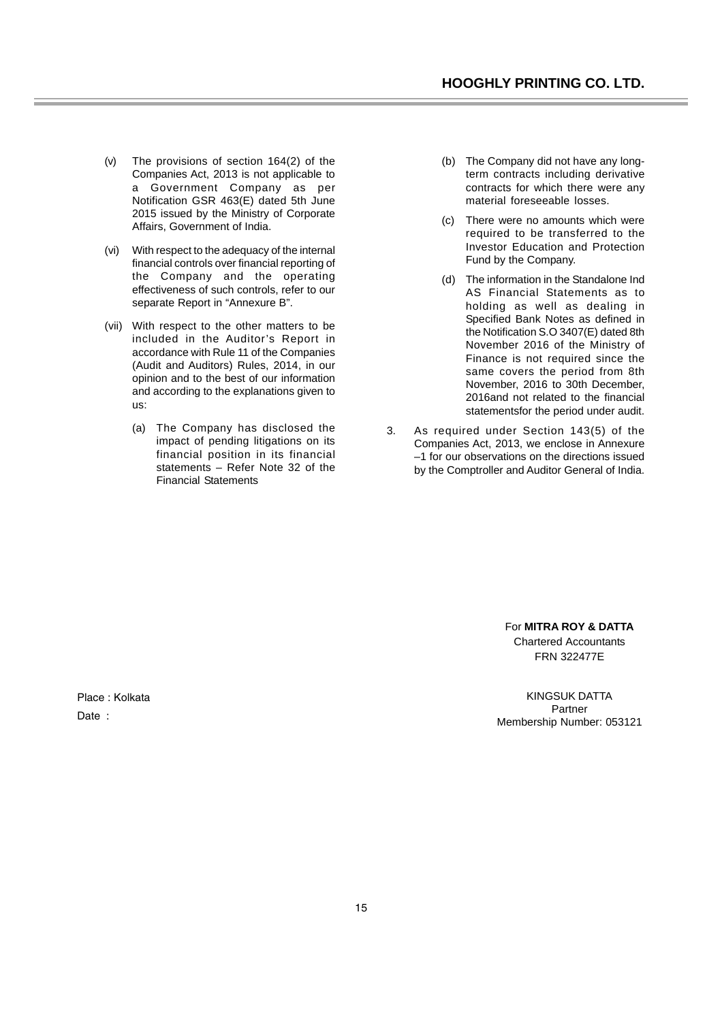- (v) The provisions of section 164(2) of the Companies Act, 2013 is not applicable to a Government Company as per Notification GSR 463(E) dated 5th June 2015 issued by the Ministry of Corporate Affairs, Government of India.
- (vi) With respect to the adequacy of the internal financial controls over financial reporting of the Company and the operating effectiveness of such controls, refer to our separate Report in "Annexure B".
- (vii) With respect to the other matters to be included in the Auditor's Report in accordance with Rule 11 of the Companies (Audit and Auditors) Rules, 2014, in our opinion and to the best of our information and according to the explanations given to us:
	- (a) The Company has disclosed the impact of pending litigations on its financial position in its financial statements – Refer Note 32 of the Financial Statements
- (b) The Company did not have any longterm contracts including derivative contracts for which there were any material foreseeable losses.
- (c) There were no amounts which were required to be transferred to the Investor Education and Protection Fund by the Company.
- (d) The information in the Standalone Ind AS Financial Statements as to holding as well as dealing in Specified Bank Notes as defined in the Notification S.O 3407(E) dated 8th November 2016 of the Ministry of Finance is not required since the same covers the period from 8th November, 2016 to 30th December, 2016and not related to the financial statementsfor the period under audit.
- 3. As required under Section 143(5) of the Companies Act, 2013, we enclose in Annexure –1 for our observations on the directions issued by the Comptroller and Auditor General of India.

For **MITRA ROY & DATTA** Chartered Accountants FRN 322477E

KINGSUK DATTA Partner Membership Number: 053121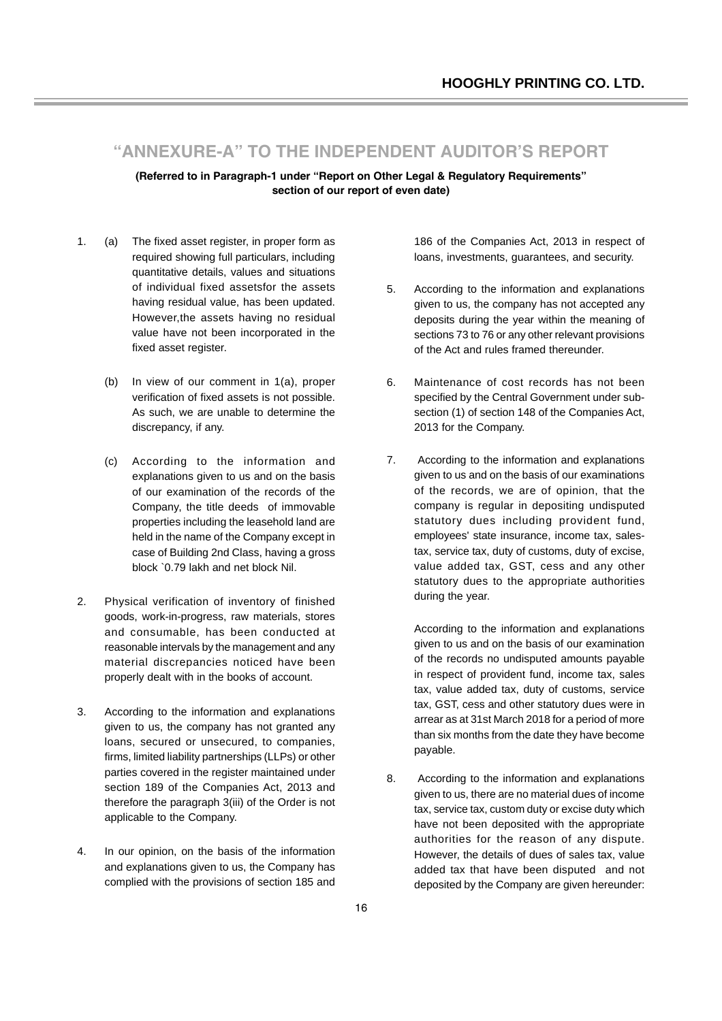# **"ANNEXURE-A" TO THE INDEPENDENT AUDITOR'S REPORT**

**(Referred to in Paragraph-1 under "Report on Other Legal & Regulatory Requirements" section of our report of even date)**

- 1. (a) The fixed asset register, in proper form as required showing full particulars, including quantitative details, values and situations of individual fixed assetsfor the assets having residual value, has been updated. However,the assets having no residual value have not been incorporated in the fixed asset register.
	- (b) In view of our comment in 1(a), proper verification of fixed assets is not possible. As such, we are unable to determine the discrepancy, if any.
	- (c) According to the information and explanations given to us and on the basis of our examination of the records of the Company, the title deeds of immovable properties including the leasehold land are held in the name of the Company except in case of Building 2nd Class, having a gross block `0.79 lakh and net block Nil.
- 2. Physical verification of inventory of finished goods, work-in-progress, raw materials, stores and consumable, has been conducted at reasonable intervals by the management and any material discrepancies noticed have been properly dealt with in the books of account.
- 3. According to the information and explanations given to us, the company has not granted any loans, secured or unsecured, to companies, firms, limited liability partnerships (LLPs) or other parties covered in the register maintained under section 189 of the Companies Act, 2013 and therefore the paragraph 3(iii) of the Order is not applicable to the Company.
- 4. In our opinion, on the basis of the information and explanations given to us, the Company has complied with the provisions of section 185 and

186 of the Companies Act, 2013 in respect of loans, investments, guarantees, and security.

- 5. According to the information and explanations given to us, the company has not accepted any deposits during the year within the meaning of sections 73 to 76 or any other relevant provisions of the Act and rules framed thereunder.
- 6. Maintenance of cost records has not been specified by the Central Government under subsection (1) of section 148 of the Companies Act, 2013 for the Company.
- 7. According to the information and explanations given to us and on the basis of our examinations of the records, we are of opinion, that the company is regular in depositing undisputed statutory dues including provident fund, employees' state insurance, income tax, salestax, service tax, duty of customs, duty of excise, value added tax, GST, cess and any other statutory dues to the appropriate authorities during the year.

According to the information and explanations given to us and on the basis of our examination of the records no undisputed amounts payable in respect of provident fund, income tax, sales tax, value added tax, duty of customs, service tax, GST, cess and other statutory dues were in arrear as at 31st March 2018 for a period of more than six months from the date they have become payable.

8. According to the information and explanations given to us, there are no material dues of income tax, service tax, custom duty or excise duty which have not been deposited with the appropriate authorities for the reason of any dispute. However, the details of dues of sales tax, value added tax that have been disputed and not deposited by the Company are given hereunder: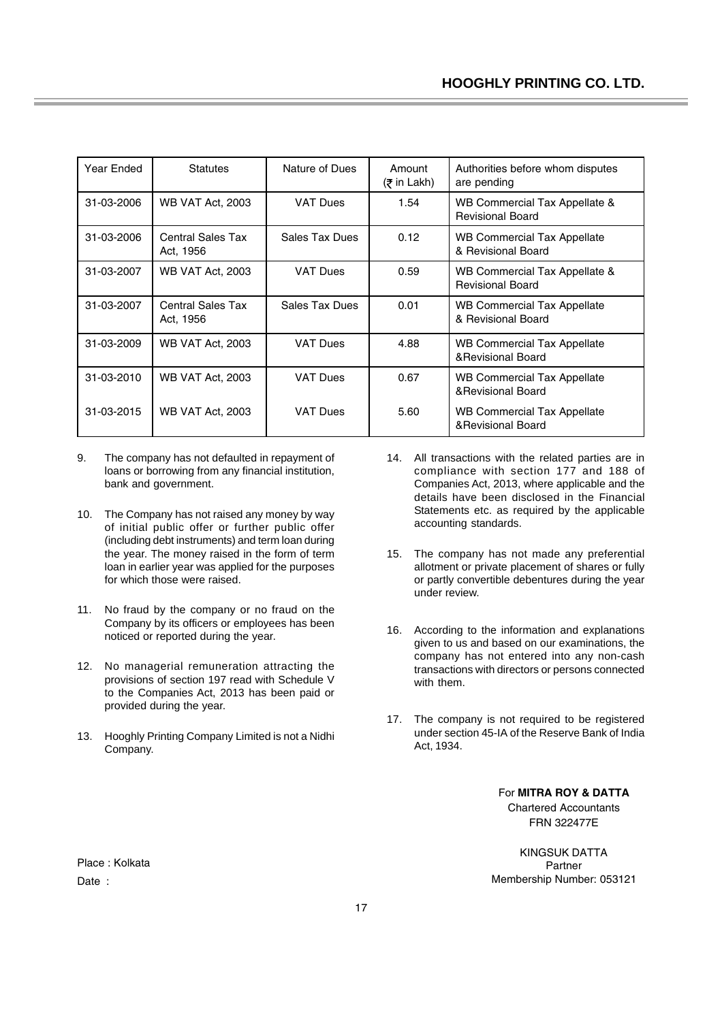| Year Ended | <b>Statutes</b>                       | Nature of Dues  | Amount<br>(₹ in Lakh) | Authorities before whom disputes<br>are pending          |
|------------|---------------------------------------|-----------------|-----------------------|----------------------------------------------------------|
| 31-03-2006 | <b>WB VAT Act, 2003</b>               | <b>VAT Dues</b> | 1.54                  | WB Commercial Tax Appellate &<br><b>Revisional Board</b> |
| 31-03-2006 | <b>Central Sales Tax</b><br>Act, 1956 | Sales Tax Dues  | 0.12                  | WB Commercial Tax Appellate<br>& Revisional Board        |
| 31-03-2007 | <b>WB VAT Act, 2003</b>               | <b>VAT Dues</b> | 0.59                  | WB Commercial Tax Appellate &<br><b>Revisional Board</b> |
| 31-03-2007 | <b>Central Sales Tax</b><br>Act, 1956 | Sales Tax Dues  | 0.01                  | <b>WB Commercial Tax Appellate</b><br>& Revisional Board |
| 31-03-2009 | <b>WB VAT Act, 2003</b>               | <b>VAT Dues</b> | 4.88                  | <b>WB Commercial Tax Appellate</b><br>& Revisional Board |
| 31-03-2010 | <b>WB VAT Act, 2003</b>               | <b>VAT Dues</b> | 0.67                  | WB Commercial Tax Appellate<br>& Revisional Board        |
| 31-03-2015 | <b>WB VAT Act, 2003</b>               | <b>VAT Dues</b> | 5.60                  | <b>WB Commercial Tax Appellate</b><br>& Revisional Board |

- 9. The company has not defaulted in repayment of loans or borrowing from any financial institution, bank and government.
- 10. The Company has not raised any money by way of initial public offer or further public offer (including debt instruments) and term loan during the year. The money raised in the form of term loan in earlier year was applied for the purposes for which those were raised.
- 11. No fraud by the company or no fraud on the Company by its officers or employees has been noticed or reported during the year.
- 12. No managerial remuneration attracting the provisions of section 197 read with Schedule V to the Companies Act, 2013 has been paid or provided during the year.
- 13. Hooghly Printing Company Limited is not a Nidhi Company.
- 14. All transactions with the related parties are in compliance with section 177 and 188 of Companies Act, 2013, where applicable and the details have been disclosed in the Financial Statements etc. as required by the applicable accounting standards.
- 15. The company has not made any preferential allotment or private placement of shares or fully or partly convertible debentures during the year under review.
- 16. According to the information and explanations given to us and based on our examinations, the company has not entered into any non-cash transactions with directors or persons connected with them.
- 17. The company is not required to be registered under section 45-IA of the Reserve Bank of India Act, 1934.

For **MITRA ROY & DATTA** Chartered Accountants FRN 322477E

KINGSUK DATTA Partner Membership Number: 053121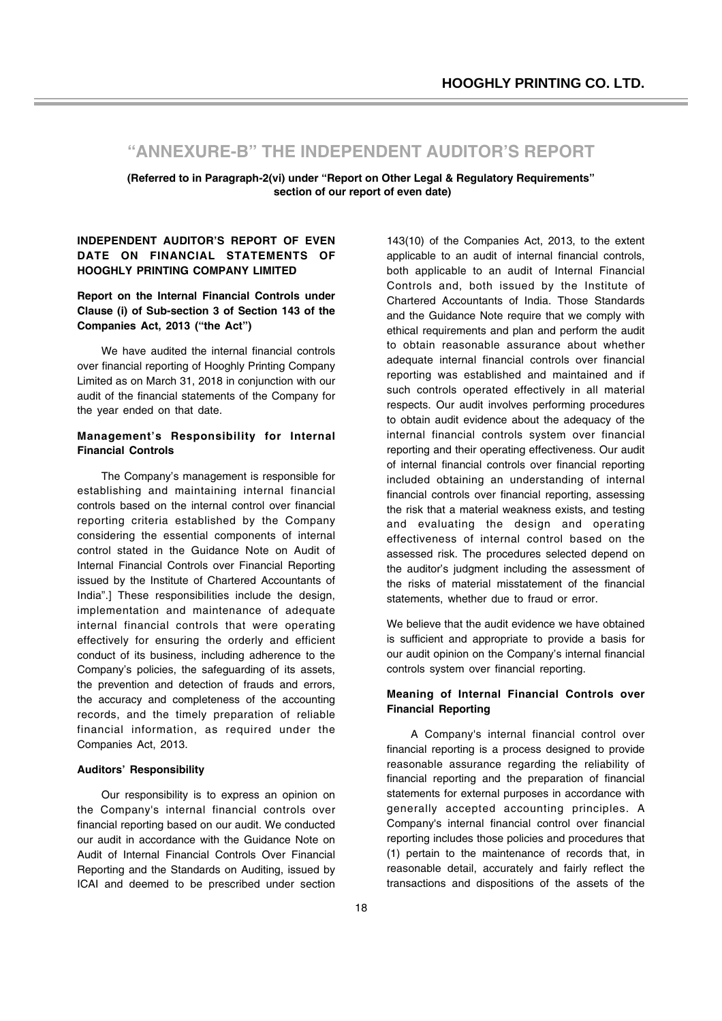# **"ANNEXURE-B" THE INDEPENDENT AUDITOR'S REPORT**

**(Referred to in Paragraph-2(vi) under "Report on Other Legal & Regulatory Requirements" section of our report of even date)**

### **INDEPENDENT AUDITOR'S REPORT OF EVEN DATE ON FINANCIAL STATEMENTS OF HOOGHLY PRINTING COMPANY LIMITED**

**Report on the Internal Financial Controls under Clause (i) of Sub-section 3 of Section 143 of the Companies Act, 2013 ("the Act")**

We have audited the internal financial controls over financial reporting of Hooghly Printing Company Limited as on March 31, 2018 in conjunction with our audit of the financial statements of the Company for the year ended on that date.

### **Management's Responsibility for Internal Financial Controls**

The Company's management is responsible for establishing and maintaining internal financial controls based on the internal control over financial reporting criteria established by the Company considering the essential components of internal control stated in the Guidance Note on Audit of Internal Financial Controls over Financial Reporting issued by the Institute of Chartered Accountants of India".] These responsibilities include the design, implementation and maintenance of adequate internal financial controls that were operating effectively for ensuring the orderly and efficient conduct of its business, including adherence to the Company's policies, the safeguarding of its assets, the prevention and detection of frauds and errors, the accuracy and completeness of the accounting records, and the timely preparation of reliable financial information, as required under the Companies Act, 2013.

#### **Auditors' Responsibility**

Our responsibility is to express an opinion on the Company's internal financial controls over financial reporting based on our audit. We conducted our audit in accordance with the Guidance Note on Audit of Internal Financial Controls Over Financial Reporting and the Standards on Auditing, issued by ICAI and deemed to be prescribed under section

143(10) of the Companies Act, 2013, to the extent applicable to an audit of internal financial controls, both applicable to an audit of Internal Financial Controls and, both issued by the Institute of Chartered Accountants of India. Those Standards and the Guidance Note require that we comply with ethical requirements and plan and perform the audit to obtain reasonable assurance about whether adequate internal financial controls over financial reporting was established and maintained and if such controls operated effectively in all material respects. Our audit involves performing procedures to obtain audit evidence about the adequacy of the internal financial controls system over financial reporting and their operating effectiveness. Our audit of internal financial controls over financial reporting included obtaining an understanding of internal financial controls over financial reporting, assessing the risk that a material weakness exists, and testing and evaluating the design and operating effectiveness of internal control based on the assessed risk. The procedures selected depend on the auditor's judgment including the assessment of the risks of material misstatement of the financial statements, whether due to fraud or error.

We believe that the audit evidence we have obtained is sufficient and appropriate to provide a basis for our audit opinion on the Company's internal financial controls system over financial reporting.

### **Meaning of Internal Financial Controls over Financial Reporting**

A Company's internal financial control over financial reporting is a process designed to provide reasonable assurance regarding the reliability of financial reporting and the preparation of financial statements for external purposes in accordance with generally accepted accounting principles. A Company's internal financial control over financial reporting includes those policies and procedures that (1) pertain to the maintenance of records that, in reasonable detail, accurately and fairly reflect the transactions and dispositions of the assets of the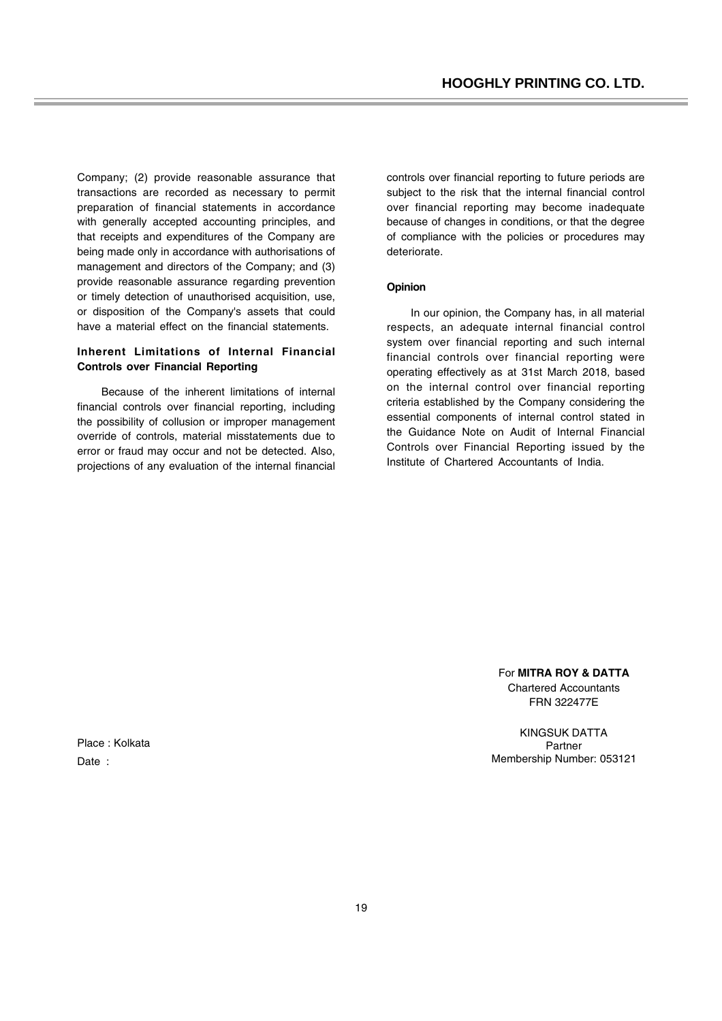Company; (2) provide reasonable assurance that transactions are recorded as necessary to permit preparation of financial statements in accordance with generally accepted accounting principles, and that receipts and expenditures of the Company are being made only in accordance with authorisations of management and directors of the Company; and (3) provide reasonable assurance regarding prevention or timely detection of unauthorised acquisition, use, or disposition of the Company's assets that could have a material effect on the financial statements.

### **Inherent Limitations of Internal Financial Controls over Financial Reporting**

Because of the inherent limitations of internal financial controls over financial reporting, including the possibility of collusion or improper management override of controls, material misstatements due to error or fraud may occur and not be detected. Also, projections of any evaluation of the internal financial controls over financial reporting to future periods are subject to the risk that the internal financial control over financial reporting may become inadequate because of changes in conditions, or that the degree of compliance with the policies or procedures may deteriorate.

### **Opinion**

In our opinion, the Company has, in all material respects, an adequate internal financial control system over financial reporting and such internal financial controls over financial reporting were operating effectively as at 31st March 2018, based on the internal control over financial reporting criteria established by the Company considering the essential components of internal control stated in the Guidance Note on Audit of Internal Financial Controls over Financial Reporting issued by the Institute of Chartered Accountants of India.

> For **MITRA ROY & DATTA** Chartered Accountants FRN 322477E

KINGSUK DATTA Partner Membership Number: 053121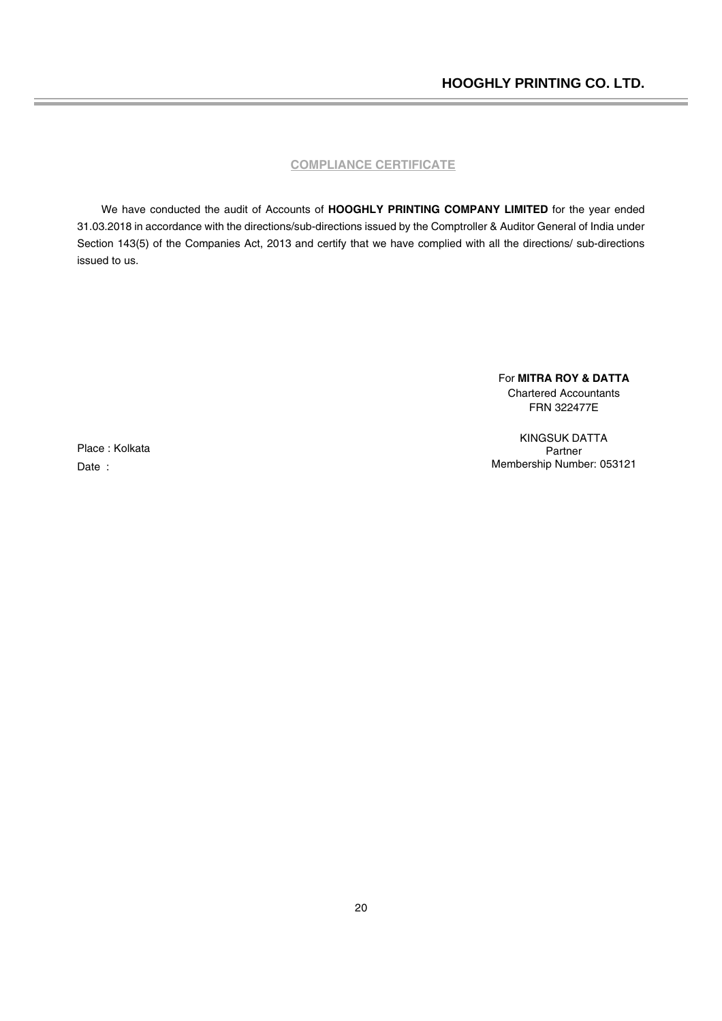### **COMPLIANCE CERTIFICATE**

We have conducted the audit of Accounts of **HOOGHLY PRINTING COMPANY LIMITED** for the year ended 31.03.2018 in accordance with the directions/sub-directions issued by the Comptroller & Auditor General of India under Section 143(5) of the Companies Act, 2013 and certify that we have complied with all the directions/ sub-directions issued to us.

> For **MITRA ROY & DATTA** Chartered Accountants FRN 322477E

KINGSUK DATTA Partner Membership Number: 053121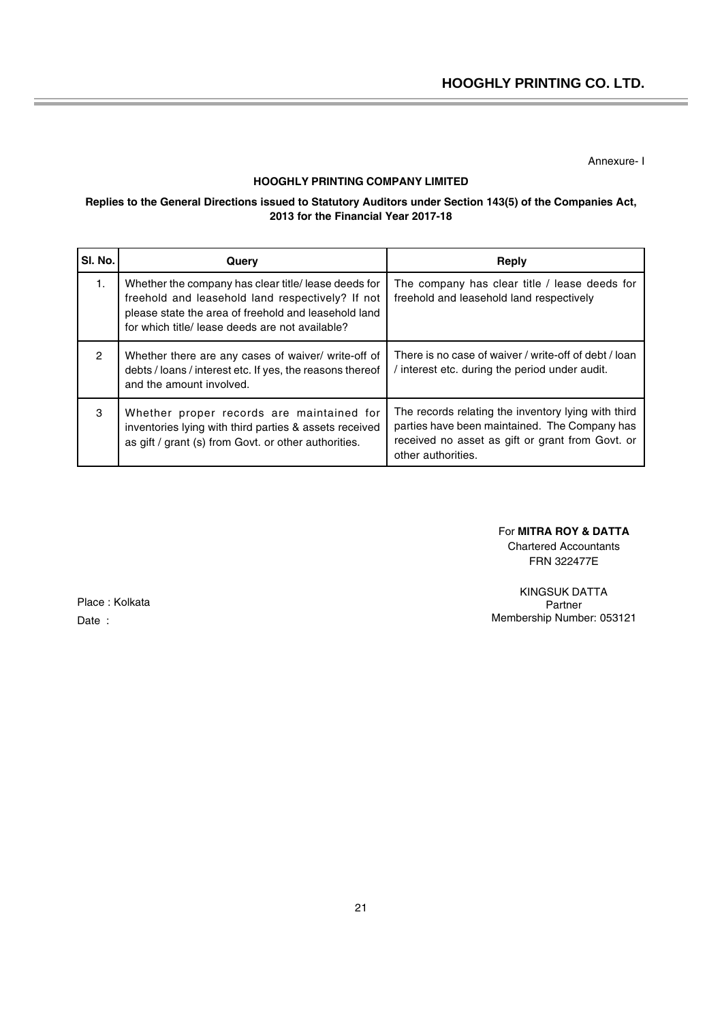Annexure- I

## **HOOGHLY PRINTING COMPANY LIMITED**

### **Replies to the General Directions issued to Statutory Auditors under Section 143(5) of the Companies Act, 2013 for the Financial Year 2017-18**

| SI. No.       | Query                                                                                                                                                                                                               | Reply                                                                                                                                                                          |
|---------------|---------------------------------------------------------------------------------------------------------------------------------------------------------------------------------------------------------------------|--------------------------------------------------------------------------------------------------------------------------------------------------------------------------------|
| 1.            | Whether the company has clear title/ lease deeds for<br>freehold and leasehold land respectively? If not<br>please state the area of freehold and leasehold land<br>for which title/ lease deeds are not available? | The company has clear title / lease deeds for<br>freehold and leasehold land respectively                                                                                      |
| $\mathcal{P}$ | Whether there are any cases of waiver/ write-off of<br>debts / loans / interest etc. If yes, the reasons thereof<br>and the amount involved.                                                                        | There is no case of waiver / write-off of debt / loan<br>interest etc. during the period under audit.                                                                          |
| 3             | Whether proper records are maintained for<br>inventories lying with third parties & assets received<br>as gift / grant (s) from Govt. or other authorities.                                                         | The records relating the inventory lying with third<br>parties have been maintained. The Company has<br>received no asset as gift or grant from Govt. or<br>other authorities. |

### For **MITRA ROY & DATTA**

Chartered Accountants FRN 322477E

KINGSUK DATTA Partner Membership Number: 053121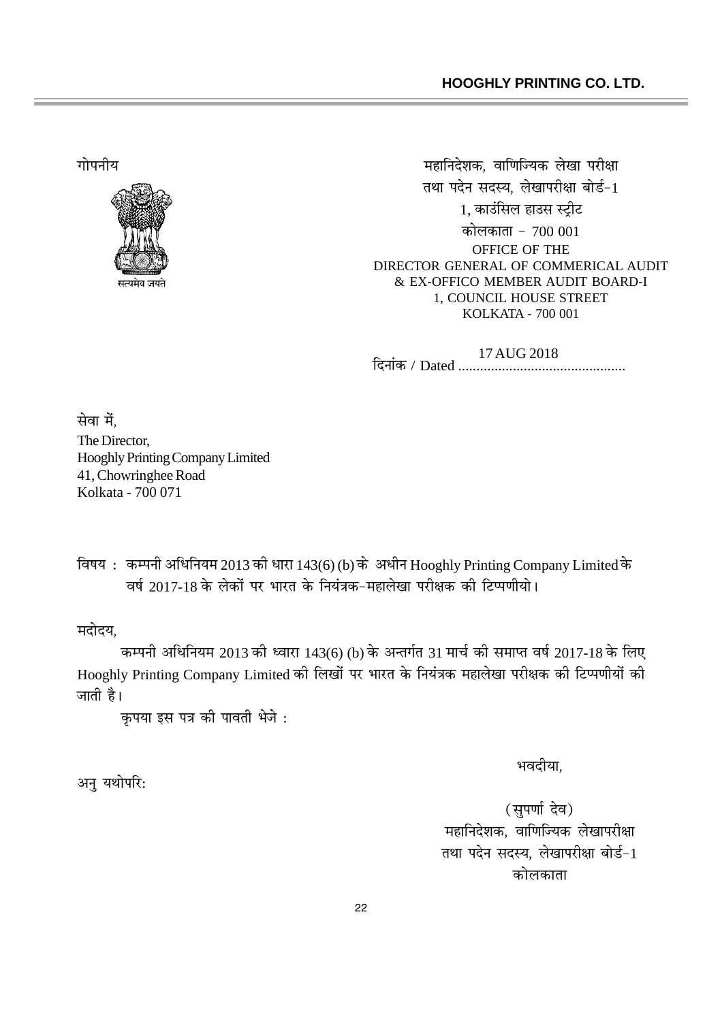

;FXÑFÎFUÜF ÛFùFPÎF¼WèF=+, æFFPμFP¡ÜF=+ áFW&FF ÑFÞU‡FF तथा पदेन सदस्य. लेखापरीक्षा बोर्ड-1 1, काउंसिल हाउस स्ट़ीट कोलकाता - 700 001 OFFICE OF THE DIRECTOR GENERAL OF COMMERICAL AUDIT & EX-OFFICO MEMBER AUDIT BOARD-I 1, COUNCIL HOUSE STREET KOLKATA - 700 001

> P¼ÎFFk=+ / Dated .............................................. 17 AUG 2018

सेवा में. The Director, Hooghly Printing Company Limited 41, Chowringhee Road Kolkata - 700 071

विषय: कम्पनी अधिनियम 2013 को धारा 143(6) (b) के अधीन Hooghly Printing Company Limited के  $\frac{1}{8}$ वर्ष 2017-18 के लेकों पर भारत के नियंत्रक-महालेखा परीक्षक को टिप्पणीयो।

मदोदय.

कम्पनी अधिनियम 2013 की ध्वारा 143(6) (b) के अन्तर्गत 31 मार्च की समाप्त वर्ष 2017-18 के लिए Hooghly Printing Company Limited की लिखों पर भारत के नियंत्रक महालेखा परीक्षक की टिप्पणीयों की जाती है।

कपया इस पत्र की पावती भेजे:

अन यथोपरि:

भवदीया.

(सुपर्णा देव) महानिदेशक, वाणिज्यिक लेखापरीक्षा तथा पदेन सदस्य, लेखापरीक्षा बोर्ड-1 कोलकाता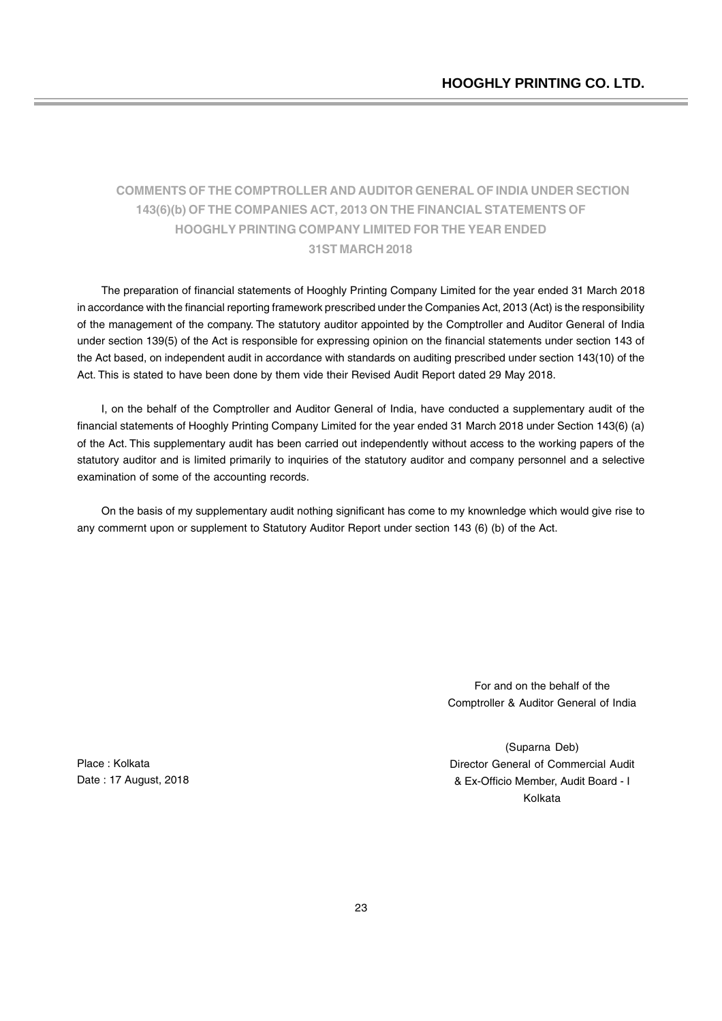# **COMMENTS OF THE COMPTROLLER AND AUDITOR GENERAL OF INDIA UNDER SECTION 143(6)(b) OF THE COMPANIES ACT, 2013 ON THE FINANCIAL STATEMENTS OF HOOGHLY PRINTING COMPANY LIMITED FOR THE YEAR ENDED 31ST MARCH 2018**

The preparation of financial statements of Hooghly Printing Company Limited for the year ended 31 March 2018 in accordance with the financial reporting framework prescribed under the Companies Act, 2013 (Act) is the responsibility of the management of the company. The statutory auditor appointed by the Comptroller and Auditor General of India under section 139(5) of the Act is responsible for expressing opinion on the financial statements under section 143 of the Act based, on independent audit in accordance with standards on auditing prescribed under section 143(10) of the Act. This is stated to have been done by them vide their Revised Audit Report dated 29 May 2018.

I, on the behalf of the Comptroller and Auditor General of India, have conducted a supplementary audit of the financial statements of Hooghly Printing Company Limited for the year ended 31 March 2018 under Section 143(6) (a) of the Act. This supplementary audit has been carried out independently without access to the working papers of the statutory auditor and is limited primarily to inquiries of the statutory auditor and company personnel and a selective examination of some of the accounting records.

On the basis of my supplementary audit nothing significant has come to my knownledge which would give rise to any commernt upon or supplement to Statutory Auditor Report under section 143 (6) (b) of the Act.

> For and on the behalf of the Comptroller & Auditor General of India

Place : Kolkata Date : 17 August, 2018

(Suparna Deb) Director General of Commercial Audit & Ex-Officio Member, Audit Board - I Kolkata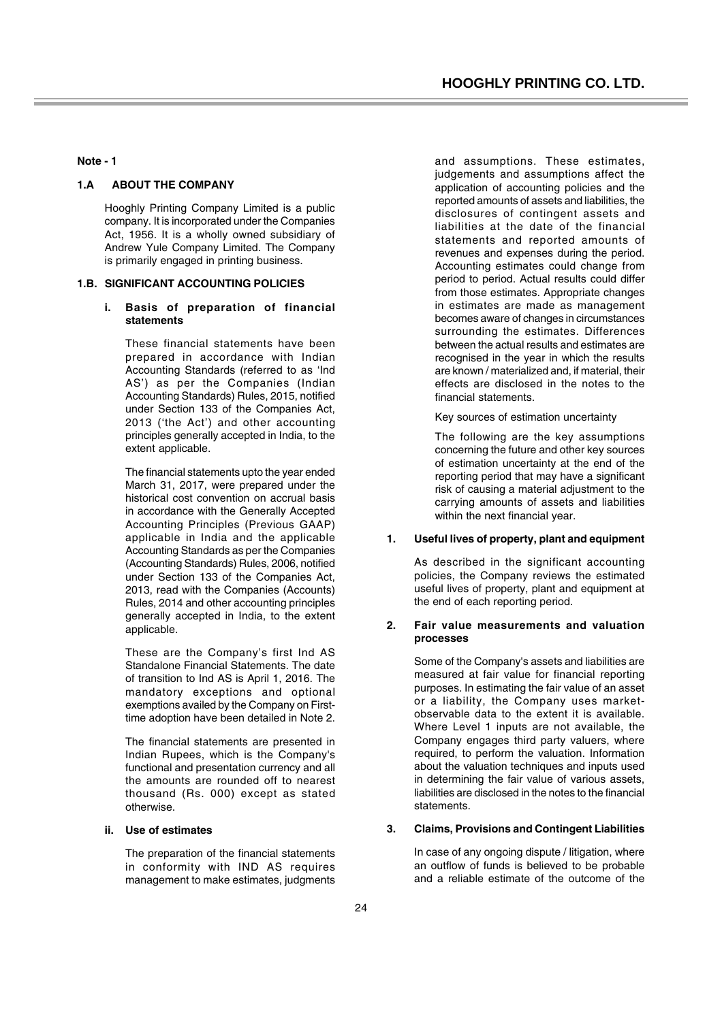**Note - 1**

### **1.A ABOUT THE COMPANY**

Hooghly Printing Company Limited is a public company. It is incorporated under the Companies Act, 1956. It is a wholly owned subsidiary of Andrew Yule Company Limited. The Company is primarily engaged in printing business.

#### **1.B. SIGNIFICANT ACCOUNTING POLICIES**

### **i. Basis of preparation of financial statements**

These financial statements have been prepared in accordance with Indian Accounting Standards (referred to as 'Ind AS') as per the Companies (Indian Accounting Standards) Rules, 2015, notified under Section 133 of the Companies Act, 2013 ('the Act') and other accounting principles generally accepted in India, to the extent applicable.

The financial statements upto the year ended March 31, 2017, were prepared under the historical cost convention on accrual basis in accordance with the Generally Accepted Accounting Principles (Previous GAAP) applicable in India and the applicable Accounting Standards as per the Companies (Accounting Standards) Rules, 2006, notified under Section 133 of the Companies Act, 2013, read with the Companies (Accounts) Rules, 2014 and other accounting principles generally accepted in India, to the extent applicable.

These are the Company's first Ind AS Standalone Financial Statements. The date of transition to Ind AS is April 1, 2016. The mandatory exceptions and optional exemptions availed by the Company on Firsttime adoption have been detailed in Note 2.

The financial statements are presented in Indian Rupees, which is the Company's functional and presentation currency and all the amounts are rounded off to nearest thousand (Rs. 000) except as stated otherwise.

### **ii. Use of estimates**

The preparation of the financial statements in conformity with IND AS requires management to make estimates, judgments

and assumptions. These estimates, judgements and assumptions affect the application of accounting policies and the reported amounts of assets and liabilities, the disclosures of contingent assets and liabilities at the date of the financial statements and reported amounts of revenues and expenses during the period. Accounting estimates could change from period to period. Actual results could differ from those estimates. Appropriate changes in estimates are made as management becomes aware of changes in circumstances surrounding the estimates. Differences between the actual results and estimates are recognised in the year in which the results are known / materialized and, if material, their effects are disclosed in the notes to the financial statements.

Key sources of estimation uncertainty

The following are the key assumptions concerning the future and other key sources of estimation uncertainty at the end of the reporting period that may have a significant risk of causing a material adjustment to the carrying amounts of assets and liabilities within the next financial year.

### **1. Useful lives of property, plant and equipment**

As described in the significant accounting policies, the Company reviews the estimated useful lives of property, plant and equipment at the end of each reporting period.

#### **2. Fair value measurements and valuation processes**

Some of the Company's assets and liabilities are measured at fair value for financial reporting purposes. In estimating the fair value of an asset or a liability, the Company uses marketobservable data to the extent it is available. Where Level 1 inputs are not available, the Company engages third party valuers, where required, to perform the valuation. Information about the valuation techniques and inputs used in determining the fair value of various assets, liabilities are disclosed in the notes to the financial statements.

#### **3. Claims, Provisions and Contingent Liabilities**

In case of any ongoing dispute / litigation, where an outflow of funds is believed to be probable and a reliable estimate of the outcome of the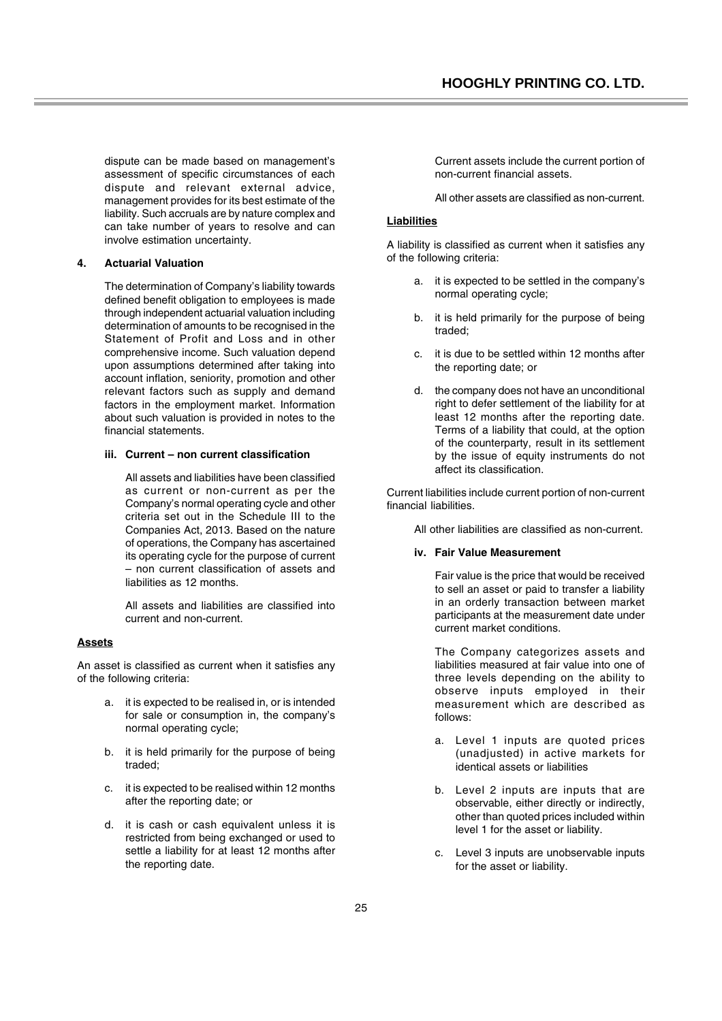dispute can be made based on management's assessment of specific circumstances of each dispute and relevant external advice, management provides for its best estimate of the liability. Such accruals are by nature complex and can take number of years to resolve and can involve estimation uncertainty.

### **4. Actuarial Valuation**

The determination of Company's liability towards defined benefit obligation to employees is made through independent actuarial valuation including determination of amounts to be recognised in the Statement of Profit and Loss and in other comprehensive income. Such valuation depend upon assumptions determined after taking into account inflation, seniority, promotion and other relevant factors such as supply and demand factors in the employment market. Information about such valuation is provided in notes to the financial statements.

### **iii. Current – non current classification**

All assets and liabilities have been classified as current or non-current as per the Company's normal operating cycle and other criteria set out in the Schedule III to the Companies Act, 2013. Based on the nature of operations, the Company has ascertained its operating cycle for the purpose of current – non current classification of assets and liabilities as 12 months.

All assets and liabilities are classified into current and non-current.

### **Assets**

An asset is classified as current when it satisfies any of the following criteria:

- a. it is expected to be realised in, or is intended for sale or consumption in, the company's normal operating cycle;
- b. it is held primarily for the purpose of being traded;
- c. it is expected to be realised within 12 months after the reporting date; or
- d. it is cash or cash equivalent unless it is restricted from being exchanged or used to settle a liability for at least 12 months after the reporting date.

Current assets include the current portion of non-current financial assets.

All other assets are classified as non-current.

### **Liabilities**

A liability is classified as current when it satisfies any of the following criteria:

- a. it is expected to be settled in the company's normal operating cycle;
- b. it is held primarily for the purpose of being traded;
- c. it is due to be settled within 12 months after the reporting date; or
- d. the company does not have an unconditional right to defer settlement of the liability for at least 12 months after the reporting date. Terms of a liability that could, at the option of the counterparty, result in its settlement by the issue of equity instruments do not affect its classification.

Current liabilities include current portion of non-current financial liabilities.

All other liabilities are classified as non-current.

### **iv. Fair Value Measurement**

Fair value is the price that would be received to sell an asset or paid to transfer a liability in an orderly transaction between market participants at the measurement date under current market conditions.

The Company categorizes assets and liabilities measured at fair value into one of three levels depending on the ability to observe inputs employed in their measurement which are described as follows:

- a. Level 1 inputs are quoted prices (unadjusted) in active markets for identical assets or liabilities
- b. Level 2 inputs are inputs that are observable, either directly or indirectly, other than quoted prices included within level 1 for the asset or liability.
- c. Level 3 inputs are unobservable inputs for the asset or liability.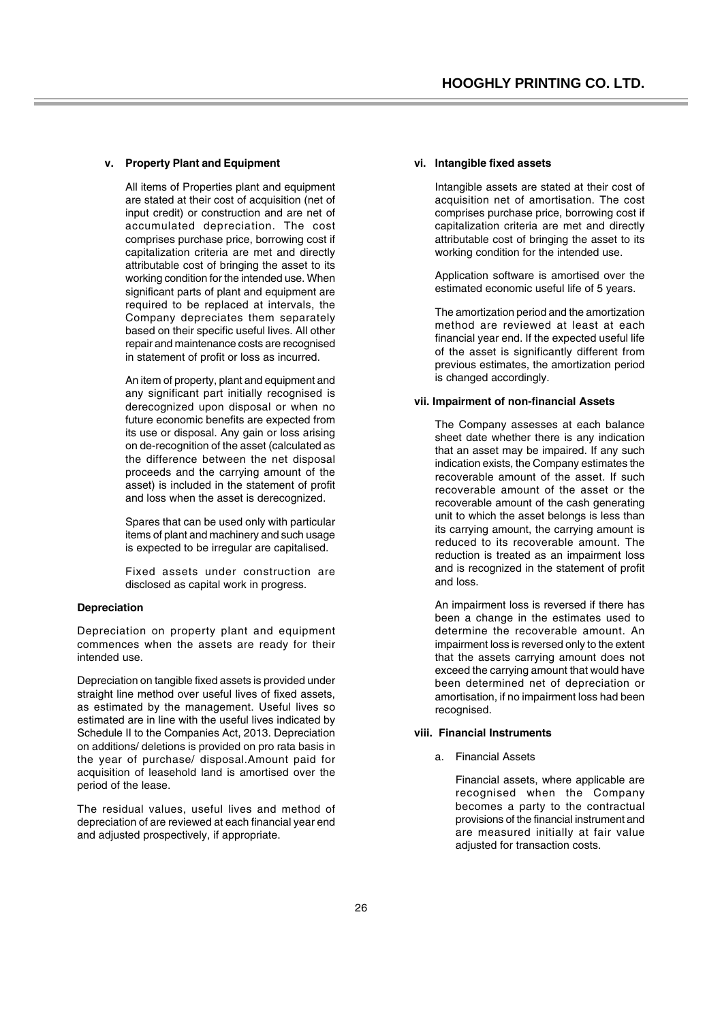#### **v. Property Plant and Equipment**

All items of Properties plant and equipment are stated at their cost of acquisition (net of input credit) or construction and are net of accumulated depreciation. The cost comprises purchase price, borrowing cost if capitalization criteria are met and directly attributable cost of bringing the asset to its working condition for the intended use. When significant parts of plant and equipment are required to be replaced at intervals, the Company depreciates them separately based on their specific useful lives. All other repair and maintenance costs are recognised in statement of profit or loss as incurred.

An item of property, plant and equipment and any significant part initially recognised is derecognized upon disposal or when no future economic benefits are expected from its use or disposal. Any gain or loss arising on de-recognition of the asset (calculated as the difference between the net disposal proceeds and the carrying amount of the asset) is included in the statement of profit and loss when the asset is derecognized.

Spares that can be used only with particular items of plant and machinery and such usage is expected to be irregular are capitalised.

Fixed assets under construction are disclosed as capital work in progress.

#### **Depreciation**

Depreciation on property plant and equipment commences when the assets are ready for their intended use.

Depreciation on tangible fixed assets is provided under straight line method over useful lives of fixed assets, as estimated by the management. Useful lives so estimated are in line with the useful lives indicated by Schedule II to the Companies Act, 2013. Depreciation on additions/ deletions is provided on pro rata basis in the year of purchase/ disposal.Amount paid for acquisition of leasehold land is amortised over the period of the lease.

The residual values, useful lives and method of depreciation of are reviewed at each financial year end and adjusted prospectively, if appropriate.

#### **vi. Intangible fixed assets**

Intangible assets are stated at their cost of acquisition net of amortisation. The cost comprises purchase price, borrowing cost if capitalization criteria are met and directly attributable cost of bringing the asset to its working condition for the intended use.

Application software is amortised over the estimated economic useful life of 5 years.

The amortization period and the amortization method are reviewed at least at each financial year end. If the expected useful life of the asset is significantly different from previous estimates, the amortization period is changed accordingly.

#### **vii. Impairment of non-financial Assets**

The Company assesses at each balance sheet date whether there is any indication that an asset may be impaired. If any such indication exists, the Company estimates the recoverable amount of the asset. If such recoverable amount of the asset or the recoverable amount of the cash generating unit to which the asset belongs is less than its carrying amount, the carrying amount is reduced to its recoverable amount. The reduction is treated as an impairment loss and is recognized in the statement of profit and loss.

An impairment loss is reversed if there has been a change in the estimates used to determine the recoverable amount. An impairment loss is reversed only to the extent that the assets carrying amount does not exceed the carrying amount that would have been determined net of depreciation or amortisation, if no impairment loss had been recognised.

#### **viii. Financial Instruments**

a. Financial Assets

Financial assets, where applicable are recognised when the Company becomes a party to the contractual provisions of the financial instrument and are measured initially at fair value adjusted for transaction costs.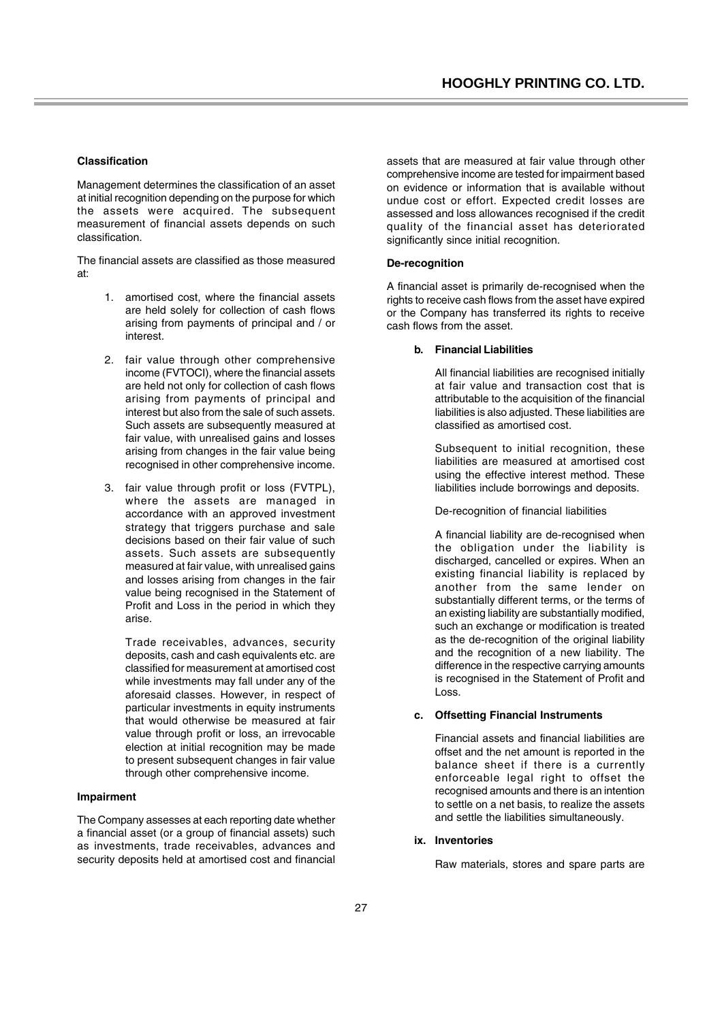#### **Classification**

Management determines the classification of an asset at initial recognition depending on the purpose for which the assets were acquired. The subsequent measurement of financial assets depends on such classification.

The financial assets are classified as those measured at:

- 1. amortised cost, where the financial assets are held solely for collection of cash flows arising from payments of principal and / or interest.
- 2. fair value through other comprehensive income (FVTOCI), where the financial assets are held not only for collection of cash flows arising from payments of principal and interest but also from the sale of such assets. Such assets are subsequently measured at fair value, with unrealised gains and losses arising from changes in the fair value being recognised in other comprehensive income.
- 3. fair value through profit or loss (FVTPL), where the assets are managed in accordance with an approved investment strategy that triggers purchase and sale decisions based on their fair value of such assets. Such assets are subsequently measured at fair value, with unrealised gains and losses arising from changes in the fair value being recognised in the Statement of Profit and Loss in the period in which they arise.

Trade receivables, advances, security deposits, cash and cash equivalents etc. are classified for measurement at amortised cost while investments may fall under any of the aforesaid classes. However, in respect of particular investments in equity instruments that would otherwise be measured at fair value through profit or loss, an irrevocable election at initial recognition may be made to present subsequent changes in fair value through other comprehensive income.

#### **Impairment**

The Company assesses at each reporting date whether a financial asset (or a group of financial assets) such as investments, trade receivables, advances and security deposits held at amortised cost and financial assets that are measured at fair value through other comprehensive income are tested for impairment based on evidence or information that is available without undue cost or effort. Expected credit losses are assessed and loss allowances recognised if the credit quality of the financial asset has deteriorated significantly since initial recognition.

#### **De-recognition**

A financial asset is primarily de-recognised when the rights to receive cash flows from the asset have expired or the Company has transferred its rights to receive cash flows from the asset.

#### **b. Financial Liabilities**

All financial liabilities are recognised initially at fair value and transaction cost that is attributable to the acquisition of the financial liabilities is also adjusted. These liabilities are classified as amortised cost.

Subsequent to initial recognition, these liabilities are measured at amortised cost using the effective interest method. These liabilities include borrowings and deposits.

De-recognition of financial liabilities

A financial liability are de-recognised when the obligation under the liability is discharged, cancelled or expires. When an existing financial liability is replaced by another from the same lender on substantially different terms, or the terms of an existing liability are substantially modified, such an exchange or modification is treated as the de-recognition of the original liability and the recognition of a new liability. The difference in the respective carrying amounts is recognised in the Statement of Profit and Loss.

### **c. Offsetting Financial Instruments**

Financial assets and financial liabilities are offset and the net amount is reported in the balance sheet if there is a currently enforceable legal right to offset the recognised amounts and there is an intention to settle on a net basis, to realize the assets and settle the liabilities simultaneously.

#### **ix. Inventories**

Raw materials, stores and spare parts are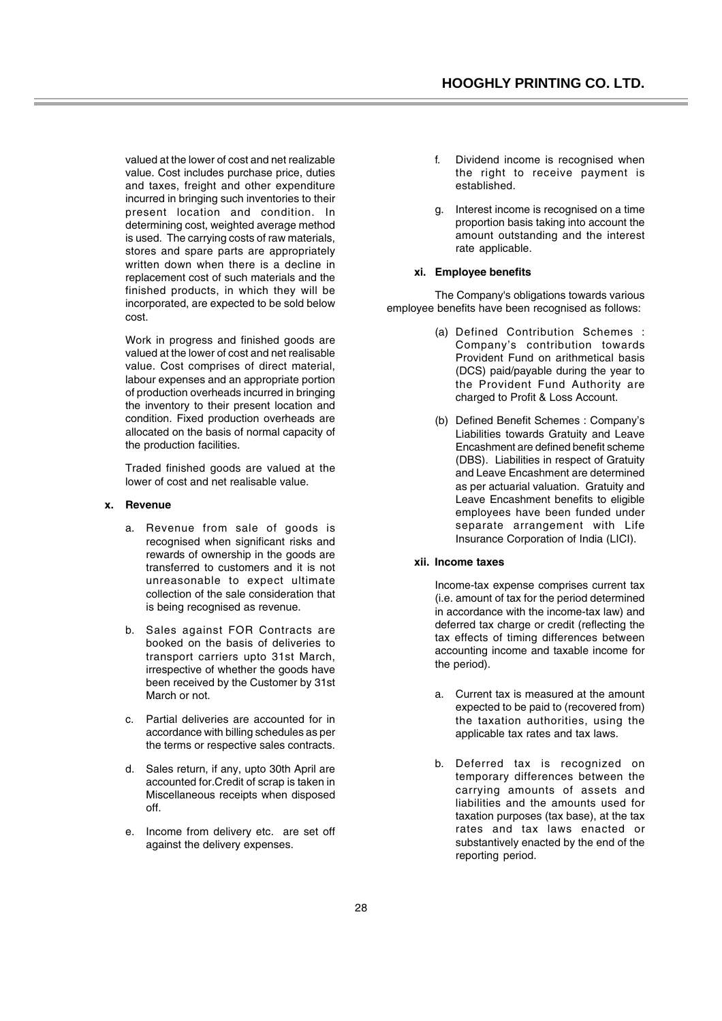valued at the lower of cost and net realizable value. Cost includes purchase price, duties and taxes, freight and other expenditure incurred in bringing such inventories to their present location and condition. In determining cost, weighted average method is used. The carrying costs of raw materials, stores and spare parts are appropriately written down when there is a decline in replacement cost of such materials and the finished products, in which they will be incorporated, are expected to be sold below cost.

Work in progress and finished goods are valued at the lower of cost and net realisable value. Cost comprises of direct material, labour expenses and an appropriate portion of production overheads incurred in bringing the inventory to their present location and condition. Fixed production overheads are allocated on the basis of normal capacity of the production facilities.

Traded finished goods are valued at the lower of cost and net realisable value.

#### **x. Revenue**

- a. Revenue from sale of goods is recognised when significant risks and rewards of ownership in the goods are transferred to customers and it is not unreasonable to expect ultimate collection of the sale consideration that is being recognised as revenue.
- b. Sales against FOR Contracts are booked on the basis of deliveries to transport carriers upto 31st March, irrespective of whether the goods have been received by the Customer by 31st March or not.
- c. Partial deliveries are accounted for in accordance with billing schedules as per the terms or respective sales contracts.
- d. Sales return, if any, upto 30th April are accounted for.Credit of scrap is taken in Miscellaneous receipts when disposed off.
- e. Income from delivery etc. are set off against the delivery expenses.
- f. Dividend income is recognised when the right to receive payment is established.
- g. Interest income is recognised on a time proportion basis taking into account the amount outstanding and the interest rate applicable.

#### **xi. Employee benefits**

The Company's obligations towards various employee benefits have been recognised as follows:

- (a) Defined Contribution Schemes : Company's contribution towards Provident Fund on arithmetical basis (DCS) paid/payable during the year to the Provident Fund Authority are charged to Profit & Loss Account.
- (b) Defined Benefit Schemes : Company's Liabilities towards Gratuity and Leave Encashment are defined benefit scheme (DBS). Liabilities in respect of Gratuity and Leave Encashment are determined as per actuarial valuation. Gratuity and Leave Encashment benefits to eligible employees have been funded under separate arrangement with Life Insurance Corporation of India (LICI).

#### **xii. Income taxes**

Income-tax expense comprises current tax (i.e. amount of tax for the period determined in accordance with the income-tax law) and deferred tax charge or credit (reflecting the tax effects of timing differences between accounting income and taxable income for the period).

- a. Current tax is measured at the amount expected to be paid to (recovered from) the taxation authorities, using the applicable tax rates and tax laws.
- b. Deferred tax is recognized on temporary differences between the carrying amounts of assets and liabilities and the amounts used for taxation purposes (tax base), at the tax rates and tax laws enacted or substantively enacted by the end of the reporting period.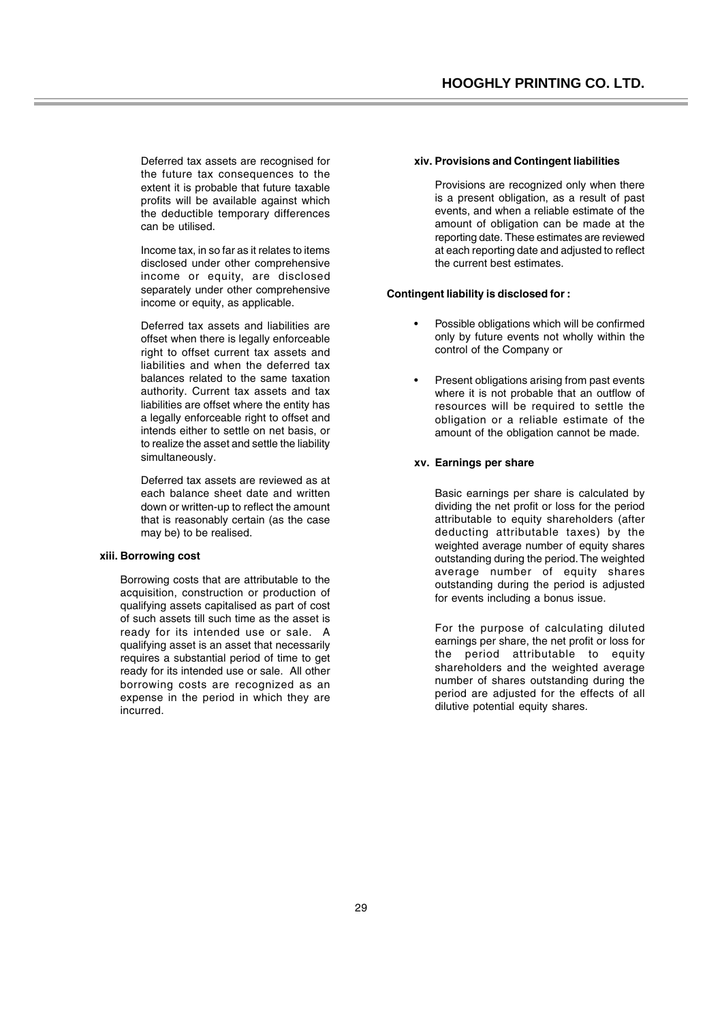Deferred tax assets are recognised for the future tax consequences to the extent it is probable that future taxable profits will be available against which the deductible temporary differences can be utilised.

Income tax, in so far as it relates to items disclosed under other comprehensive income or equity, are disclosed separately under other comprehensive income or equity, as applicable.

Deferred tax assets and liabilities are offset when there is legally enforceable right to offset current tax assets and liabilities and when the deferred tax balances related to the same taxation authority. Current tax assets and tax liabilities are offset where the entity has a legally enforceable right to offset and intends either to settle on net basis, or to realize the asset and settle the liability simultaneously.

Deferred tax assets are reviewed as at each balance sheet date and written down or written-up to reflect the amount that is reasonably certain (as the case may be) to be realised.

#### **xiii. Borrowing cost**

Borrowing costs that are attributable to the acquisition, construction or production of qualifying assets capitalised as part of cost of such assets till such time as the asset is ready for its intended use or sale. A qualifying asset is an asset that necessarily requires a substantial period of time to get ready for its intended use or sale. All other borrowing costs are recognized as an expense in the period in which they are incurred.

#### **xiv. Provisions and Contingent liabilities**

Provisions are recognized only when there is a present obligation, as a result of past events, and when a reliable estimate of the amount of obligation can be made at the reporting date. These estimates are reviewed at each reporting date and adjusted to reflect the current best estimates.

### **Contingent liability is disclosed for :**

- Possible obligations which will be confirmed only by future events not wholly within the control of the Company or
- Present obligations arising from past events where it is not probable that an outflow of resources will be required to settle the obligation or a reliable estimate of the amount of the obligation cannot be made.

#### **xv. Earnings per share**

Basic earnings per share is calculated by dividing the net profit or loss for the period attributable to equity shareholders (after deducting attributable taxes) by the weighted average number of equity shares outstanding during the period. The weighted average number of equity shares outstanding during the period is adjusted for events including a bonus issue.

For the purpose of calculating diluted earnings per share, the net profit or loss for the period attributable to equity shareholders and the weighted average number of shares outstanding during the period are adjusted for the effects of all dilutive potential equity shares.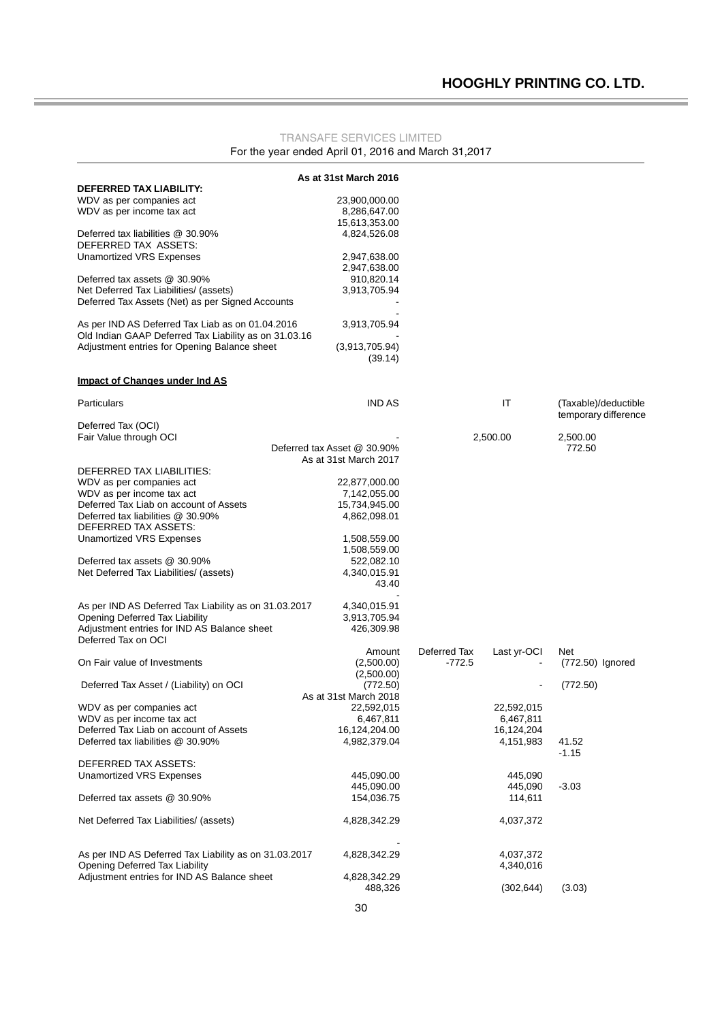### TRANSAFE SERVICES LIMITED For the year ended April 01, 2016 and March 31,2017

|                                                       | As at 31st March 2016       |              |             |                      |
|-------------------------------------------------------|-----------------------------|--------------|-------------|----------------------|
| DEFERRED TAX LIABILITY:                               |                             |              |             |                      |
| WDV as per companies act                              | 23,900,000.00               |              |             |                      |
| WDV as per income tax act                             | 8,286,647.00                |              |             |                      |
|                                                       | 15,613,353.00               |              |             |                      |
| Deferred tax liabilities @ 30.90%                     | 4,824,526.08                |              |             |                      |
| DEFERRED TAX ASSETS:                                  |                             |              |             |                      |
|                                                       |                             |              |             |                      |
| Unamortized VRS Expenses                              | 2,947,638.00                |              |             |                      |
|                                                       | 2,947,638.00                |              |             |                      |
| Deferred tax assets @ 30.90%                          | 910,820.14                  |              |             |                      |
| Net Deferred Tax Liabilities/ (assets)                | 3,913,705.94                |              |             |                      |
| Deferred Tax Assets (Net) as per Signed Accounts      |                             |              |             |                      |
|                                                       |                             |              |             |                      |
| As per IND AS Deferred Tax Liab as on 01.04.2016      | 3,913,705.94                |              |             |                      |
| Old Indian GAAP Deferred Tax Liability as on 31.03.16 |                             |              |             |                      |
| Adjustment entries for Opening Balance sheet          | (3,913,705.94)              |              |             |                      |
|                                                       | (39.14)                     |              |             |                      |
|                                                       |                             |              |             |                      |
| Impact of Changes under Ind AS                        |                             |              |             |                      |
|                                                       |                             |              |             |                      |
| <b>Particulars</b>                                    | <b>IND AS</b>               |              | IT          | (Taxable)/deductible |
|                                                       |                             |              |             | temporary difference |
| Deferred Tax (OCI)                                    |                             |              |             |                      |
| Fair Value through OCI                                |                             |              | 2,500.00    | 2,500.00             |
|                                                       | Deferred tax Asset @ 30.90% |              |             | 772.50               |
|                                                       | As at 31st March 2017       |              |             |                      |
|                                                       |                             |              |             |                      |
| DEFERRED TAX LIABILITIES:                             |                             |              |             |                      |
| WDV as per companies act                              | 22,877,000.00               |              |             |                      |
| WDV as per income tax act                             | 7,142,055.00                |              |             |                      |
| Deferred Tax Liab on account of Assets                | 15,734,945.00               |              |             |                      |
| Deferred tax liabilities @ 30.90%                     | 4,862,098.01                |              |             |                      |
| DEFERRED TAX ASSETS:                                  |                             |              |             |                      |
| <b>Unamortized VRS Expenses</b>                       | 1,508,559.00                |              |             |                      |
|                                                       | 1,508,559.00                |              |             |                      |
| Deferred tax assets @ 30.90%                          | 522,082.10                  |              |             |                      |
| Net Deferred Tax Liabilities/ (assets)                | 4,340,015.91                |              |             |                      |
|                                                       | 43.40                       |              |             |                      |
|                                                       |                             |              |             |                      |
|                                                       |                             |              |             |                      |
| As per IND AS Deferred Tax Liability as on 31.03.2017 | 4,340,015.91                |              |             |                      |
| Opening Deferred Tax Liability                        | 3,913,705.94                |              |             |                      |
| Adjustment entries for IND AS Balance sheet           | 426,309.98                  |              |             |                      |
| Deferred Tax on OCI                                   |                             |              |             |                      |
|                                                       | Amount                      | Deferred Tax | Last yr-OCI | Net                  |
| On Fair value of Investments                          | (2,500.00)                  | $-772.5$     |             | (772.50) Ignored     |
|                                                       | (2,500.00)                  |              |             |                      |
| Deferred Tax Asset / (Liability) on OCI               | (772.50)                    |              |             | (772.50)             |
|                                                       | As at 31st March 2018       |              |             |                      |
| WDV as per companies act                              | 22,592,015                  |              | 22,592,015  |                      |
| WDV as per income tax act                             | 6,467,811                   |              | 6,467,811   |                      |
| Deferred Tax Liab on account of Assets                | 16,124,204.00               |              | 16,124,204  |                      |
| Deferred tax liabilities @ 30.90%                     |                             |              |             |                      |
|                                                       | 4,982,379.04                |              | 4,151,983   | 41.52                |
|                                                       |                             |              |             | $-1.15$              |
| DEFERRED TAX ASSETS:                                  |                             |              |             |                      |
| <b>Unamortized VRS Expenses</b>                       | 445,090.00                  |              | 445,090     |                      |
|                                                       | 445,090.00                  |              | 445,090     | $-3.03$              |
| Deferred tax assets @ 30.90%                          | 154,036.75                  |              | 114,611     |                      |
|                                                       |                             |              |             |                      |
| Net Deferred Tax Liabilities/ (assets)                | 4,828,342.29                |              | 4,037,372   |                      |
|                                                       |                             |              |             |                      |
| As per IND AS Deferred Tax Liability as on 31.03.2017 | 4,828,342.29                |              | 4,037,372   |                      |
| Opening Deferred Tax Liability                        |                             |              | 4,340,016   |                      |
| Adjustment entries for IND AS Balance sheet           |                             |              |             |                      |
|                                                       | 4,828,342.29<br>488,326     |              |             |                      |
|                                                       |                             |              | (302, 644)  | (3.03)               |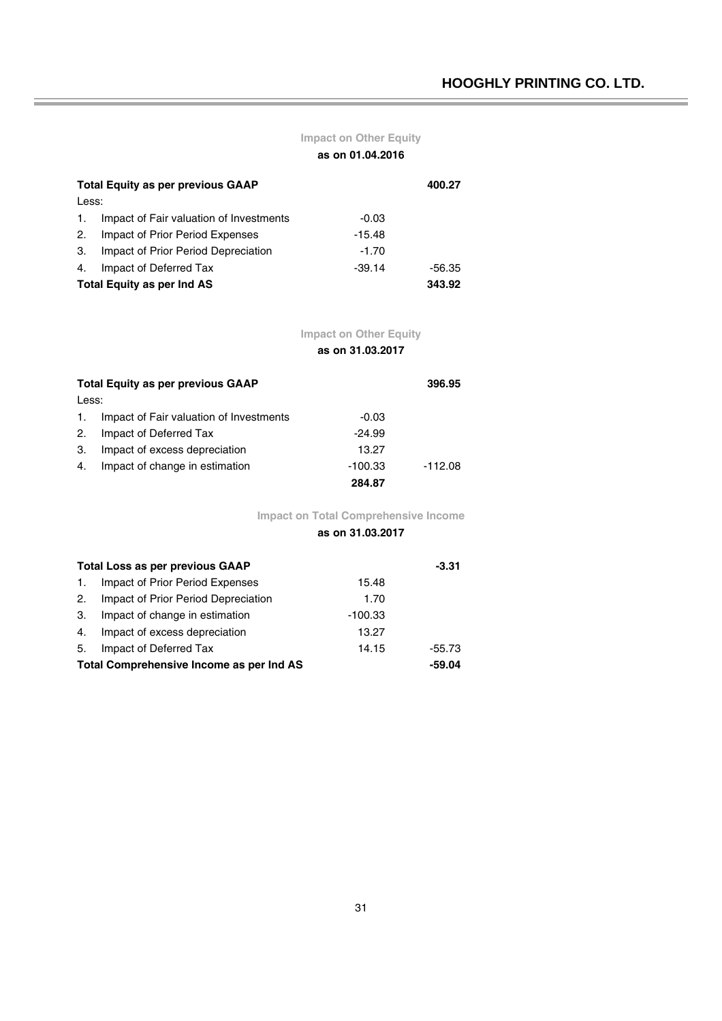# **Impact on Other Equity**

**as on 01.04.2016**

|                                             | <b>Total Equity as per previous GAAP</b> |          |        |  |
|---------------------------------------------|------------------------------------------|----------|--------|--|
| Less:                                       |                                          |          |        |  |
| 1.                                          | Impact of Fair valuation of Investments  | $-0.03$  |        |  |
| 2.                                          | Impact of Prior Period Expenses          | $-15.48$ |        |  |
| 3.                                          | Impact of Prior Period Depreciation      | $-1.70$  |        |  |
| 4.                                          | Impact of Deferred Tax                   | $-39.14$ | -56.35 |  |
| <b>Total Equity as per Ind AS</b><br>343.92 |                                          |          |        |  |

# **Impact on Other Equity**

**as on 31.03.2017**

|                | <b>Total Equity as per previous GAAP</b> |           |           |  |  |
|----------------|------------------------------------------|-----------|-----------|--|--|
| Less:          |                                          |           |           |  |  |
| $\mathbf{1}$ . | Impact of Fair valuation of Investments  | $-0.03$   |           |  |  |
| 2.             | Impact of Deferred Tax                   | $-24.99$  |           |  |  |
| 3.             | Impact of excess depreciation            | 13.27     |           |  |  |
| 4.             | Impact of change in estimation           | $-100.33$ | $-112.08$ |  |  |
|                |                                          | 284.87    |           |  |  |

**Impact on Total Comprehensive Income**

## **as on 31.03.2017**

| <b>Total Loss as per previous GAAP</b>   | $-3.31$                             |           |        |  |
|------------------------------------------|-------------------------------------|-----------|--------|--|
| $\mathbf{1}$ .                           | Impact of Prior Period Expenses     | 15.48     |        |  |
| 2.                                       | Impact of Prior Period Depreciation | 1.70      |        |  |
| 3.                                       | Impact of change in estimation      | $-100.33$ |        |  |
| 4.                                       | Impact of excess depreciation       | 13.27     |        |  |
| 5.                                       | Impact of Deferred Tax              | 14.15     | -55.73 |  |
| Total Comprehensive Income as per Ind AS |                                     |           |        |  |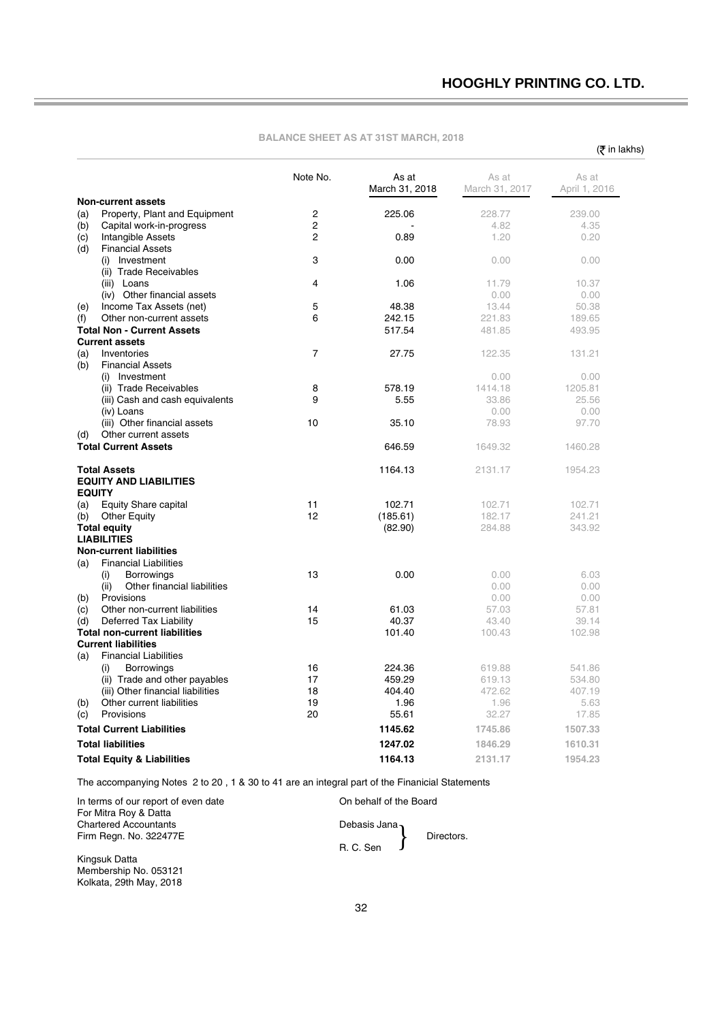$($ ₹ in lakhs)

|     |                                                                | Note No.       | As at<br>March 31, 2018 | As at<br>March 31, 2017 | As at<br>April 1, 2016 |
|-----|----------------------------------------------------------------|----------------|-------------------------|-------------------------|------------------------|
|     | <b>Non-current assets</b>                                      |                |                         |                         |                        |
| (a) | Property, Plant and Equipment                                  | $\overline{c}$ | 225.06                  | 228.77                  | 239.00                 |
| (b) | Capital work-in-progress                                       | $\overline{2}$ |                         | 4.82                    | 4.35                   |
| (c) | Intangible Assets                                              | 2              | 0.89                    | 1.20                    | 0.20                   |
| (d) | <b>Financial Assets</b>                                        |                |                         |                         |                        |
|     | Investment<br>(i)                                              | 3              | 0.00                    | 0.00                    | 0.00                   |
|     | (ii) Trade Receivables                                         |                |                         |                         |                        |
|     | (iii) Loans                                                    | 4              | 1.06                    | 11.79                   | 10.37                  |
|     | (iv) Other financial assets                                    |                |                         | 0.00                    | 0.00                   |
| (e) | Income Tax Assets (net)                                        | 5              | 48.38                   | 13.44                   | 50.38                  |
| (f) | Other non-current assets                                       | 6              | 242.15                  | 221.83                  | 189.65                 |
|     | <b>Total Non - Current Assets</b>                              |                | 517.54                  | 481.85                  | 493.95                 |
|     | <b>Current assets</b>                                          |                |                         |                         |                        |
| (a) | Inventories                                                    | $\overline{7}$ | 27.75                   | 122.35                  | 131.21                 |
| (b) | <b>Financial Assets</b>                                        |                |                         |                         |                        |
|     | (i) Investment                                                 | 8              | 578.19                  | 0.00<br>1414.18         | 0.00                   |
|     | (ii) Trade Receivables                                         | 9              | 5.55                    | 33.86                   | 1205.81<br>25.56       |
|     | (iii) Cash and cash equivalents<br>(iv) Loans                  |                |                         | 0.00                    | 0.00                   |
|     | (iii) Other financial assets                                   | 10             | 35.10                   | 78.93                   | 97.70                  |
| (d) | Other current assets                                           |                |                         |                         |                        |
|     | <b>Total Current Assets</b>                                    |                | 646.59                  | 1649.32                 | 1460.28                |
|     |                                                                |                |                         |                         |                        |
|     | <b>Total Assets</b>                                            |                | 1164.13                 | 2131.17                 | 1954.23                |
|     | <b>EQUITY AND LIABILITIES</b>                                  |                |                         |                         |                        |
|     | <b>EQUITY</b>                                                  |                |                         |                         |                        |
| (a) | <b>Equity Share capital</b>                                    | 11             | 102.71                  | 102.71                  | 102.71                 |
| (b) | <b>Other Equity</b>                                            | 12             | (185.61)                | 182.17                  | 241.21                 |
|     | <b>Total equity</b>                                            |                | (82.90)                 | 284.88                  | 343.92                 |
|     | <b>LIABILITIES</b>                                             |                |                         |                         |                        |
|     | <b>Non-current liabilities</b>                                 |                |                         |                         |                        |
| (a) | <b>Financial Liabilities</b>                                   |                |                         |                         |                        |
|     | <b>Borrowings</b><br>(i)                                       | 13             | 0.00                    | 0.00                    | 6.03                   |
|     | (ii)<br>Other financial liabilities                            |                |                         | 0.00                    | 0.00                   |
| (b) | Provisions                                                     |                |                         | 0.00                    | 0.00                   |
| (c) | Other non-current liabilities                                  | 14<br>15       | 61.03                   | 57.03<br>43.40          | 57.81                  |
| (d) | Deferred Tax Liability<br><b>Total non-current liabilities</b> |                | 40.37<br>101.40         | 100.43                  | 39.14<br>102.98        |
|     | <b>Current liabilities</b>                                     |                |                         |                         |                        |
| (a) | <b>Financial Liabilities</b>                                   |                |                         |                         |                        |
|     | <b>Borrowings</b><br>(i)                                       | 16             | 224.36                  | 619.88                  | 541.86                 |
|     | (ii) Trade and other payables                                  | 17             | 459.29                  | 619.13                  | 534.80                 |
|     | (iii) Other financial liabilities                              | 18             | 404.40                  | 472.62                  | 407.19                 |
| (b) | Other current liabilities                                      | 19             | 1.96                    | 1.96                    | 5.63                   |
| (c) | Provisions                                                     | 20             | 55.61                   | 32.27                   | 17.85                  |
|     | <b>Total Current Liabilities</b>                               |                | 1145.62                 | 1745.86                 | 1507.33                |
|     | <b>Total liabilities</b>                                       |                | 1247.02                 | 1846.29                 | 1610.31                |
|     |                                                                |                |                         |                         |                        |
|     | <b>Total Equity &amp; Liabilities</b>                          |                | 1164.13                 | 2131.17                 | 1954.23                |

### **BALANCE SHEET AS AT 31ST MARCH, 2018**

The accompanying Notes 2 to 20 , 1 & 30 to 41 are an integral part of the Finanicial Statements

In terms of our report of even date **On behalf of the Board** For Mitra Roy & Datta Chartered Accountants **Debasis Jana** 

Firm Regn. No. 322477E **Directors.** R. C. Sen Debasis Jana<br>B.C. Sen

Kingsuk Datta Membership No. 053121 Kolkata, 29th May, 2018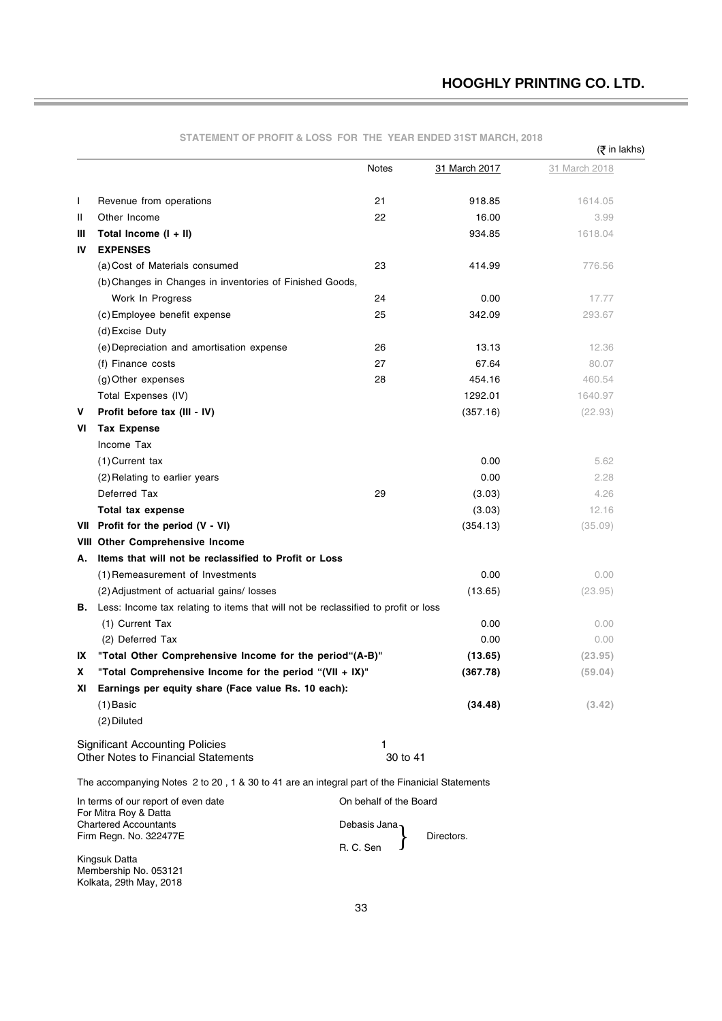|    |                                                                                                | oo run<br>.            |               | (₹ in lakhs)  |
|----|------------------------------------------------------------------------------------------------|------------------------|---------------|---------------|
|    |                                                                                                | <b>Notes</b>           | 31 March 2017 | 31 March 2018 |
| I  | Revenue from operations                                                                        | 21                     | 918.85        | 1614.05       |
| Ш  | Other Income                                                                                   | 22                     | 16.00         | 3.99          |
| Ш  | Total Income $(I + II)$                                                                        |                        | 934.85        | 1618.04       |
| IV | <b>EXPENSES</b>                                                                                |                        |               |               |
|    | (a) Cost of Materials consumed                                                                 | 23                     | 414.99        | 776.56        |
|    | (b) Changes in Changes in inventories of Finished Goods,                                       |                        |               |               |
|    | Work In Progress                                                                               | 24                     | 0.00          | 17.77         |
|    | (c) Employee benefit expense                                                                   | 25                     | 342.09        | 293.67        |
|    | (d) Excise Duty                                                                                |                        |               |               |
|    | (e) Depreciation and amortisation expense                                                      | 26                     | 13.13         | 12.36         |
|    | (f) Finance costs                                                                              | 27                     | 67.64         | 80.07         |
|    | (g) Other expenses                                                                             | 28                     | 454.16        | 460.54        |
|    | Total Expenses (IV)                                                                            |                        | 1292.01       | 1640.97       |
| v  | Profit before tax (III - IV)                                                                   |                        | (357.16)      | (22.93)       |
| VI | <b>Tax Expense</b>                                                                             |                        |               |               |
|    | Income Tax                                                                                     |                        |               |               |
|    | (1) Current tax                                                                                |                        | 0.00          | 5.62          |
|    | (2) Relating to earlier years                                                                  |                        | 0.00          | 2.28          |
|    | Deferred Tax                                                                                   | 29                     | (3.03)        | 4.26          |
|    | Total tax expense                                                                              |                        | (3.03)        | 12.16         |
|    | VII Profit for the period (V - VI)                                                             |                        | (354.13)      | (35.09)       |
|    | <b>VIII Other Comprehensive Income</b>                                                         |                        |               |               |
| Α. | Items that will not be reclassified to Profit or Loss                                          |                        |               |               |
|    | (1) Remeasurement of Investments                                                               |                        | 0.00          | 0.00          |
|    | (2) Adjustment of actuarial gains/losses                                                       |                        | (13.65)       | (23.95)       |
| В. | Less: Income tax relating to items that will not be reclassified to profit or loss             |                        |               |               |
|    | (1) Current Tax                                                                                |                        | 0.00          | 0.00          |
|    | (2) Deferred Tax                                                                               |                        | 0.00          | 0.00          |
| IX | "Total Other Comprehensive Income for the period"(A-B)"                                        |                        | (13.65)       | (23.95)       |
| x  | "Total Comprehensive Income for the period "(VII + IX)"                                        |                        | (367.78)      | (59.04)       |
| ΧI | Earnings per equity share (Face value Rs. 10 each):                                            |                        |               |               |
|    | $(1)$ Basic                                                                                    |                        | (34.48)       | (3.42)        |
|    | (2) Diluted                                                                                    |                        |               |               |
|    | <b>Significant Accounting Policies</b>                                                         | 1                      |               |               |
|    | Other Notes to Financial Statements                                                            | 30 to 41               |               |               |
|    | The accompanying Notes 2 to 20, 1 & 30 to 41 are an integral part of the Finanicial Statements |                        |               |               |
|    | In terms of our report of even date                                                            | On behalf of the Board |               |               |
|    | For Mitra Roy & Datta<br><b>Chartered Accountants</b>                                          | Debasis Jana           |               |               |
|    | Firm Regn. No. 322477E                                                                         | R. C. Sen              | Directors.    |               |
|    | Kingsuk Datta                                                                                  |                        |               |               |

**STATEMENT OF PROFIT & LOSS FOR THE YEAR ENDED 31ST MARCH, 2018**

Membership No. 053121 Kolkata, 29th May, 2018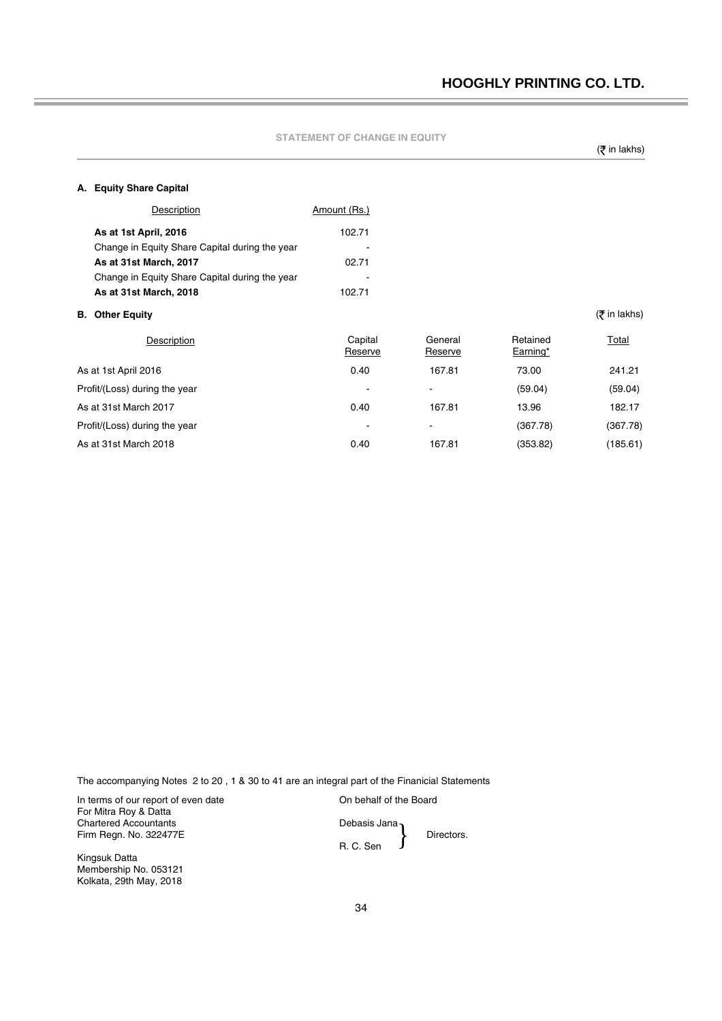| <b>STATEMENT OF CHANGE IN EQUITY</b> |
|--------------------------------------|
|--------------------------------------|

(そ in lakhs)

### **A. Equity Share Capital**

|    | Description                                    | Amount (Rs.)       |                    |                      |                 |
|----|------------------------------------------------|--------------------|--------------------|----------------------|-----------------|
|    | As at 1st April, 2016                          | 102.71             |                    |                      |                 |
|    | Change in Equity Share Capital during the year |                    |                    |                      |                 |
|    | As at 31st March, 2017                         | 02.71              |                    |                      |                 |
|    | Change in Equity Share Capital during the year |                    |                    |                      |                 |
|    | As at 31st March, 2018                         | 102.71             |                    |                      |                 |
| В. | <b>Other Equity</b>                            |                    |                    |                      | $($ ₹ in lakhs) |
|    | Description                                    | Capital<br>Reserve | General<br>Reserve | Retained<br>Earning* | Total           |
|    | As at 1st April 2016                           | 0.40               | 167.81             | 73.00                | 241.21          |
|    | Profit/(Loss) during the year                  | $\blacksquare$     | ۰                  | (59.04)              | (59.04)         |
|    | As at 31st March 2017                          | 0.40               | 167.81             | 13.96                | 182.17          |
|    | Profit/(Loss) during the year                  |                    | -                  | (367.78)             | (367.78)        |
|    | As at 31st March 2018                          | 0.40               | 167.81             | (353.82)             | (185.61)        |

The accompanying Notes 2 to 20 , 1 & 30 to 41 are an integral part of the Finanicial Statements

In terms of our report of even date **Interport of the Board** For Mitra Roy & Datta Chartered Accountants Debasis Jana Firm Regn. No. 322477E Directors.

Kingsuk Datta Membership No. 053121 Kolkata, 29th May, 2018

R. C. Sen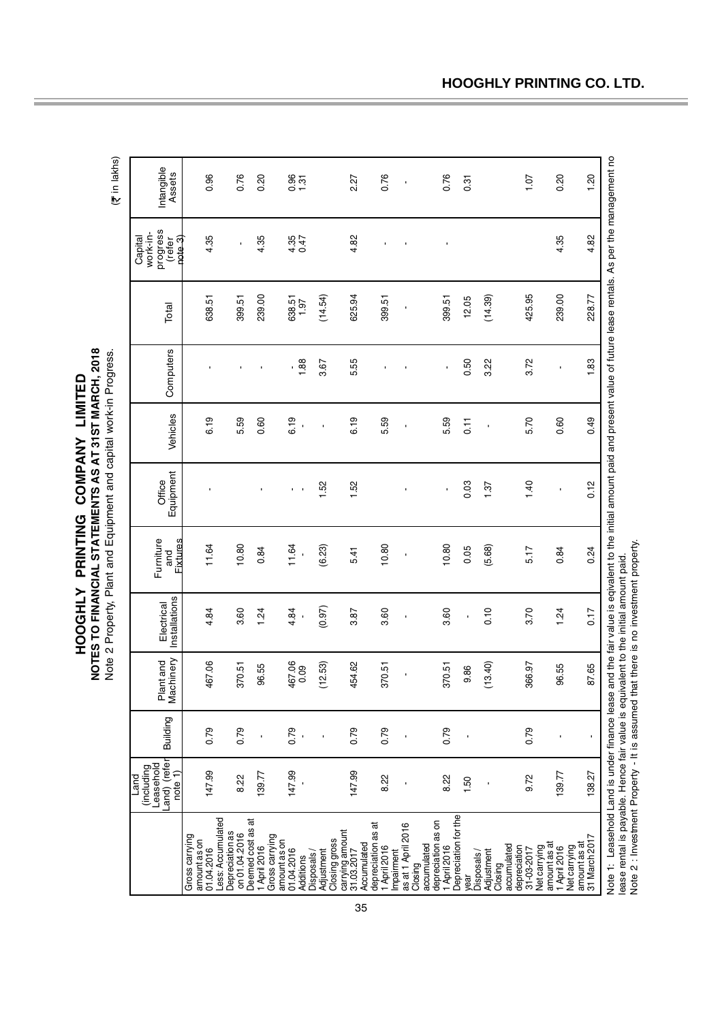| HOGHLY PRINTING COMPANY LIMITED                                    |              |
|--------------------------------------------------------------------|--------------|
| NOTES TO FINANCIAL STATEMENTS AS AT 31ST MARCH, 2018               |              |
| Note 2 Property, Plant and Equipment and capital work-in Progress. | (7 in lakhs) |

(₹ in lakhs)

|                                                                                                                                                                                                                                                                                                                        | and) (refer<br>(including<br>Leasehold<br>note 1)<br>Land | Building       | Plant and<br>Machinery | Installations<br>Electrical         | Furniture<br><b>Fixtures</b><br>and | Equipment<br>Office     | Vehicles               | Computers | Total          | progress<br>(refer<br>work-in-<br>Capital<br>note 3) | Intangible<br>Assets |
|------------------------------------------------------------------------------------------------------------------------------------------------------------------------------------------------------------------------------------------------------------------------------------------------------------------------|-----------------------------------------------------------|----------------|------------------------|-------------------------------------|-------------------------------------|-------------------------|------------------------|-----------|----------------|------------------------------------------------------|----------------------|
| Gross carrying<br>amount as on<br>01.04.2016                                                                                                                                                                                                                                                                           | 147.99                                                    | 0.79           | 467.06                 | 4.84                                | 11.64                               |                         | 6.19                   |           | 638.51         | 4.35                                                 | 0.96                 |
| Less: Accumulated<br>Depreciation as<br>on 01.04.2016                                                                                                                                                                                                                                                                  | 8.22                                                      | 0.79           | 370.51                 | 3.60                                | 10.80                               |                         | 5.59                   |           | 399.51         | ı,                                                   | 0.76                 |
| Deemed cost as at<br>Gross carrying<br>1 April 2016                                                                                                                                                                                                                                                                    | 139.77                                                    | ï              | 96.55                  | 1.24                                | 0.84                                | $\blacksquare$          | 0.60                   |           | 239.00         | 4.35                                                 | 0.20                 |
| amount as on<br>01.04.2016<br>Additions                                                                                                                                                                                                                                                                                | 147.99                                                    | 0.79           | 467.06<br>0.09         | 4.84<br>$\blacksquare$              | 11.64                               | $\mathbf{r}=\mathbf{r}$ | 6.19<br>$\blacksquare$ | 1.88      | 638.51<br>1.97 | $4.35$<br>0.47                                       | 0.37                 |
| Closing gross<br>Adjustment<br><b>Disposals</b>                                                                                                                                                                                                                                                                        |                                                           |                | (12.53)                | (0.97)                              | (6.23)                              | 1.52                    | ï                      | 3.67      | (14.54)        |                                                      |                      |
| carrying amount<br>31.03.2017<br>Accumulated                                                                                                                                                                                                                                                                           | 147.99                                                    | 0.79           | 454.62                 | 3.87                                | 5.41                                | 1.52                    | 6.19                   | 5.55      | 625.94         | 4.82                                                 | 2.27                 |
| depreciation as at<br>1 April 2016                                                                                                                                                                                                                                                                                     | 8.22                                                      | 0.79           | 370.51                 | 3.60                                | 10.80                               |                         | 5.59                   |           | 399.51         | f,                                                   | 0.76                 |
| as at 1 April 2016<br>Impairment                                                                                                                                                                                                                                                                                       | $\blacksquare$                                            |                | $\blacksquare$         | $\blacksquare$                      | $\blacksquare$                      | $\blacksquare$          | $\blacksquare$         |           | $\blacksquare$ | $\blacksquare$                                       | ı                    |
| accumulated<br>Closing                                                                                                                                                                                                                                                                                                 |                                                           |                |                        |                                     |                                     |                         |                        |           |                |                                                      |                      |
| depreciation as on<br>1 April 2016                                                                                                                                                                                                                                                                                     | 8.22                                                      | 0.79           | 370.51                 | 3.60                                | 10.80                               | r.                      | 5.59                   | ï         | 399.51         | ï                                                    | 0.76                 |
| Depreciation for the<br>vear                                                                                                                                                                                                                                                                                           | 1.50                                                      |                | 9.86                   | ï                                   | 0.05                                | 0.03                    | $\overline{11}$        | 0.50      | 12.05          |                                                      | 0.31                 |
| Adjustment<br>Disposals<br>Closing                                                                                                                                                                                                                                                                                     | ï                                                         |                | (13.40)                | 0.10                                | (5.68)                              | 1.37                    | ï                      | 3.22      | (14.39)        |                                                      |                      |
| accumulated<br>depreciation<br>31-03-2017                                                                                                                                                                                                                                                                              | 9.72                                                      | 0.79           | 366.97                 | 3.70                                | 5.17                                | 1.40                    | 5.70                   | 3.72      | 425.95         |                                                      | 1.07                 |
| amount as at<br>Net carrying<br>1 April 2016                                                                                                                                                                                                                                                                           | 139.77                                                    | ×              | 96.55                  | 1.24                                | 0.84                                | ï                       | 0.60                   | ï         | 239.00         | 4.35                                                 | 0.20                 |
| 31 March 2017<br>amount as at<br>Net carrying                                                                                                                                                                                                                                                                          | 138.27                                                    | $\blacksquare$ | 87.65                  | 0.17                                | 0.24                                | 0.12                    | 0.49                   | 1.83      | 228.77         | 4.82                                                 | 1.20                 |
| Note 1: Leasehold Land is under finance lease and the fair value is eqivalent to the initial amount paid and present value of future lease rentals. As per the management no<br>Note 2 : Investment Property - It is assumed that there is no investment property.<br>lease rental is payable. Hence fair value is equ |                                                           |                |                        | ivalent to the initial amount paid. |                                     |                         |                        |           |                |                                                      |                      |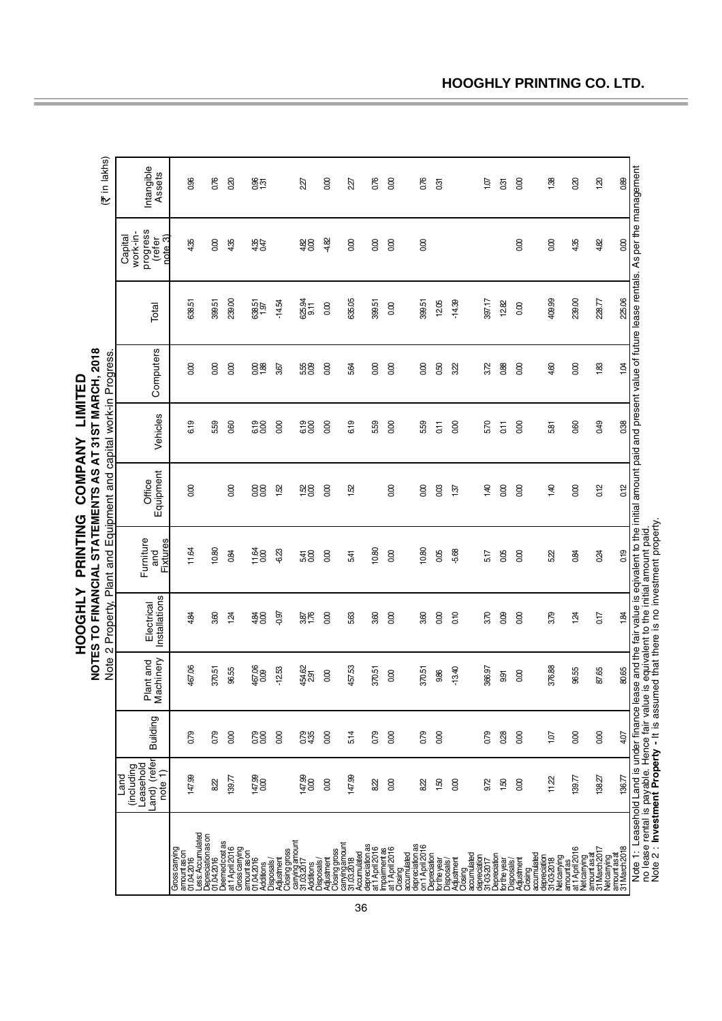| in lakhs)<br>Y                                       | Intangible<br>Assets                                           | 0.96                                                            | 0.76                             | $\infty$                        | 855                                         |                                                        | 227                                       | $\infty$                                  | 227                                         | 0.76                               | $\infty$                                    | 0.76                                              | Ğ,                           |                                                   | $\frac{5}{2}$                            | 031            | 8                        | 138                                                                 | 80                          | $\overline{3}$                                                                        | 880           |                                                                                                                                                                                                                                                                                                                                                                  |
|------------------------------------------------------|----------------------------------------------------------------|-----------------------------------------------------------------|----------------------------------|---------------------------------|---------------------------------------------|--------------------------------------------------------|-------------------------------------------|-------------------------------------------|---------------------------------------------|------------------------------------|---------------------------------------------|---------------------------------------------------|------------------------------|---------------------------------------------------|------------------------------------------|----------------|--------------------------|---------------------------------------------------------------------|-----------------------------|---------------------------------------------------------------------------------------|---------------|------------------------------------------------------------------------------------------------------------------------------------------------------------------------------------------------------------------------------------------------------------------------------------------------------------------------------------------------------------------|
|                                                      | progress<br>(refer<br>work-in-<br>rate <sub>3</sub><br>Capital | 4.35                                                            | 0.00                             | 4.35                            | 435                                         |                                                        | $rac{480}{80}$                            | -4.82                                     | 0.00                                        | 0.00                               | 0.00                                        | 0.00                                              |                              |                                                   |                                          |                | 0.00                     | 0.00                                                                | 4.35                        | 4.82                                                                                  | 600           |                                                                                                                                                                                                                                                                                                                                                                  |
|                                                      | Total                                                          | 638.51                                                          | 399.51                           | 239.00                          | 638.51<br>1.97                              | $-14.54$                                               | 625.94<br>911                             | 000                                       | 635.05                                      | 399.51                             | 600                                         | 399.51                                            | 12.05                        | $-14.39$                                          | 397.17                                   | 12.82          | 000                      | 409.99                                                              | 239.00                      | 228.77                                                                                | 225.06        |                                                                                                                                                                                                                                                                                                                                                                  |
|                                                      | Computers                                                      | 0.00                                                            | 0.00                             | 0.00                            | $\frac{88}{180}$                            | 3.67                                                   | 538<br>08                                 | 0.00                                      | 5.64                                        | 0.00                               | 0.00                                        | 0.00                                              | 0.50                         | 322                                               | 3.72                                     | 0.88           | 0.00                     | 4.60                                                                | 0.00                        | 1.83                                                                                  | $\ddot{9}$    |                                                                                                                                                                                                                                                                                                                                                                  |
|                                                      | Vehicles                                                       | G <sub>19</sub>                                                 | 559                              | 0.60                            | 83                                          | 8 <sup>o</sup>                                         | 819<br>000                                | $\overline{0}$                            | 619                                         | 559                                | 0.00                                        | 5.59                                              | G11                          | 0.00                                              | 570                                      | $\overline{C}$ | 0.00                     | 581                                                                 | 0.60                        | 049                                                                                   | 038           |                                                                                                                                                                                                                                                                                                                                                                  |
| NOTES TO FINANCIAL STATEMENTS AS AT 31ST MARCH, 2018 | Equipment<br>Office                                            | 8                                                               |                                  | $\alpha$                        | 88                                          | 152                                                    | $\frac{58}{20}$                           | $\infty$                                  | 1.52                                        |                                    | 8                                           | 800                                               | 0.03                         | 137                                               | 1.40                                     | 8              | 8                        | 4.40                                                                | 8                           | 0.12                                                                                  | 0.12          |                                                                                                                                                                                                                                                                                                                                                                  |
| Plant and Equipment and capital work-in Progress     | Furniture<br><b>Fixtures</b><br>and                            | 11.64                                                           | 10.80                            | 0.84                            | 11.64<br>$\frac{0}{0}$                      | 6.23                                                   | 5.41                                      | 0.00                                      | 541                                         | 10.80                              | 0.00                                        | 10.80                                             | 0.05                         | -5.68                                             | 5.17                                     | 0.05           | 0.00                     | 5.22                                                                | 0.84                        | 0.24                                                                                  | 0.19          |                                                                                                                                                                                                                                                                                                                                                                  |
| Property,                                            | Installations<br>Electrical                                    | 4.84                                                            | 3.60                             | 124                             | $rac{480}{36}$                              | $-0.97$                                                | 387<br>1.76                               | 0.00                                      | 5.63                                        | 3.60                               | 0.00                                        | 3.60                                              | 0.00                         | 0.10                                              | 3.70                                     | 0.09           | 0.00                     | 3.79                                                                | 124                         | 0.17                                                                                  | $\frac{1}{8}$ |                                                                                                                                                                                                                                                                                                                                                                  |
| Note 2                                               | achinery<br>Plant and<br>Ξ                                     | 467.06                                                          | 370.51                           | 96.55                           | 467,06<br>0.09                              | $-12.53$                                               | 454.62<br>2.91                            | 8                                         | 457.53                                      | 370.51                             | 8                                           | 370.51                                            | 9.86                         | $-13.40$                                          | 366.97                                   | 9.91           | 80                       | 376.88                                                              | 96.55                       | 87.65                                                                                 | 80.65         |                                                                                                                                                                                                                                                                                                                                                                  |
|                                                      | Building                                                       | 679                                                             | 0.79                             | 8                               | <b>R8</b>                                   | 8                                                      | <b>850</b><br>0.35                        | $\infty$                                  | 5.14                                        | 679                                | 8                                           | 0.79                                              | 8                            |                                                   | 679                                      | 028            | 8                        | 107                                                                 | $\infty$                    | $\infty$                                                                              | 4.07          |                                                                                                                                                                                                                                                                                                                                                                  |
|                                                      | -and) (refer<br>(including<br>Leasehold<br>note 1)<br>Land     | 147.99                                                          | 822                              | 139.77                          | 147.99<br>0.00                              |                                                        | 147,99<br>0.00                            | 0.00                                      | 147.99                                      | 822                                | 0.00                                        | 822                                               | 1.50                         | 0.00                                              | 9.72                                     | 1.50           | 0.00                     | 11.22                                                               | 139.77                      | 138.27                                                                                | 136.77        |                                                                                                                                                                                                                                                                                                                                                                  |
|                                                      |                                                                | Less: Accumulated<br>Gross carrying<br>amountason<br>01.04.2016 | Depreciation as on<br>01.04.2016 | Deemedcostas<br>at 1 April 2016 | Gross carrying<br>amountas on<br>01.04.2016 | Closing gross<br>Additions<br>Disposals/<br>Adjustment | canying amount<br>31.03.2017<br>Additions | Closing gross<br>Adjustment<br>Disposals/ | carying amount<br>31.03.2018<br>Accumulated | depreciation as<br>at 1 April 2016 | Impairment as<br>at 1 April 2016<br>Closing | depreciation as<br>on 1 April 2016<br>accumulated | Depreciation<br>for the year | Disposals/<br>Adjustment<br>Closing<br>coumulated | depredation<br>31-03-2017<br>Depredation | for the year   | Disposals/<br>Adjustment | Clósing<br>accumulated<br>depreciation<br>31-03-2018<br>Netcarrying | amountas<br>at 1 April 2016 | Netcarrying<br>amountasat<br>31 March 2017<br>Netcarrying<br>amountasat<br>amountasat |               | Note 1: Leasehold Land is under finance lease and the fair value is eqivalent to the initial amount paid and present value of future lease rentals. As per the management<br>no lease rental is payable. Hence fair value is equivalent to the initial amount paid.<br>Note 2 : <b>Investment Property -</b> It is assumed that there is no investment property. |

**HOOGHLY PRINTING COMPANY LIMITED**

HOOGHLY PRINTING COMPANY LIMITED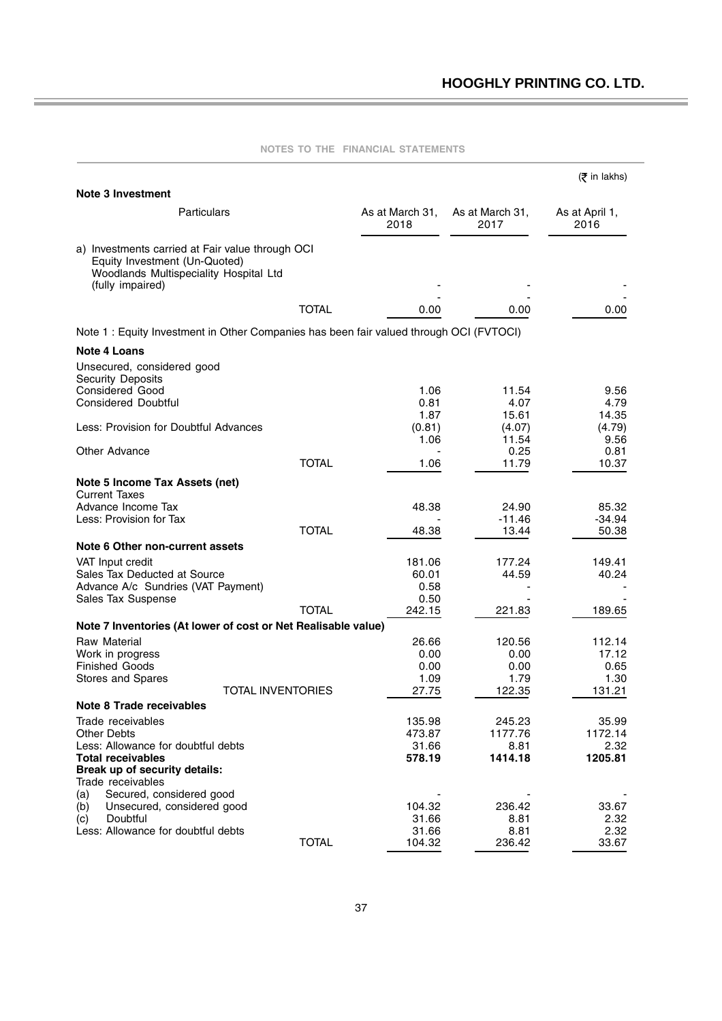$\equiv$ 

|                                                                                        |              |                         |                         | (₹ in lakhs)           |
|----------------------------------------------------------------------------------------|--------------|-------------------------|-------------------------|------------------------|
| <b>Note 3 Investment</b>                                                               |              |                         |                         |                        |
| Particulars                                                                            |              | As at March 31,<br>2018 | As at March 31,<br>2017 | As at April 1,<br>2016 |
| a) Investments carried at Fair value through OCI                                       |              |                         |                         |                        |
| Equity Investment (Un-Quoted)<br>Woodlands Multispeciality Hospital Ltd                |              |                         |                         |                        |
| (fully impaired)                                                                       |              |                         |                         |                        |
|                                                                                        | <b>TOTAL</b> | 0.00                    | 0.00                    | 0.00                   |
| Note 1: Equity Investment in Other Companies has been fair valued through OCI (FVTOCI) |              |                         |                         |                        |
|                                                                                        |              |                         |                         |                        |
| Note 4 Loans                                                                           |              |                         |                         |                        |
| Unsecured, considered good<br><b>Security Deposits</b>                                 |              |                         |                         |                        |
| <b>Considered Good</b>                                                                 |              | 1.06                    | 11.54                   | 9.56                   |
| <b>Considered Doubtful</b>                                                             |              | 0.81                    | 4.07                    | 4.79                   |
|                                                                                        |              | 1.87                    | 15.61                   | 14.35                  |
| Less: Provision for Doubtful Advances                                                  |              | (0.81)                  | (4.07)                  | (4.79)                 |
| Other Advance                                                                          |              | 1.06                    | 11.54<br>0.25           | 9.56<br>0.81           |
|                                                                                        | <b>TOTAL</b> | 1.06                    | 11.79                   | 10.37                  |
| Note 5 Income Tax Assets (net)                                                         |              |                         |                         |                        |
| <b>Current Taxes</b>                                                                   |              |                         |                         |                        |
| Advance Income Tax                                                                     |              | 48.38                   | 24.90                   | 85.32                  |
| Less: Provision for Tax                                                                | <b>TOTAL</b> | 48.38                   | $-11.46$<br>13.44       | -34.94<br>50.38        |
| Note 6 Other non-current assets                                                        |              |                         |                         |                        |
| VAT Input credit                                                                       |              | 181.06                  | 177.24                  | 149.41                 |
| Sales Tax Deducted at Source                                                           |              | 60.01                   | 44.59                   | 40.24                  |
| Advance A/c Sundries (VAT Payment)                                                     |              | 0.58                    |                         |                        |
| Sales Tax Suspense                                                                     |              | 0.50                    |                         |                        |
|                                                                                        | <b>TOTAL</b> | 242.15                  | 221.83                  | 189.65                 |
| Note 7 Inventories (At lower of cost or Net Realisable value)                          |              |                         |                         |                        |
| Raw Material                                                                           |              | 26.66                   | 120.56                  | 112.14                 |
| Work in progress<br><b>Finished Goods</b>                                              |              | 0.00<br>0.00            | 0.00<br>0.00            | 17.12<br>0.65          |
| Stores and Spares                                                                      |              | 1.09                    | 1.79                    | 1.30                   |
| <b>TOTAL INVENTORIES</b>                                                               |              | 27.75                   | 122.35                  | 131.21                 |
| Note 8 Trade receivables                                                               |              |                         |                         |                        |
| Trade receivables                                                                      |              | 135.98                  | 245.23                  | 35.99                  |
| Other Debts                                                                            |              | 473.87                  | 1177.76                 | 1172.14                |
| Less: Allowance for doubtful debts                                                     |              | 31.66                   | 8.81                    | 2.32                   |
| <b>Total receivables</b>                                                               |              | 578.19                  | 1414.18                 | 1205.81                |
| Break up of security details:<br>Trade receivables                                     |              |                         |                         |                        |
| Secured, considered good<br>(a)                                                        |              |                         |                         |                        |
| Unsecured, considered good<br>(b)                                                      |              | 104.32                  | 236.42                  | 33.67                  |
| Doubtful<br>(c)                                                                        |              | 31.66                   | 8.81                    | 2.32                   |
| Less: Allowance for doubtful debts                                                     |              | 31.66                   | 8.81                    | 2.32                   |
|                                                                                        | <b>TOTAL</b> | 104.32                  | 236.42                  | 33.67                  |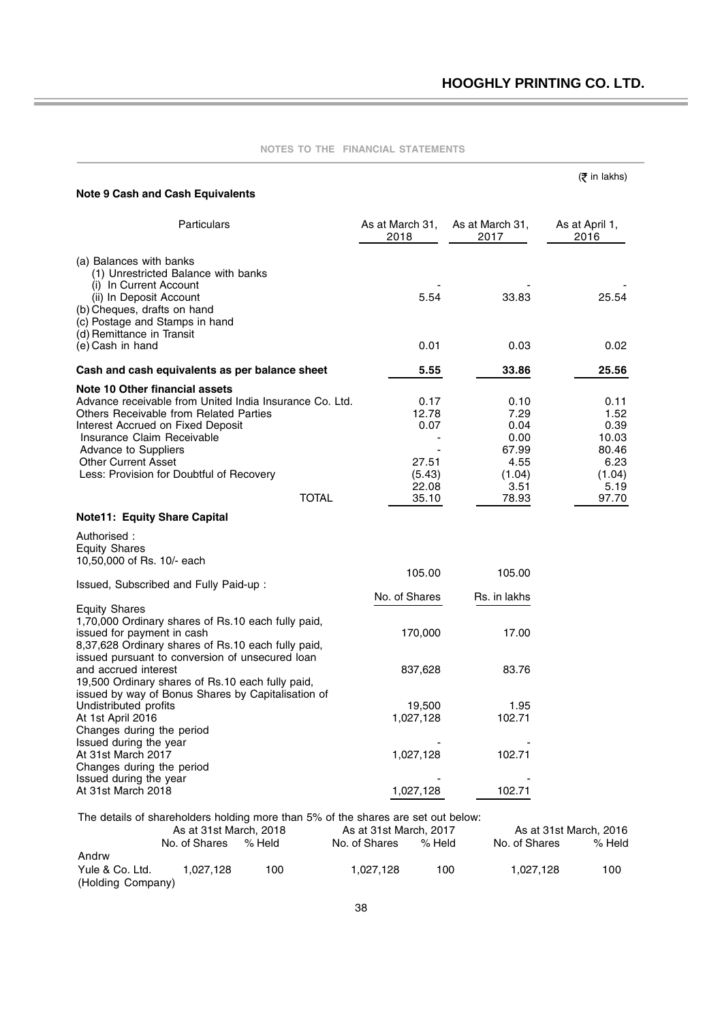|                                                                                          |                                                    |                                                                                   |                         |                         | (₹ in lakhs)           |
|------------------------------------------------------------------------------------------|----------------------------------------------------|-----------------------------------------------------------------------------------|-------------------------|-------------------------|------------------------|
|                                                                                          | <b>Note 9 Cash and Cash Equivalents</b>            |                                                                                   |                         |                         |                        |
|                                                                                          | Particulars                                        |                                                                                   | As at March 31,<br>2018 | As at March 31,<br>2017 | As at April 1,<br>2016 |
| (a) Balances with banks                                                                  |                                                    |                                                                                   |                         |                         |                        |
| (i) In Current Account                                                                   | (1) Unrestricted Balance with banks                |                                                                                   |                         |                         |                        |
| (ii) In Deposit Account<br>(b) Cheques, drafts on hand<br>(c) Postage and Stamps in hand |                                                    |                                                                                   | 5.54                    | 33.83                   | 25.54                  |
| (d) Remittance in Transit<br>(e) Cash in hand                                            |                                                    |                                                                                   | 0.01                    | 0.03                    | 0.02                   |
|                                                                                          | Cash and cash equivalents as per balance sheet     |                                                                                   | 5.55                    | 33.86                   | 25.56                  |
| Note 10 Other financial assets                                                           |                                                    |                                                                                   |                         |                         |                        |
|                                                                                          |                                                    | Advance receivable from United India Insurance Co. Ltd.                           | 0.17                    | 0.10                    | 0.11                   |
|                                                                                          | Others Receivable from Related Parties             |                                                                                   | 12.78                   | 7.29                    | 1.52                   |
| Interest Accrued on Fixed Deposit                                                        |                                                    |                                                                                   | 0.07                    | 0.04                    | 0.39                   |
| Insurance Claim Receivable                                                               |                                                    |                                                                                   |                         | 0.00                    | 10.03                  |
| Advance to Suppliers                                                                     |                                                    |                                                                                   |                         | 67.99                   | 80.46                  |
| <b>Other Current Asset</b>                                                               |                                                    |                                                                                   | 27.51                   | 4.55                    | 6.23                   |
|                                                                                          | Less: Provision for Doubtful of Recovery           |                                                                                   | (5.43)                  | (1.04)                  | (1.04)                 |
|                                                                                          |                                                    |                                                                                   | 22.08                   | 3.51                    | 5.19                   |
|                                                                                          |                                                    | <b>TOTAL</b>                                                                      | 35.10                   | 78.93                   | 97.70                  |
| <b>Note11: Equity Share Capital</b>                                                      |                                                    |                                                                                   |                         |                         |                        |
| Authorised :                                                                             |                                                    |                                                                                   |                         |                         |                        |
| <b>Equity Shares</b>                                                                     |                                                    |                                                                                   |                         |                         |                        |
| 10,50,000 of Rs. 10/- each                                                               |                                                    |                                                                                   |                         |                         |                        |
|                                                                                          |                                                    |                                                                                   | 105.00                  | 105.00                  |                        |
|                                                                                          | Issued, Subscribed and Fully Paid-up:              |                                                                                   |                         |                         |                        |
|                                                                                          |                                                    |                                                                                   | No. of Shares           | Rs. in lakhs            |                        |
| <b>Equity Shares</b>                                                                     |                                                    |                                                                                   |                         |                         |                        |
|                                                                                          | 1,70,000 Ordinary shares of Rs.10 each fully paid, |                                                                                   |                         |                         |                        |
| issued for payment in cash                                                               |                                                    |                                                                                   | 170,000                 | 17.00                   |                        |
|                                                                                          | 8,37,628 Ordinary shares of Rs.10 each fully paid, |                                                                                   |                         |                         |                        |
|                                                                                          | issued pursuant to conversion of unsecured loan    |                                                                                   |                         |                         |                        |
| and accrued interest                                                                     | 19,500 Ordinary shares of Rs.10 each fully paid,   |                                                                                   | 837,628                 | 83.76                   |                        |
|                                                                                          | issued by way of Bonus Shares by Capitalisation of |                                                                                   |                         |                         |                        |
| Undistributed profits                                                                    |                                                    |                                                                                   | 19,500                  | 1.95                    |                        |
| At 1st April 2016                                                                        |                                                    |                                                                                   | 1,027,128               | 102.71                  |                        |
| Changes during the period                                                                |                                                    |                                                                                   |                         |                         |                        |
| Issued during the year                                                                   |                                                    |                                                                                   |                         |                         |                        |
| At 31st March 2017                                                                       |                                                    |                                                                                   | 1,027,128               | 102.71                  |                        |
| Changes during the period                                                                |                                                    |                                                                                   |                         |                         |                        |
| Issued during the year                                                                   |                                                    |                                                                                   |                         |                         |                        |
| At 31st March 2018                                                                       |                                                    |                                                                                   | 1,027,128               | 102.71                  |                        |
|                                                                                          |                                                    |                                                                                   |                         |                         |                        |
|                                                                                          |                                                    | The details of shareholders holding more than 5% of the shares are set out below: |                         |                         |                        |
|                                                                                          | As at 31st March, 2018                             |                                                                                   | As at 31st March, 2017  |                         | As at 31st March, 2016 |
|                                                                                          | No. of Shares                                      | % Held                                                                            | No. of Shares<br>% Held | No. of Shares           | % Held                 |
| Andrw                                                                                    |                                                    |                                                                                   |                         |                         |                        |
| Yule & Co. Ltd.                                                                          | 1,027,128                                          | 100                                                                               | 1,027,128               | 100<br>1,027,128        | 100                    |

(Holding Company)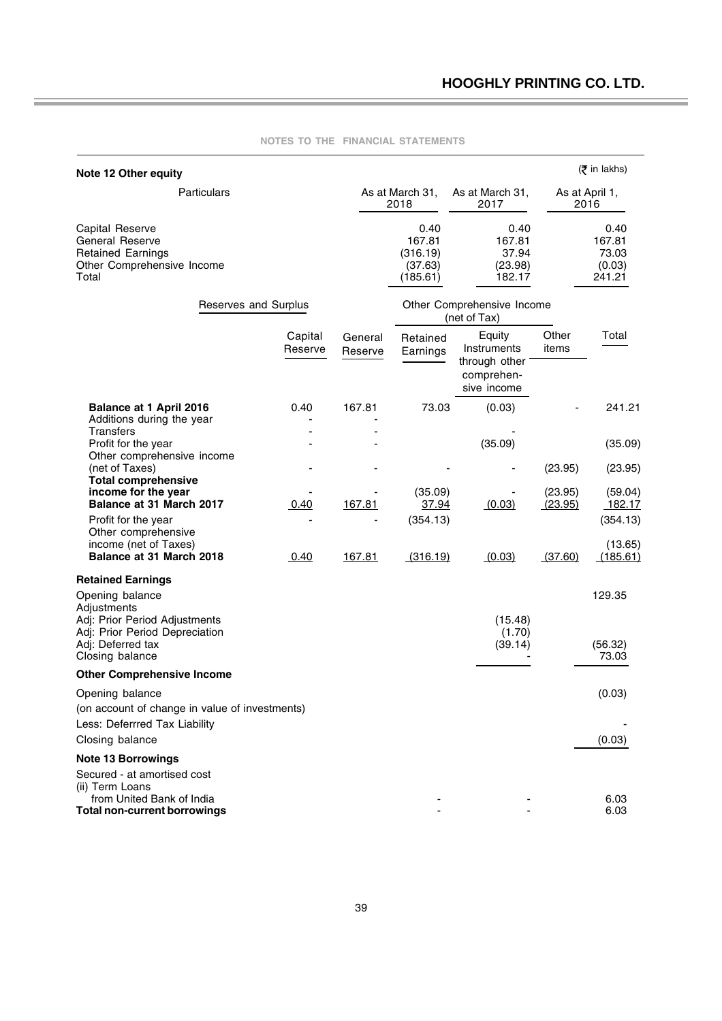| Note 12 Other equity                                                                                               |                    |                    |                                                   |                                                                     |                    | (₹ in lakhs)                                |
|--------------------------------------------------------------------------------------------------------------------|--------------------|--------------------|---------------------------------------------------|---------------------------------------------------------------------|--------------------|---------------------------------------------|
| <b>Particulars</b>                                                                                                 |                    |                    | As at March 31,<br>2018                           | As at March 31,<br>2017                                             |                    | As at April 1,<br>2016                      |
| Capital Reserve<br>General Reserve<br><b>Retained Earnings</b><br>Other Comprehensive Income<br>Total              |                    |                    | 0.40<br>167.81<br>(316.19)<br>(37.63)<br>(185.61) | 0.40<br>167.81<br>37.94<br>(23.98)<br>182.17                        |                    | 0.40<br>167.81<br>73.03<br>(0.03)<br>241.21 |
| Reserves and Surplus                                                                                               |                    |                    |                                                   | Other Comprehensive Income<br>(net of Tax)                          |                    |                                             |
|                                                                                                                    | Capital<br>Reserve | General<br>Reserve | Retained<br>Earnings                              | Equity<br>Instruments<br>through other<br>comprehen-<br>sive income | Other<br>items     | Total                                       |
| <b>Balance at 1 April 2016</b><br>Additions during the year<br><b>Transfers</b>                                    | 0.40               | 167.81             | 73.03                                             | (0.03)                                                              |                    | 241.21                                      |
| Profit for the year                                                                                                |                    |                    |                                                   | (35.09)                                                             |                    | (35.09)                                     |
| Other comprehensive income<br>(net of Taxes)<br><b>Total comprehensive</b>                                         |                    |                    |                                                   |                                                                     | (23.95)            | (23.95)                                     |
| income for the year<br>Balance at 31 March 2017                                                                    | 0.40               | 167.81             | (35.09)<br>37.94                                  | (0.03)                                                              | (23.95)<br>(23.95) | (59.04)<br>182.17                           |
| Profit for the year<br>Other comprehensive<br>income (net of Taxes)<br>Balance at 31 March 2018                    |                    |                    | (354.13)                                          |                                                                     | (37.60)            | (354.13)<br>(13.65)                         |
|                                                                                                                    | 0.40               | 167.81             | (316.19)                                          | (0.03)                                                              |                    | (185.61)                                    |
| <b>Retained Earnings</b><br>Opening balance<br>Adjustments                                                         |                    |                    |                                                   |                                                                     |                    | 129.35                                      |
| Adj: Prior Period Adjustments<br>Adj: Prior Period Depreciation<br>Adj: Deferred tax<br>Closing balance            |                    |                    |                                                   | (15.48)<br>(1.70)<br>(39.14)                                        |                    | (56.32)<br>73.03                            |
| <b>Other Comprehensive Income</b>                                                                                  |                    |                    |                                                   |                                                                     |                    |                                             |
| Opening balance                                                                                                    |                    |                    |                                                   |                                                                     |                    | (0.03)                                      |
| (on account of change in value of investments)                                                                     |                    |                    |                                                   |                                                                     |                    |                                             |
| Less: Deferrred Tax Liability<br>Closing balance                                                                   |                    |                    |                                                   |                                                                     |                    | (0.03)                                      |
| <b>Note 13 Borrowings</b>                                                                                          |                    |                    |                                                   |                                                                     |                    |                                             |
| Secured - at amortised cost<br>(ii) Term Loans<br>from United Bank of India<br><b>Total non-current borrowings</b> |                    |                    |                                                   |                                                                     |                    | 6.03<br>6.03                                |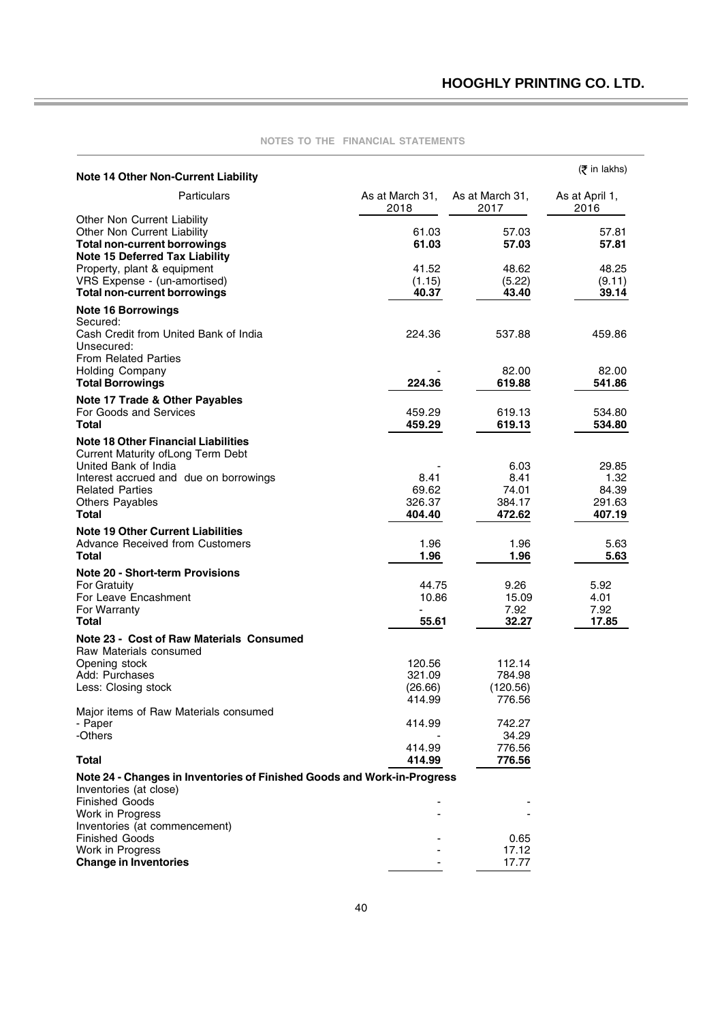| <b>Note 14 Other Non-Current Liability</b>                                                                  |                   |                    | $(5$ in lakhs)   |
|-------------------------------------------------------------------------------------------------------------|-------------------|--------------------|------------------|
| Particulars                                                                                                 | As at March 31,   | As at March 31,    | As at April 1,   |
| Other Non Current Liability                                                                                 | 2018              | 2017               | 2016             |
| Other Non Current Liability<br><b>Total non-current borrowings</b><br><b>Note 15 Deferred Tax Liability</b> | 61.03<br>61.03    | 57.03<br>57.03     | 57.81<br>57.81   |
| Property, plant & equipment                                                                                 | 41.52             | 48.62              | 48.25            |
| VRS Expense - (un-amortised)<br><b>Total non-current borrowings</b>                                         | (1.15)<br>40.37   | (5.22)<br>43.40    | (9.11)<br>39.14  |
| <b>Note 16 Borrowings</b><br>Secured:                                                                       |                   |                    |                  |
| Cash Credit from United Bank of India<br>Unsecured:                                                         | 224.36            | 537.88             | 459.86           |
| <b>From Related Parties</b><br><b>Holding Company</b>                                                       |                   | 82.00              | 82.00            |
| <b>Total Borrowings</b>                                                                                     | 224.36            | 619.88             | 541.86           |
| Note 17 Trade & Other Payables<br>For Goods and Services                                                    | 459.29            | 619.13             | 534.80           |
| <b>Total</b>                                                                                                | 459.29            | 619.13             | 534.80           |
| <b>Note 18 Other Financial Liabilities</b><br>Current Maturity of Long Term Debt                            |                   |                    |                  |
| United Bank of India<br>Interest accrued and due on borrowings                                              | 8.41              | 6.03<br>8.41       | 29.85<br>1.32    |
| <b>Related Parties</b>                                                                                      | 69.62             | 74.01              | 84.39            |
| <b>Others Payables</b><br>Total                                                                             | 326.37<br>404.40  | 384.17<br>472.62   | 291.63<br>407.19 |
| <b>Note 19 Other Current Liabilities</b>                                                                    |                   |                    |                  |
| <b>Advance Received from Customers</b><br><b>Total</b>                                                      | 1.96<br>1.96      | 1.96<br>1.96       | 5.63<br>5.63     |
| <b>Note 20 - Short-term Provisions</b><br>For Gratuity                                                      | 44.75             | 9.26               | 5.92             |
| For Leave Encashment                                                                                        | 10.86             | 15.09              | 4.01             |
| For Warranty                                                                                                |                   | 7.92               | 7.92             |
| Total<br>Note 23 - Cost of Raw Materials Consumed                                                           | 55.61             | 32.27              | 17.85            |
| Raw Materials consumed                                                                                      |                   |                    |                  |
| Opening stock                                                                                               | 120.56            | 112.14             |                  |
| Add: Purchases<br>Less: Closing stock                                                                       | 321.09<br>(26.66) | 784.98<br>(120.56) |                  |
|                                                                                                             | 414.99            | 776.56             |                  |
| Major items of Raw Materials consumed<br>- Paper                                                            | 414.99            | 742.27             |                  |
| -Others                                                                                                     |                   | 34.29              |                  |
| <b>Total</b>                                                                                                | 414.99<br>414.99  | 776.56<br>776.56   |                  |
| Note 24 - Changes in Inventories of Finished Goods and Work-in-Progress                                     |                   |                    |                  |
| Inventories (at close)<br><b>Finished Goods</b>                                                             |                   |                    |                  |
| Work in Progress                                                                                            |                   |                    |                  |
| Inventories (at commencement)<br><b>Finished Goods</b>                                                      |                   | 0.65               |                  |
| Work in Progress                                                                                            |                   | 17.12              |                  |
| <b>Change in Inventories</b>                                                                                |                   | 17.77              |                  |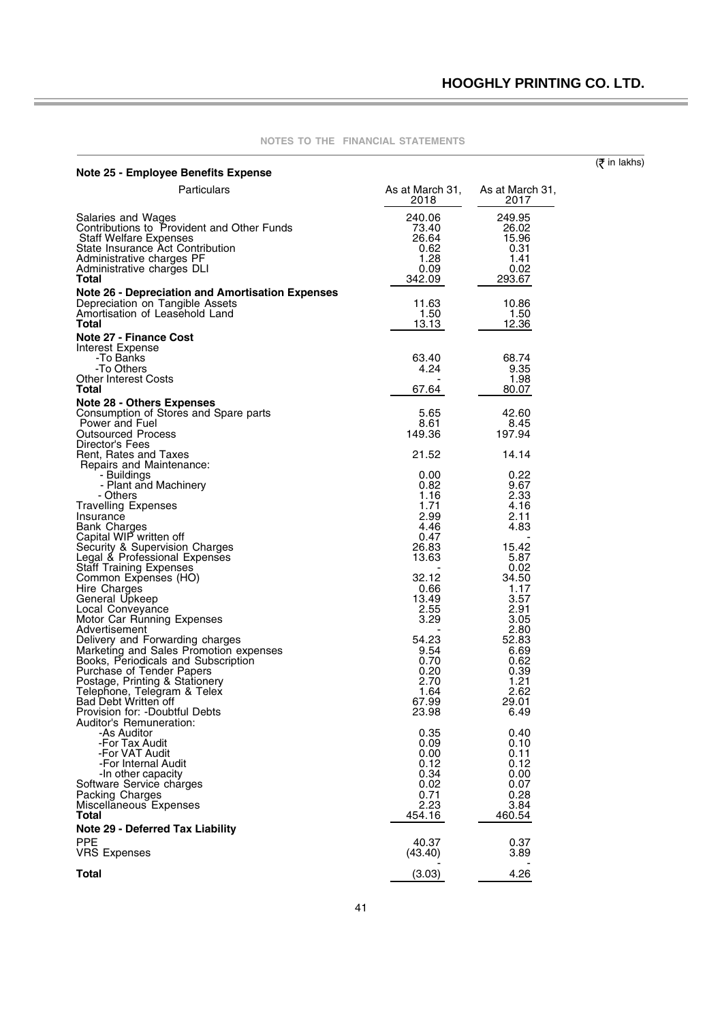| <b>Note 25 - Employee Benefits Expense</b>                                                                                                                                                                                      |                                                            |                                                            | $(5$ in lakhs) |
|---------------------------------------------------------------------------------------------------------------------------------------------------------------------------------------------------------------------------------|------------------------------------------------------------|------------------------------------------------------------|----------------|
| Particulars                                                                                                                                                                                                                     | As at March 31,<br>2018                                    | As at March 31,<br>2017                                    |                |
| Salaries and Wages<br>Contributions to Provident and Other Funds<br><b>Staff Welfare Expenses</b><br>State Insurance Act Contribution<br>Administrative charges PF<br>Administrative charges DLI<br>Total                       | 240.06<br>73.40<br>26.64<br>0.62<br>1.28<br>0.09<br>342.09 | 249.95<br>26.02<br>15.96<br>0.31<br>1.41<br>0.02<br>293.67 |                |
| <b>Note 26 - Depreciation and Amortisation Expenses</b><br>Depreciation on Tangible Assets<br>Amortisation of Leasehold Land<br>Total                                                                                           | 11.63<br>1.50<br>13.13                                     | 10.86<br>1.50<br>12.36                                     |                |
| <b>Note 27 - Finance Cost</b><br>Interest Expense<br>-To Banks<br>-To Others<br><b>Other Interest Costs</b><br>Total                                                                                                            | 63.40<br>4.24<br>67.64                                     | 68.74<br>9.35<br>1.98<br>80.07                             |                |
| <b>Note 28 - Others Expenses</b><br>Consumption of Stores and Spare parts<br>Power and Fuel<br><b>Outsourced Process</b><br>Director's Fees                                                                                     | 5.65<br>8.61<br>149.36                                     | 42.60<br>8.45<br>197.94                                    |                |
| Rent, Rates and Taxes<br>Repairs and Maintenance:<br>- Buildings<br>- Plant and Machinery<br>- Others<br><b>Travelling Expenses</b>                                                                                             | 21.52<br>0.00<br>0.82<br>1.16<br>1.71                      | 14.14<br>0.22<br>9.67<br>2.33<br>4.16                      |                |
| Insurance<br><b>Bank Charges</b><br>Capital WIP written off<br>Security & Supervision Charges<br>Legal & Professional Expenses<br><b>Staff Training Expenses</b>                                                                | 2.99<br>4.46<br>0.47<br>26.83<br>13.63                     | 2.11<br>4.83<br>15.42<br>5.87<br>0.02                      |                |
| Common Expenses (HO)<br>Hire Charges<br>General Upkeep<br>Local Conveyance<br>Motor Car Running Expenses                                                                                                                        | 32.12<br>0.66<br>13.49<br>2.55<br>3.29                     | 34.50<br>1.17<br>3.57<br>2.91<br>3.05                      |                |
| Advertisement<br>Delivery and Forwarding charges<br>Marketing and Sales Promotion expenses<br>Books, Periodicals and Subscription<br>Purchase of Tender Papers<br>Postage, Printing & Stationery<br>Telephone, Telegram & Telex | 54.23<br>9.54<br>0.70<br>0.20<br>2.70<br>1.64              | 2.80<br>52.83<br>6.69<br>0.62<br>0.39<br>1.21<br>2.62      |                |
| Bad Debt Written off<br>Provision for: -Doubtful Debts<br>Auditor's Remuneration:<br>-As Auditor<br>-For Tax Audit                                                                                                              | 67.99<br>23.98<br>0.35<br>0.09                             | 29.01<br>6.49<br>0.40<br>0.10                              |                |
| -For VAT Audit<br>-For Internal Audit<br>-In other capacity<br>Software Service charges<br>Packing Charges<br>Miscellaneous Expenses<br><b>Total</b>                                                                            | 0.00<br>0.12<br>0.34<br>0.02<br>0.71<br>2.23<br>454.16     | 0.11<br>0.12<br>0.00<br>0.07<br>0.28<br>3.84<br>460.54     |                |
| <b>Note 29 - Deferred Tax Liability</b><br><b>PPE</b><br><b>VRS Expenses</b>                                                                                                                                                    | 40.37<br>(43.40)                                           | 0.37<br>3.89                                               |                |
| <b>Total</b>                                                                                                                                                                                                                    | (3.03)                                                     | 4.26                                                       |                |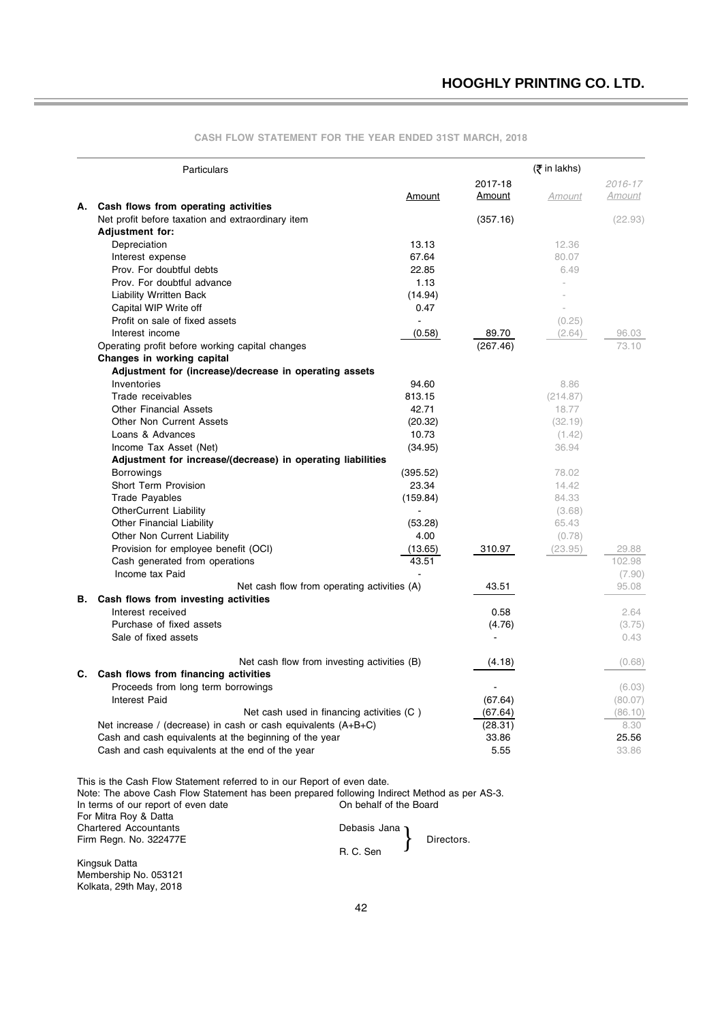|    | Particulars                                                     |          |          | (₹ in lakhs) |         |
|----|-----------------------------------------------------------------|----------|----------|--------------|---------|
|    |                                                                 |          | 2017-18  |              | 2016-17 |
|    | A. Cash flows from operating activities                         | Amount   | Amount   | Amount       | Amount  |
|    | Net profit before taxation and extraordinary item               |          | (357.16) |              | (22.93) |
|    | <b>Adjustment for:</b>                                          |          |          |              |         |
|    | Depreciation                                                    | 13.13    |          | 12.36        |         |
|    | Interest expense                                                | 67.64    |          | 80.07        |         |
|    | Prov. For doubtful debts                                        | 22.85    |          | 6.49         |         |
|    | Prov. For doubtful advance                                      | 1.13     |          |              |         |
|    | <b>Liability Wrritten Back</b>                                  | (14.94)  |          |              |         |
|    | Capital WIP Write off                                           | 0.47     |          |              |         |
|    | Profit on sale of fixed assets                                  |          |          | (0.25)       |         |
|    | Interest income                                                 | (0.58)   | 89.70    | (2.64)       | 96.03   |
|    | Operating profit before working capital changes                 |          | (267.46) |              | 73.10   |
|    | Changes in working capital                                      |          |          |              |         |
|    | Adjustment for (increase)/decrease in operating assets          |          |          |              |         |
|    | Inventories                                                     | 94.60    |          | 8.86         |         |
|    | Trade receivables                                               | 813.15   |          | (214.87)     |         |
|    | <b>Other Financial Assets</b>                                   | 42.71    |          | 18.77        |         |
|    | <b>Other Non Current Assets</b>                                 | (20.32)  |          | (32.19)      |         |
|    | Loans & Advances                                                | 10.73    |          | (1.42)       |         |
|    | Income Tax Asset (Net)                                          | (34.95)  |          | 36.94        |         |
|    | Adjustment for increase/(decrease) in operating liabilities     |          |          |              |         |
|    | <b>Borrowings</b>                                               | (395.52) |          | 78.02        |         |
|    | Short Term Provision                                            | 23.34    |          | 14.42        |         |
|    | <b>Trade Payables</b>                                           | (159.84) |          | 84.33        |         |
|    | <b>OtherCurrent Liability</b>                                   |          |          | (3.68)       |         |
|    | <b>Other Financial Liability</b>                                | (53.28)  |          | 65.43        |         |
|    | Other Non Current Liability                                     | 4.00     |          | (0.78)       |         |
|    | Provision for employee benefit (OCI)                            | (13.65)  | 310.97   | (23.95)      | 29.88   |
|    | Cash generated from operations                                  | 43.51    |          |              | 102.98  |
|    | Income tax Paid                                                 |          |          |              | (7.90)  |
|    | Net cash flow from operating activities (A)                     |          | 43.51    |              | 95.08   |
| В. | Cash flows from investing activities                            |          |          |              |         |
|    | Interest received                                               |          | 0.58     |              | 2.64    |
|    | Purchase of fixed assets                                        |          | (4.76)   |              | (3.75)  |
|    | Sale of fixed assets                                            |          |          |              | 0.43    |
|    | Net cash flow from investing activities (B)                     |          | (4.18)   |              | (0.68)  |
|    | C. Cash flows from financing activities                         |          |          |              |         |
|    | Proceeds from long term borrowings                              |          |          |              | (6.03)  |
|    | <b>Interest Paid</b>                                            |          | (67.64)  |              | (80.07) |
|    | Net cash used in financing activities (C)                       |          | (67.64)  |              | (86.10) |
|    | Net increase / (decrease) in cash or cash equivalents $(A+B+C)$ |          | (28.31)  |              | 8.30    |
|    | Cash and cash equivalents at the beginning of the year          |          | 33.86    |              | 25.56   |
|    | Cash and cash equivalents at the end of the year                |          | 5.55     |              | 33.86   |
|    |                                                                 |          |          |              |         |

**CASH FLOW STATEMENT FOR THE YEAR ENDED 31ST MARCH, 2018**

This is the Cash Flow Statement referred to in our Report of even date. Note: The above Cash Flow Statement has been prepared following Indirect Method as per AS-3. In terms of our report of even date **Interport of the Soard** For Mitra Roy & Datta Chartered Accountants **Debasis Jana** Firm Regn. No. 322477E Directors. R. C. Sen }

Kingsuk Datta Membership No. 053121 Kolkata, 29th May, 2018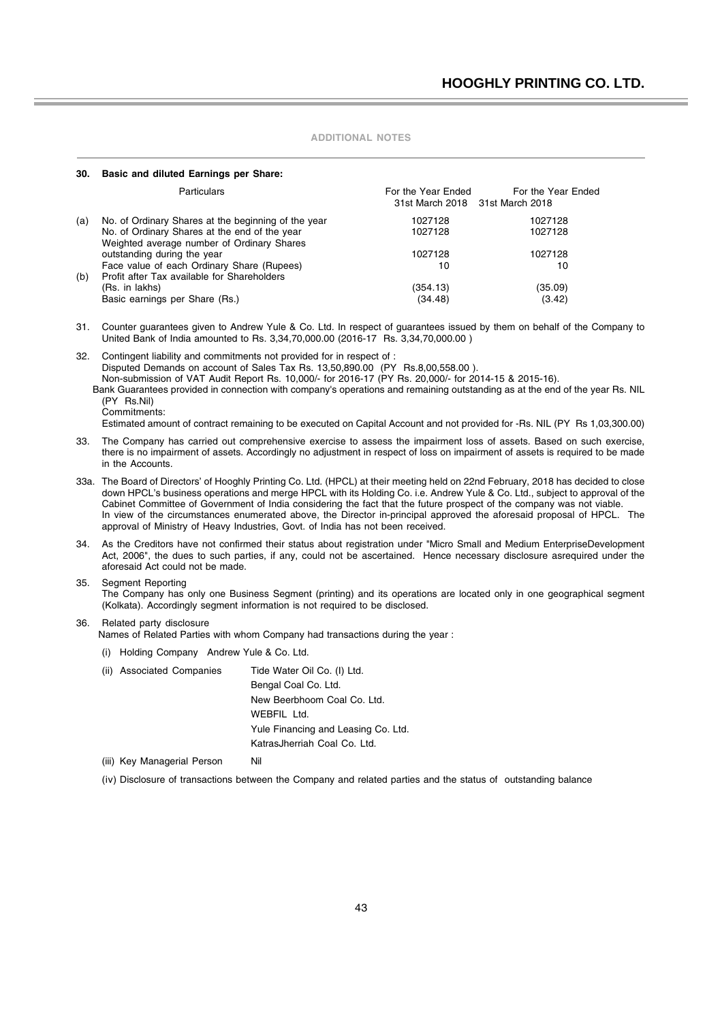#### **30. Basic and diluted Earnings per Share:**

|     | Particulars                                                                                 | For the Year Ended<br>31st March 2018 31st March 2018 | For the Year Ended |
|-----|---------------------------------------------------------------------------------------------|-------------------------------------------------------|--------------------|
| (a) | No. of Ordinary Shares at the beginning of the year                                         | 1027128                                               | 1027128            |
|     | No. of Ordinary Shares at the end of the year<br>Weighted average number of Ordinary Shares | 1027128                                               | 1027128            |
|     | outstanding during the year                                                                 | 1027128                                               | 1027128            |
| (b) | Face value of each Ordinary Share (Rupees)<br>Profit after Tax available for Shareholders   | 10                                                    | 10                 |
|     | (Rs. in lakhs)                                                                              | (354.13)                                              | (35.09)            |
|     | Basic earnings per Share (Rs.)                                                              | (34.48)                                               | (3.42)             |

31. Counter guarantees given to Andrew Yule & Co. Ltd. In respect of guarantees issued by them on behalf of the Company to United Bank of India amounted to Rs. 3,34,70,000.00 (2016-17 Rs. 3,34,70,000.00 )

32. Contingent liability and commitments not provided for in respect of : Disputed Demands on account of Sales Tax Rs. 13,50,890.00 (PY Rs.8,00,558.00 ). Non-submission of VAT Audit Report Rs. 10,000/- for 2016-17 (PY Rs. 20,000/- for 2014-15 & 2015-16).

 Bank Guarantees provided in connection with company's operations and remaining outstanding as at the end of the year Rs. NIL (PY Rs.Nil)

Commitments:

Estimated amount of contract remaining to be executed on Capital Account and not provided for -Rs. NIL (PY Rs 1,03,300.00)

- 33. The Company has carried out comprehensive exercise to assess the impairment loss of assets. Based on such exercise, there is no impairment of assets. Accordingly no adjustment in respect of loss on impairment of assets is required to be made in the Accounts.
- 33a. The Board of Directors' of Hooghly Printing Co. Ltd. (HPCL) at their meeting held on 22nd February, 2018 has decided to close down HPCL's business operations and merge HPCL with its Holding Co. i.e. Andrew Yule & Co. Ltd., subject to approval of the Cabinet Committee of Government of India considering the fact that the future prospect of the company was not viable. In view of the circumstances enumerated above, the Director in-principal approved the aforesaid proposal of HPCL. The approval of Ministry of Heavy Industries, Govt. of India has not been received.
- 34. As the Creditors have not confirmed their status about registration under "Micro Small and Medium EnterpriseDevelopment Act, 2006", the dues to such parties, if any, could not be ascertained. Hence necessary disclosure asrequired under the aforesaid Act could not be made.
- 35. Segment Reporting

The Company has only one Business Segment (printing) and its operations are located only in one geographical segment (Kolkata). Accordingly segment information is not required to be disclosed.

#### 36. Related party disclosure

Names of Related Parties with whom Company had transactions during the year :

- (i) Holding Company Andrew Yule & Co. Ltd.
- (ii) Associated Companies Tide Water Oil Co. (I) Ltd. Bengal Coal Co. Ltd. New Beerbhoom Coal Co. Ltd. WEBFIL Ltd. Yule Financing and Leasing Co. Ltd. KatrasJherriah Coal Co. Ltd. (iii) Key Managerial Person Nil

(iv) Disclosure of transactions between the Company and related parties and the status of outstanding balance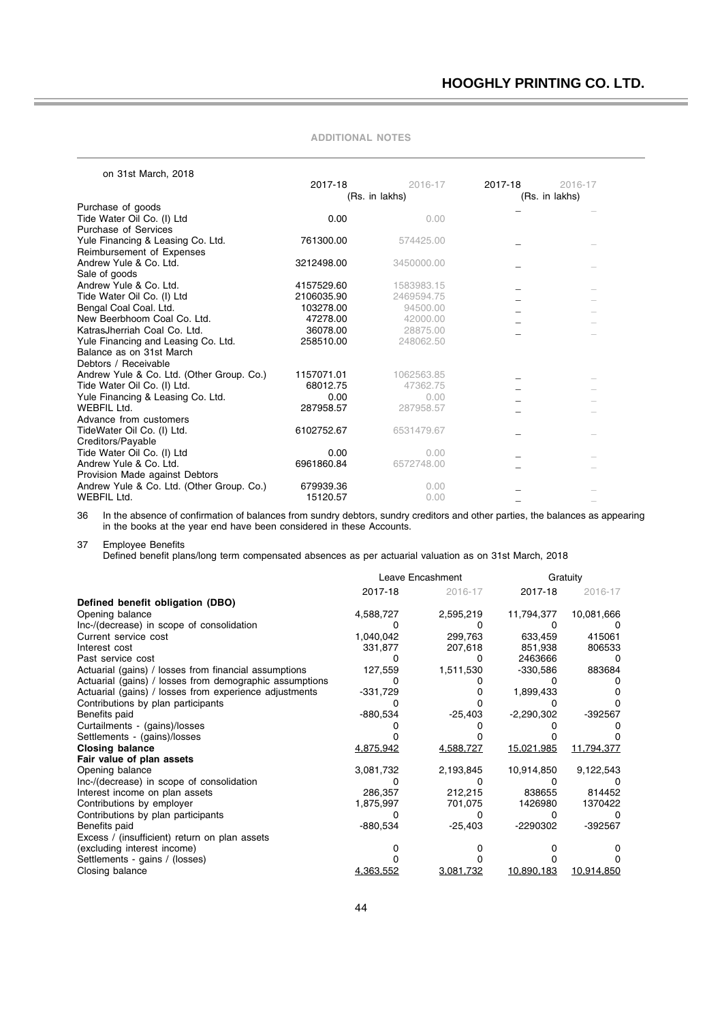| on 31st March, 2018                       |            |                |         |                |
|-------------------------------------------|------------|----------------|---------|----------------|
|                                           | 2017-18    | 2016-17        | 2017-18 | 2016-17        |
|                                           |            | (Rs. in lakhs) |         | (Rs. in lakhs) |
| Purchase of goods                         |            |                |         |                |
| Tide Water Oil Co. (I) Ltd                | 0.00       | 0.00           |         |                |
| <b>Purchase of Services</b>               |            |                |         |                |
| Yule Financing & Leasing Co. Ltd.         | 761300.00  | 574425.00      |         |                |
| Reimbursement of Expenses                 |            |                |         |                |
| Andrew Yule & Co. Ltd.                    | 3212498.00 | 3450000.00     |         |                |
| Sale of goods                             |            |                |         |                |
| Andrew Yule & Co. Ltd.                    | 4157529.60 | 1583983.15     |         |                |
| Tide Water Oil Co. (I) Ltd                | 2106035.90 | 2469594.75     |         |                |
| Bengal Coal Coal. Ltd.                    | 103278.00  | 94500.00       |         |                |
| New Beerbhoom Coal Co. Ltd.               | 47278.00   | 42000.00       |         |                |
| KatrasJherriah Coal Co. Ltd.              | 36078.00   | 28875.00       |         |                |
| Yule Financing and Leasing Co. Ltd.       | 258510.00  | 248062.50      |         |                |
| Balance as on 31st March                  |            |                |         |                |
| Debtors / Receivable                      |            |                |         |                |
| Andrew Yule & Co. Ltd. (Other Group. Co.) | 1157071.01 | 1062563.85     |         |                |
| Tide Water Oil Co. (I) Ltd.               | 68012.75   | 47362.75       |         |                |
| Yule Financing & Leasing Co. Ltd.         | 0.00       | 0.00           |         |                |
| WEBFIL Ltd.                               | 287958.57  | 287958.57      |         |                |
| Advance from customers                    |            |                |         |                |
| TideWater Oil Co. (I) Ltd.                | 6102752.67 | 6531479.67     |         |                |
| Creditors/Payable                         |            |                |         |                |
| Tide Water Oil Co. (I) Ltd                | 0.00       | 0.00           |         |                |
| Andrew Yule & Co. Ltd.                    | 6961860.84 | 6572748.00     |         |                |
| Provision Made against Debtors            |            |                |         |                |
| Andrew Yule & Co. Ltd. (Other Group. Co.) | 679939.36  | 0.00           |         |                |
| WEBFIL Ltd.                               | 15120.57   | 0.00           |         |                |
|                                           |            |                |         |                |

36 In the absence of confirmation of balances from sundry debtors, sundry creditors and other parties, the balances as appearing in the books at the year end have been considered in these Accounts.

37 Employee Benefits

Defined benefit plans/long term compensated absences as per actuarial valuation as on 31st March, 2018

|                                                         |            | Leave Encashment |              | Gratuity   |  |
|---------------------------------------------------------|------------|------------------|--------------|------------|--|
|                                                         | 2017-18    | 2016-17          | 2017-18      | 2016-17    |  |
| Defined benefit obligation (DBO)                        |            |                  |              |            |  |
| Opening balance                                         | 4,588,727  | 2,595,219        | 11,794,377   | 10,081,666 |  |
| Inc-/(decrease) in scope of consolidation               |            |                  |              |            |  |
| Current service cost                                    | 1,040,042  | 299.763          | 633,459      | 415061     |  |
| Interest cost                                           | 331,877    | 207,618          | 851,938      | 806533     |  |
| Past service cost                                       |            |                  | 2463666      |            |  |
| Actuarial (gains) / losses from financial assumptions   | 127,559    | 1,511,530        | -330,586     | 883684     |  |
| Actuarial (gains) / losses from demographic assumptions |            |                  |              |            |  |
| Actuarial (gains) / losses from experience adjustments  | $-331,729$ |                  | 1,899,433    |            |  |
| Contributions by plan participants                      |            |                  |              |            |  |
| Benefits paid                                           | -880,534   | -25,403          | $-2,290,302$ | -392567    |  |
| Curtailments - (gains)/losses                           |            |                  |              |            |  |
| Settlements - (gains)/losses                            |            |                  |              |            |  |
| <b>Closing balance</b>                                  | 4,875,942  | 4,588,727        | 15,021,985   | 11,794,377 |  |
| Fair value of plan assets                               |            |                  |              |            |  |
| Opening balance                                         | 3,081,732  | 2,193,845        | 10,914,850   | 9,122,543  |  |
| Inc-/(decrease) in scope of consolidation               |            |                  |              |            |  |
| Interest income on plan assets                          | 286,357    | 212,215          | 838655       | 814452     |  |
| Contributions by employer                               | 1,875,997  | 701,075          | 1426980      | 1370422    |  |
| Contributions by plan participants                      |            |                  |              |            |  |
| Benefits paid                                           | -880,534   | $-25,403$        | -2290302     | -392567    |  |
| Excess / (insufficient) return on plan assets           |            |                  |              |            |  |
| (excluding interest income)                             |            |                  |              |            |  |
| Settlements - gains / (losses)                          |            |                  |              |            |  |
| Closing balance                                         | 4,363,552  | 3,081,732        | 10,890,183   | 10,914,850 |  |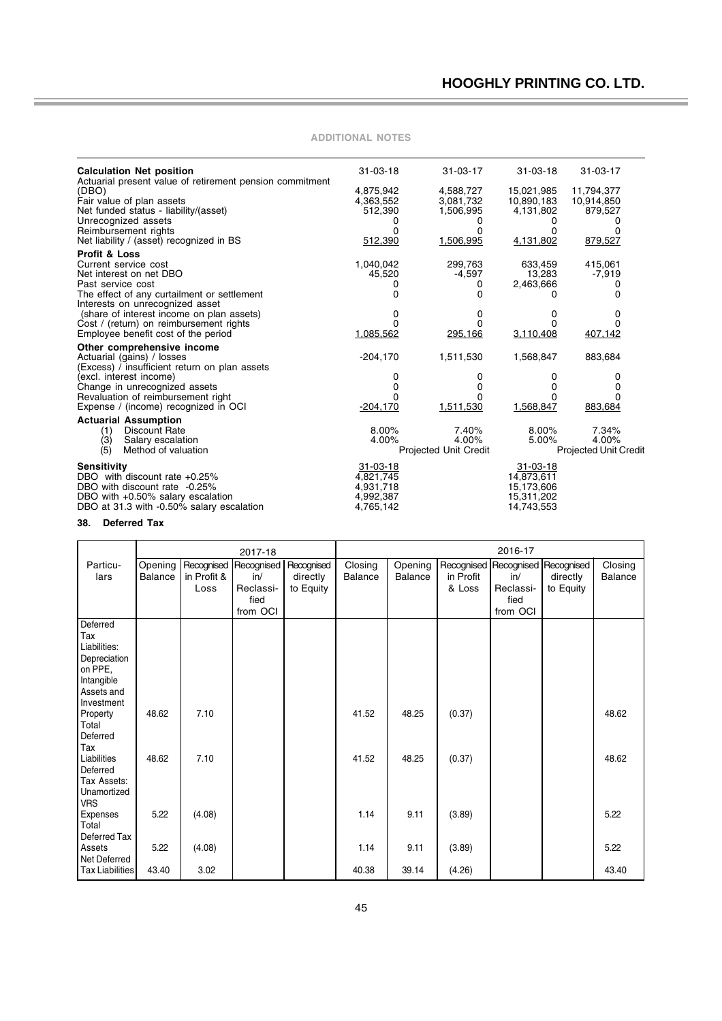Ė

| <b>Calculation Net position</b><br>Actuarial present value of retirement pension commitment | $31 - 03 - 18$ | $31 - 03 - 17$        | $31 - 03 - 18$ | $31 - 03 - 17$               |
|---------------------------------------------------------------------------------------------|----------------|-----------------------|----------------|------------------------------|
| (DBO)                                                                                       | 4,875,942      | 4,588,727             | 15,021,985     | 11,794,377                   |
| Fair value of plan assets                                                                   | 4,363,552      | 3,081,732             | 10,890,183     | 10,914,850                   |
| Net funded status - liability/(asset)                                                       | 512,390        | 1,506,995             | 4,131,802      | 879,527                      |
| Unrecognized assets                                                                         |                | $^{(1)}$              | 0              | $\mathbf{0}$                 |
| Reimbursement rights                                                                        | n              | 0                     | 0              | O                            |
| Net liability / (asset) recognized in BS                                                    | 512,390        | 1,506,995             | 4,131,802      | 879,527                      |
| <b>Profit &amp; Loss</b>                                                                    |                |                       |                |                              |
| Current service cost                                                                        | 1,040,042      | 299,763               | 633,459        | 415,061                      |
| Net interest on net DBO                                                                     | 45,520         | $-4.597$              | 13,283         | $-7,919$                     |
| Past service cost                                                                           |                | 0                     | 2,463,666      | 0                            |
| The effect of any curtailment or settlement                                                 | 0              | 0                     | O.             | 0                            |
| Interests on unrecognized asset                                                             |                |                       |                |                              |
| (share of interest income on plan assets)                                                   | 0              | 0                     | 0              | 0                            |
| Cost / (return) on reimbursement rights                                                     |                | <sup>0</sup>          | <sup>0</sup>   |                              |
| Employee benefit cost of the period                                                         | 1,085,562      | 295,166               | 3,110,408      | 407,142                      |
|                                                                                             |                |                       |                |                              |
| Other comprehensive income                                                                  |                |                       |                |                              |
| Actuarial (gains) / losses                                                                  | $-204,170$     | 1,511,530             | 1,568,847      | 883,684                      |
| (Excess) / insufficient return on plan assets                                               |                |                       |                |                              |
| (excl. interest income)                                                                     | 0              | 0                     | 0              | 0                            |
| Change in unrecognized assets                                                               | 0              | 0                     | 0<br>n         |                              |
| Revaluation of reimbursement right                                                          | $-204,170$     | 1,511,530             | 1,568,847      | 883,684                      |
| Expense / (income) recognized in OCI                                                        |                |                       |                |                              |
| <b>Actuarial Assumption</b>                                                                 |                |                       |                |                              |
| <b>Discount Rate</b><br>(1)                                                                 | 8.00%          | 7.40%                 | 8.00%          | 7.34%                        |
| (3)<br>Salary escalation                                                                    | 4.00%          | 4.00%                 | 5.00%          | 4.00%                        |
| (5)<br>Method of valuation                                                                  |                | Projected Unit Credit |                | <b>Projected Unit Credit</b> |
| <b>Sensitivity</b>                                                                          | $31 - 03 - 18$ |                       | $31 - 03 - 18$ |                              |
| DBO with discount rate +0.25%                                                               | 4,821,745      |                       | 14,873,611     |                              |
| DBO with discount rate -0.25%                                                               | 4,931,718      |                       | 15,173,606     |                              |
| DBO with +0.50% salary escalation                                                           | 4,992,387      |                       | 15,311,202     |                              |
| DBO at 31.3 with -0.50% salary escalation                                                   | 4,765,142      |                       | 14,743,553     |                              |
|                                                                                             |                |                       |                |                              |
| <b>Deferred Tax</b><br>38.                                                                  |                |                       |                |                              |

**ADDITIONAL NOTES**

|                 | 2016-17<br>2017-18 |             |            |            |         |         |           |           |                                  |         |
|-----------------|--------------------|-------------|------------|------------|---------|---------|-----------|-----------|----------------------------------|---------|
| Particu-        | Opening            | Recognised  | Recognised | Recognised | Closing | Opening |           |           | Recognised Recognised Recognised | Closing |
| lars            | <b>Balance</b>     | in Profit & | in/        | directly   | Balance | Balance | in Profit | in/       | directly                         | Balance |
|                 |                    | Loss        | Reclassi-  | to Equity  |         |         | & Loss    | Reclassi- | to Equity                        |         |
|                 |                    |             | fied       |            |         |         |           | fied      |                                  |         |
|                 |                    |             | from OCI   |            |         |         |           | from OCI  |                                  |         |
| Deferred        |                    |             |            |            |         |         |           |           |                                  |         |
| Tax             |                    |             |            |            |         |         |           |           |                                  |         |
| Liabilities:    |                    |             |            |            |         |         |           |           |                                  |         |
| Depreciation    |                    |             |            |            |         |         |           |           |                                  |         |
| on PPE,         |                    |             |            |            |         |         |           |           |                                  |         |
| Intangible      |                    |             |            |            |         |         |           |           |                                  |         |
| Assets and      |                    |             |            |            |         |         |           |           |                                  |         |
| Investment      |                    |             |            |            |         |         |           |           |                                  |         |
| Property        | 48.62              | 7.10        |            |            | 41.52   | 48.25   | (0.37)    |           |                                  | 48.62   |
| Total           |                    |             |            |            |         |         |           |           |                                  |         |
| Deferred        |                    |             |            |            |         |         |           |           |                                  |         |
| Tax             |                    |             |            |            |         |         |           |           |                                  |         |
| Liabilities     | 48.62              | 7.10        |            |            | 41.52   | 48.25   | (0.37)    |           |                                  | 48.62   |
| Deferred        |                    |             |            |            |         |         |           |           |                                  |         |
| Tax Assets:     |                    |             |            |            |         |         |           |           |                                  |         |
| Unamortized     |                    |             |            |            |         |         |           |           |                                  |         |
| <b>VRS</b>      |                    |             |            |            |         |         |           |           |                                  |         |
| Expenses        | 5.22               | (4.08)      |            |            | 1.14    | 9.11    | (3.89)    |           |                                  | 5.22    |
| Total           |                    |             |            |            |         |         |           |           |                                  |         |
| Deferred Tax    |                    |             |            |            |         |         |           |           |                                  |         |
| Assets          | 5.22               | (4.08)      |            |            | 1.14    | 9.11    | (3.89)    |           |                                  | 5.22    |
| Net Deferred    |                    |             |            |            |         |         |           |           |                                  |         |
| Tax Liabilities | 43.40              | 3.02        |            |            | 40.38   | 39.14   | (4.26)    |           |                                  | 43.40   |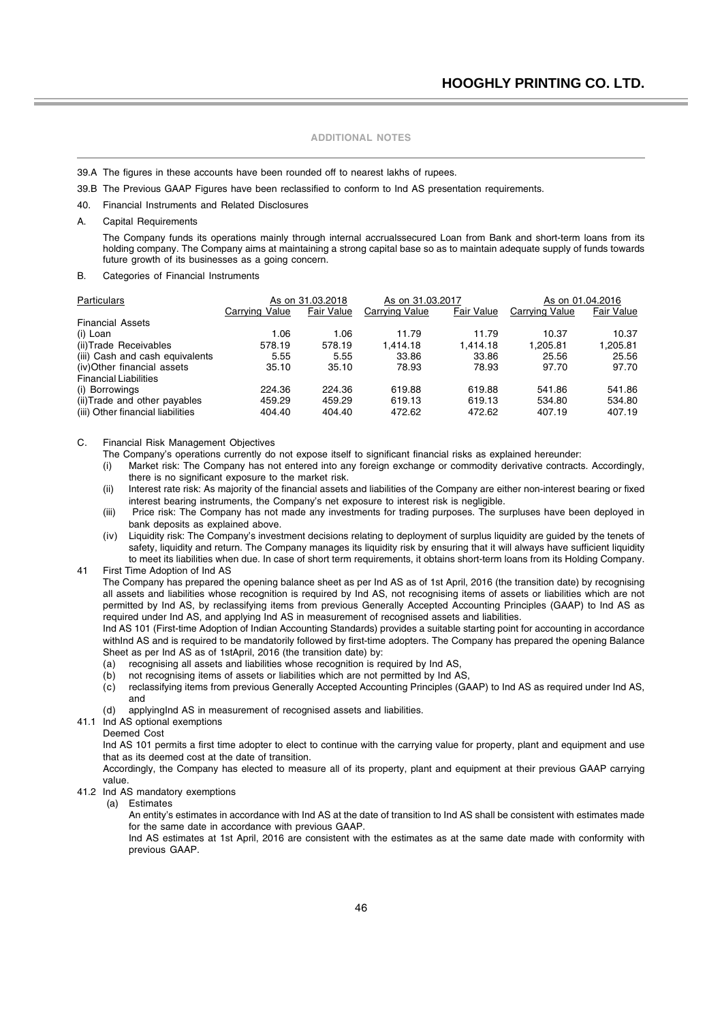- 39.A The figures in these accounts have been rounded off to nearest lakhs of rupees.
- 39.B The Previous GAAP Figures have been reclassified to conform to Ind AS presentation requirements.
- 40. Financial Instruments and Related Disclosures
- A. Capital Requirements

The Company funds its operations mainly through internal accrualssecured Loan from Bank and short-term loans from its holding company. The Company aims at maintaining a strong capital base so as to maintain adequate supply of funds towards future growth of its businesses as a going concern.

B. Categories of Financial Instruments

| Particulars                       | As on 31.03.2018 |                   | As on 31.03.2017 |                   | As on 01.04.2016 |            |
|-----------------------------------|------------------|-------------------|------------------|-------------------|------------------|------------|
|                                   | Carrying Value   | <b>Fair Value</b> | Carrying Value   | <b>Fair Value</b> | Carrying Value   | Fair Value |
| <b>Financial Assets</b>           |                  |                   |                  |                   |                  |            |
| (i) Loan                          | 1.06             | 1.06              | 11.79            | 11.79             | 10.37            | 10.37      |
| (ii)Trade Receivables             | 578.19           | 578.19            | 1.414.18         | 1.414.18          | 1.205.81         | 1.205.81   |
| (iii) Cash and cash equivalents   | 5.55             | 5.55              | 33.86            | 33.86             | 25.56            | 25.56      |
| (iv)Other financial assets        | 35.10            | 35.10             | 78.93            | 78.93             | 97.70            | 97.70      |
| <b>Financial Liabilities</b>      |                  |                   |                  |                   |                  |            |
| (i) Borrowings                    | 224.36           | 224.36            | 619.88           | 619.88            | 541.86           | 541.86     |
| (ii) Trade and other payables     | 459.29           | 459.29            | 619.13           | 619.13            | 534.80           | 534.80     |
| (iii) Other financial liabilities | 404.40           | 404.40            | 472.62           | 472.62            | 407.19           | 407.19     |

C. Financial Risk Management Objectives

The Company's operations currently do not expose itself to significant financial risks as explained hereunder:

- (i) Market risk: The Company has not entered into any foreign exchange or commodity derivative contracts. Accordingly, there is no significant exposure to the market risk.
- (ii) Interest rate risk: As majority of the financial assets and liabilities of the Company are either non-interest bearing or fixed interest bearing instruments, the Company's net exposure to interest risk is negligible.
- (iii) Price risk: The Company has not made any investments for trading purposes. The surpluses have been deployed in bank deposits as explained above.
- (iv) Liquidity risk: The Company's investment decisions relating to deployment of surplus liquidity are guided by the tenets of safety, liquidity and return. The Company manages its liquidity risk by ensuring that it will always have sufficient liquidity to meet its liabilities when due. In case of short term requirements, it obtains short-term loans from its Holding Company.
- 41 First Time Adoption of Ind AS The Company has prepared the opening balance sheet as per Ind AS as of 1st April, 2016 (the transition date) by recognising all assets and liabilities whose recognition is required by Ind AS, not recognising items of assets or liabilities which are not permitted by Ind AS, by reclassifying items from previous Generally Accepted Accounting Principles (GAAP) to Ind AS as required under Ind AS, and applying Ind AS in measurement of recognised assets and liabilities.

Ind AS 101 (First-time Adoption of Indian Accounting Standards) provides a suitable starting point for accounting in accordance withInd AS and is required to be mandatorily followed by first-time adopters. The Company has prepared the opening Balance Sheet as per Ind AS as of 1stApril, 2016 (the transition date) by:

- (a) recognising all assets and liabilities whose recognition is required by Ind AS,
- (b) not recognising items of assets or liabilities which are not permitted by Ind AS,<br>(c) reclassifying items from previous Generally Accepted Accounting Principles (GA
- reclassifying items from previous Generally Accepted Accounting Principles (GAAP) to Ind AS as required under Ind AS, and
- (d) applyingInd AS in measurement of recognised assets and liabilities.
- 41.1 Ind AS optional exemptions

#### Deemed Cost

Ind AS 101 permits a first time adopter to elect to continue with the carrying value for property, plant and equipment and use that as its deemed cost at the date of transition.

Accordingly, the Company has elected to measure all of its property, plant and equipment at their previous GAAP carrying value.

#### 41.2 Ind AS mandatory exemptions

(a) Estimates

An entity's estimates in accordance with Ind AS at the date of transition to Ind AS shall be consistent with estimates made for the same date in accordance with previous GAAP.

Ind AS estimates at 1st April, 2016 are consistent with the estimates as at the same date made with conformity with previous GAAP.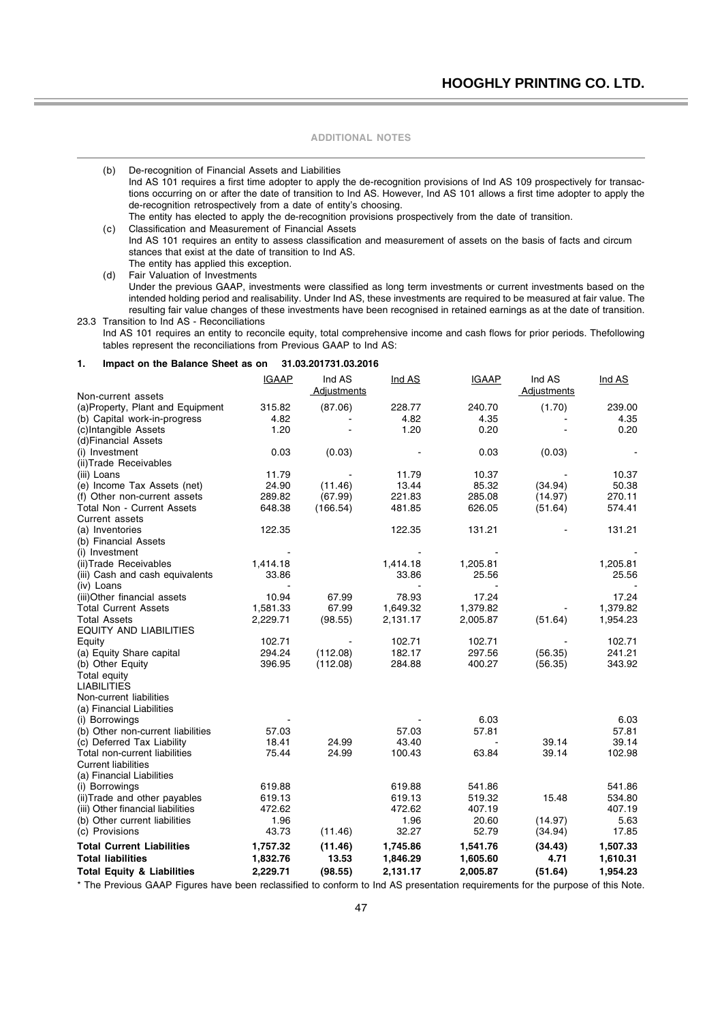(b) De-recognition of Financial Assets and Liabilities Ind AS 101 requires a first time adopter to apply the de-recognition provisions of Ind AS 109 prospectively for transactions occurring on or after the date of transition to Ind AS. However, Ind AS 101 allows a first time adopter to apply the de-recognition retrospectively from a date of entity's choosing. The entity has elected to apply the de-recognition provisions prospectively from the date of transition.

(c) Classification and Measurement of Financial Assets Ind AS 101 requires an entity to assess classification and measurement of assets on the basis of facts and circum stances that exist at the date of transition to Ind AS. The entity has applied this exception.

(d) Fair Valuation of Investments

Under the previous GAAP, investments were classified as long term investments or current investments based on the intended holding period and realisability. Under Ind AS, these investments are required to be measured at fair value. The resulting fair value changes of these investments have been recognised in retained earnings as at the date of transition. 23.3 Transition to Ind AS - Reconciliations

Ind AS 101 requires an entity to reconcile equity, total comprehensive income and cash flows for prior periods. Thefollowing tables represent the reconciliations from Previous GAAP to Ind AS:

#### **1. Impact on the Balance Sheet as on 31.03.201731.03.2016**

|                                           | <b>IGAAP</b>      | Ind AS<br>Adjustments | Ind AS            | <b>IGAAP</b>      | Ind AS<br>Adjustments | Ind AS            |
|-------------------------------------------|-------------------|-----------------------|-------------------|-------------------|-----------------------|-------------------|
| Non-current assets                        |                   |                       |                   |                   |                       |                   |
| (a) Property, Plant and Equipment         | 315.82            | (87.06)               | 228.77            | 240.70            | (1.70)                | 239.00            |
| (b) Capital work-in-progress              | 4.82              |                       | 4.82              | 4.35              |                       | 4.35              |
| (c)Intangible Assets                      | 1.20              |                       | 1.20              | 0.20              |                       | 0.20              |
| (d)Financial Assets                       |                   |                       |                   |                   |                       |                   |
| (i) Investment                            | 0.03              | (0.03)                |                   | 0.03              | (0.03)                |                   |
| (ii) Trade Receivables                    |                   |                       |                   |                   |                       |                   |
| (iii) Loans                               | 11.79             |                       | 11.79             | 10.37             |                       | 10.37             |
| (e) Income Tax Assets (net)               | 24.90             | (11.46)               | 13.44             | 85.32             | (34.94)               | 50.38<br>270.11   |
| (f) Other non-current assets              | 289.82            | (67.99)               | 221.83            | 285.08            | (14.97)               |                   |
| <b>Total Non - Current Assets</b>         | 648.38            | (166.54)              | 481.85            | 626.05            | (51.64)               | 574.41            |
| Current assets                            |                   |                       |                   |                   |                       |                   |
| (a) Inventories                           | 122.35            |                       | 122.35            | 131.21            |                       | 131.21            |
| (b) Financial Assets                      |                   |                       |                   |                   |                       |                   |
| (i) Investment                            |                   |                       |                   |                   |                       |                   |
| (ii) Trade Receivables                    | 1,414.18<br>33.86 |                       | 1,414.18<br>33.86 | 1,205.81<br>25.56 |                       | 1,205.81<br>25.56 |
| (iii) Cash and cash equivalents           |                   |                       |                   |                   |                       |                   |
| (iv) Loans<br>(iii)Other financial assets | 10.94             | 67.99                 | 78.93             | 17.24             |                       | 17.24             |
| <b>Total Current Assets</b>               | 1,581.33          | 67.99                 | 1,649.32          | 1,379.82          |                       | 1,379.82          |
| Total Assets                              | 2,229.71          | (98.55)               | 2,131.17          | 2,005.87          | (51.64)               | 1,954.23          |
| <b>EQUITY AND LIABILITIES</b>             |                   |                       |                   |                   |                       |                   |
|                                           | 102.71            |                       | 102.71            | 102.71            |                       | 102.71            |
| Equity<br>(a) Equity Share capital        | 294.24            | (112.08)              | 182.17            | 297.56            | (56.35)               | 241.21            |
| (b) Other Equity                          | 396.95            | (112.08)              | 284.88            | 400.27            | (56.35)               | 343.92            |
| Total equity                              |                   |                       |                   |                   |                       |                   |
| <b>LIABILITIES</b>                        |                   |                       |                   |                   |                       |                   |
| Non-current liabilities                   |                   |                       |                   |                   |                       |                   |
| (a) Financial Liabilities                 |                   |                       |                   |                   |                       |                   |
| (i) Borrowings                            |                   |                       |                   | 6.03              |                       | 6.03              |
| (b) Other non-current liabilities         | 57.03             |                       | 57.03             | 57.81             |                       | 57.81             |
| (c) Deferred Tax Liability                | 18.41             | 24.99                 | 43.40             | $\sim$            | 39.14                 | 39.14             |
| Total non-current liabilities             | 75.44             | 24.99                 | 100.43            | 63.84             | 39.14                 | 102.98            |
| <b>Current liabilities</b>                |                   |                       |                   |                   |                       |                   |
| (a) Financial Liabilities                 |                   |                       |                   |                   |                       |                   |
| (i) Borrowings                            | 619.88            |                       | 619.88            | 541.86            |                       | 541.86            |
| (ii) Trade and other payables             | 619.13            |                       | 619.13            | 519.32            | 15.48                 | 534.80            |
| (iii) Other financial liabilities         | 472.62            |                       | 472.62            | 407.19            |                       | 407.19            |
| (b) Other current liabilities             | 1.96              |                       | 1.96              | 20.60             | (14.97)               | 5.63              |
| (c) Provisions                            | 43.73             | (11.46)               | 32.27             | 52.79             | (34.94)               | 17.85             |
|                                           |                   |                       |                   |                   |                       |                   |
| <b>Total Current Liabilities</b>          | 1,757.32          | (11.46)               | 1,745.86          | 1,541.76          | (34.43)               | 1,507.33          |
| <b>Total liabilities</b>                  | 1,832.76          | 13.53                 | 1,846.29          | 1,605.60          | 4.71                  | 1,610.31          |
| <b>Total Equity &amp; Liabilities</b>     | 2,229.71          | (98.55)               | 2,131.17          | 2,005.87          | (51.64)               | 1,954.23          |

\* The Previous GAAP Figures have been reclassified to conform to Ind AS presentation requirements for the purpose of this Note.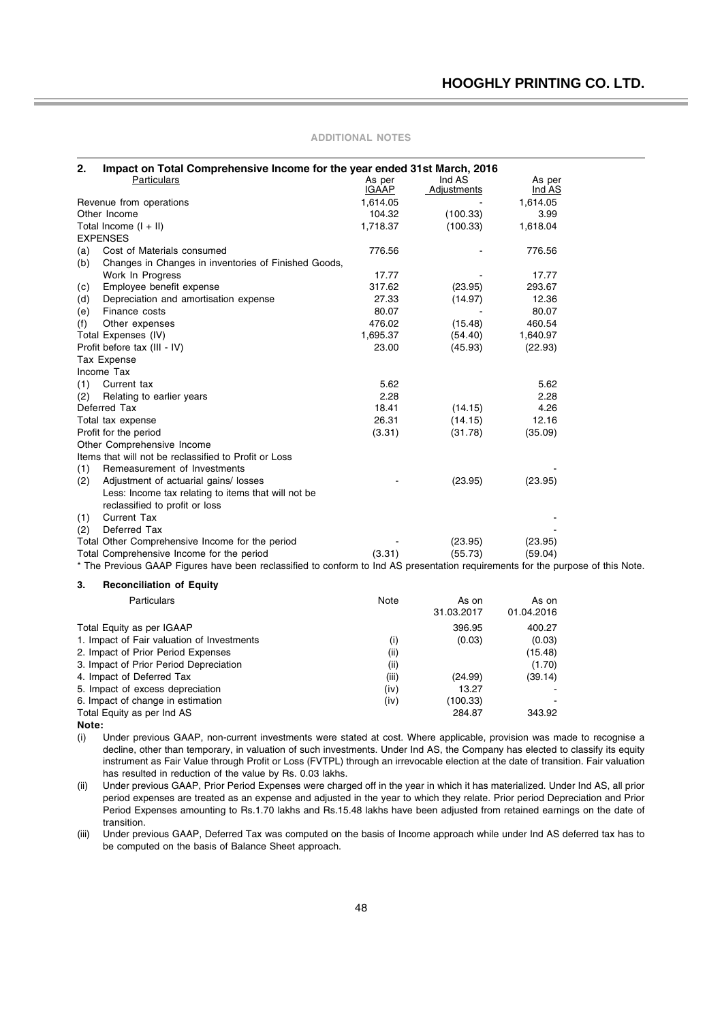| 2.<br>Impact on Total Comprehensive Income for the year ended 31st March, 2016 |                                                       |              |                    |          |  |
|--------------------------------------------------------------------------------|-------------------------------------------------------|--------------|--------------------|----------|--|
|                                                                                | Particulars                                           | As per       | Ind AS             | As per   |  |
|                                                                                |                                                       | <b>IGAAP</b> | <b>Adjustments</b> | Ind AS   |  |
|                                                                                | Revenue from operations                               | 1,614.05     |                    | 1,614.05 |  |
|                                                                                | Other Income                                          | 104.32       | (100.33)           | 3.99     |  |
|                                                                                | Total Income $(I + II)$                               | 1,718.37     | (100.33)           | 1,618.04 |  |
|                                                                                | <b>EXPENSES</b>                                       |              |                    |          |  |
| (a)                                                                            | Cost of Materials consumed                            | 776.56       |                    | 776.56   |  |
| (b)                                                                            | Changes in Changes in inventories of Finished Goods,  |              |                    |          |  |
|                                                                                | Work In Progress                                      | 17.77        |                    | 17.77    |  |
| (c)                                                                            | Employee benefit expense                              | 317.62       | (23.95)            | 293.67   |  |
| (d)                                                                            | Depreciation and amortisation expense                 | 27.33        | (14.97)            | 12.36    |  |
| (e)                                                                            | Finance costs                                         | 80.07        |                    | 80.07    |  |
| (f)                                                                            | Other expenses                                        | 476.02       | (15.48)            | 460.54   |  |
|                                                                                | Total Expenses (IV)                                   | 1,695.37     | (54.40)            | 1,640.97 |  |
|                                                                                | Profit before tax (III - IV)                          | 23.00        | (45.93)            | (22.93)  |  |
|                                                                                | Tax Expense                                           |              |                    |          |  |
|                                                                                | Income Tax                                            |              |                    |          |  |
| (1)                                                                            | Current tax                                           | 5.62         |                    | 5.62     |  |
| (2)                                                                            | Relating to earlier years                             | 2.28         |                    | 2.28     |  |
|                                                                                | Deferred Tax                                          | 18.41        | (14.15)            | 4.26     |  |
|                                                                                | Total tax expense                                     | 26.31        | (14.15)            | 12.16    |  |
|                                                                                | Profit for the period                                 | (3.31)       | (31.78)            | (35.09)  |  |
|                                                                                | Other Comprehensive Income                            |              |                    |          |  |
|                                                                                | Items that will not be reclassified to Profit or Loss |              |                    |          |  |
| (1)                                                                            | Remeasurement of Investments                          |              |                    |          |  |
| (2)                                                                            | Adjustment of actuarial gains/ losses                 |              | (23.95)            | (23.95)  |  |
|                                                                                | Less: Income tax relating to items that will not be   |              |                    |          |  |
|                                                                                | reclassified to profit or loss                        |              |                    |          |  |
| (1)                                                                            | <b>Current Tax</b>                                    |              |                    |          |  |
| (2)                                                                            | Deferred Tax                                          |              |                    |          |  |
|                                                                                | Total Other Comprehensive Income for the period       |              | (23.95)            | (23.95)  |  |
|                                                                                | Total Comprehensive Income for the period             | (3.31)       | (55.73)            | (59.04)  |  |

\* The Previous GAAP Figures have been reclassified to conform to Ind AS presentation requirements for the purpose of this Note.

#### **3. Reconciliation of Equity**

| <b>Particulars</b>                         | Note  | As on      | As on      |
|--------------------------------------------|-------|------------|------------|
|                                            |       | 31.03.2017 | 01.04.2016 |
| Total Equity as per IGAAP                  |       | 396.95     | 400.27     |
| 1. Impact of Fair valuation of Investments | (i)   | (0.03)     | (0.03)     |
| 2. Impact of Prior Period Expenses         | (ii)  |            | (15.48)    |
| 3. Impact of Prior Period Depreciation     | (ii)  |            | (1.70)     |
| 4. Impact of Deferred Tax                  | (iii) | (24.99)    | (39.14)    |
| 5. Impact of excess depreciation           | (iv)  | 13.27      |            |
| 6. Impact of change in estimation          | (iv)  | (100.33)   |            |
| Total Equity as per Ind AS                 |       | 284.87     | 343.92     |
|                                            |       |            |            |

**Note:**

(i) Under previous GAAP, non-current investments were stated at cost. Where applicable, provision was made to recognise a decline, other than temporary, in valuation of such investments. Under Ind AS, the Company has elected to classify its equity instrument as Fair Value through Profit or Loss (FVTPL) through an irrevocable election at the date of transition. Fair valuation has resulted in reduction of the value by Rs. 0.03 lakhs.

(ii) Under previous GAAP, Prior Period Expenses were charged off in the year in which it has materialized. Under Ind AS, all prior period expenses are treated as an expense and adjusted in the year to which they relate. Prior period Depreciation and Prior Period Expenses amounting to Rs.1.70 lakhs and Rs.15.48 lakhs have been adjusted from retained earnings on the date of transition.

(iii) Under previous GAAP, Deferred Tax was computed on the basis of Income approach while under Ind AS deferred tax has to be computed on the basis of Balance Sheet approach.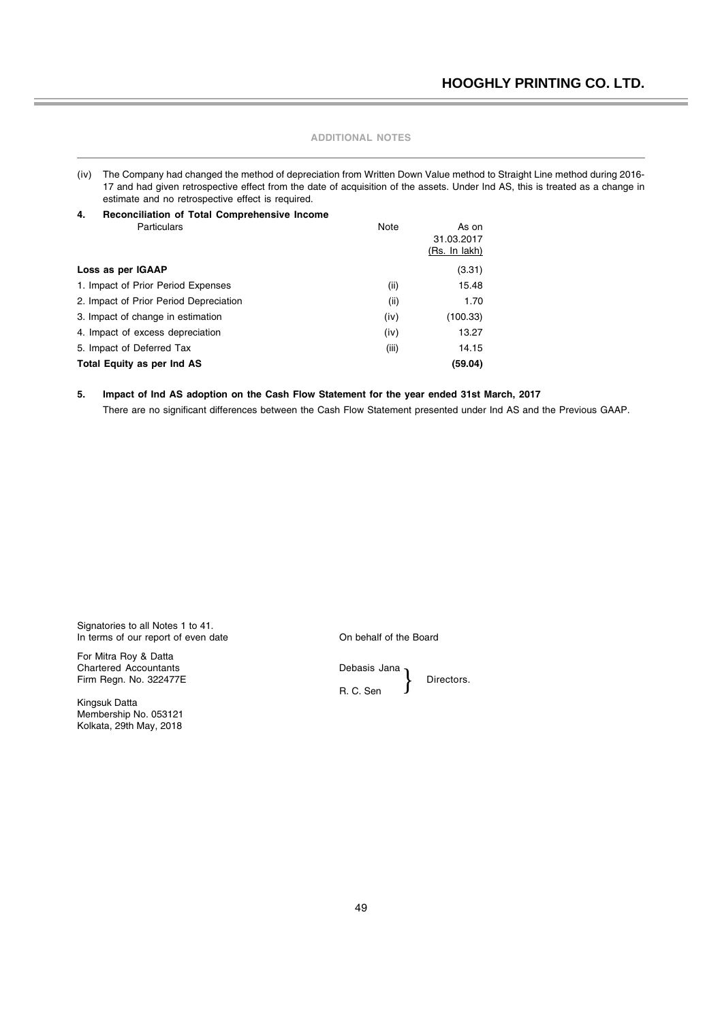| (iv) The Company had changed the method of depreciation from Written Down Value method to Straight Line method during 2016-    |
|--------------------------------------------------------------------------------------------------------------------------------|
| 17 and had given retrospective effect from the date of acquisition of the assets. Under Ind AS, this is treated as a change in |
| estimate and no retrospective effect is required.                                                                              |

| Note  | As on                |
|-------|----------------------|
|       | 31.03.2017           |
|       | <u>(Rs. In lakh)</u> |
|       | (3.31)               |
| (i)   | 15.48                |
| (iii) | 1.70                 |
| (iv)  | (100.33)             |
| (iv)  | 13.27                |
| (iii) | 14.15                |
|       | (59.04)              |
|       |                      |

### **5. Impact of Ind AS adoption on the Cash Flow Statement for the year ended 31st March, 2017**

There are no significant differences between the Cash Flow Statement presented under Ind AS and the Previous GAAP.

Signatories to all Notes 1 to 41. In terms of our report of even date **On behalf of the Board** 

For Mitra Roy & Datta Chartered Accountants **Debasis** Jana Firm Regn. No. 322477E Directors.

Kingsuk Datta Membership No. 053121 Kolkata, 29th May, 2018

}

R. C. Sen